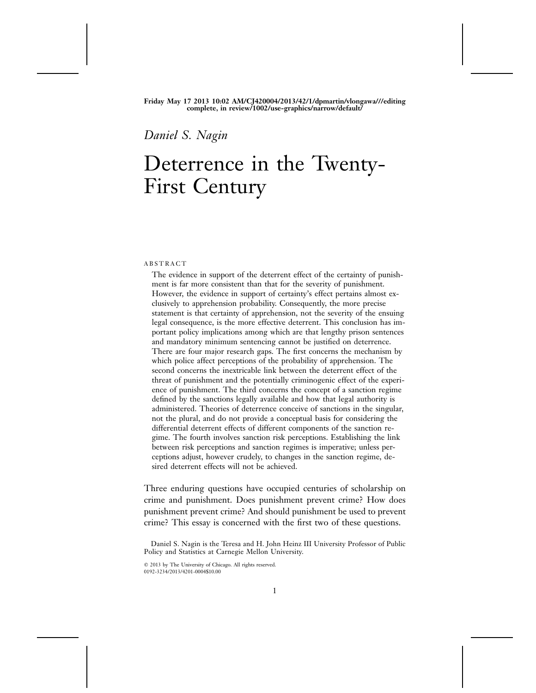**Friday May 17 2013 10:02 AM/CJ420004/2013/42/1/dpmartin/vlongawa///editing complete, in review/1002/use-graphics/narrow/default/**

*Daniel S. Nagin*

# Deterrence in the Twenty-First Century

# **ABSTRACT**

The evidence in support of the deterrent effect of the certainty of punishment is far more consistent than that for the severity of punishment. However, the evidence in support of certainty's effect pertains almost exclusively to apprehension probability. Consequently, the more precise statement is that certainty of apprehension, not the severity of the ensuing legal consequence, is the more effective deterrent. This conclusion has important policy implications among which are that lengthy prison sentences and mandatory minimum sentencing cannot be justified on deterrence. There are four major research gaps. The first concerns the mechanism by which police affect perceptions of the probability of apprehension. The second concerns the inextricable link between the deterrent effect of the threat of punishment and the potentially criminogenic effect of the experience of punishment. The third concerns the concept of a sanction regime defined by the sanctions legally available and how that legal authority is administered. Theories of deterrence conceive of sanctions in the singular, not the plural, and do not provide a conceptual basis for considering the differential deterrent effects of different components of the sanction regime. The fourth involves sanction risk perceptions. Establishing the link between risk perceptions and sanction regimes is imperative; unless perceptions adjust, however crudely, to changes in the sanction regime, desired deterrent effects will not be achieved.

Three enduring questions have occupied centuries of scholarship on crime and punishment. Does punishment prevent crime? How does punishment prevent crime? And should punishment be used to prevent crime? This essay is concerned with the first two of these questions.

 $©$  2013 by The University of Chicago. All rights reserved. 0192-3234/2013/4201-0004\$10.00

Daniel S. Nagin is the Teresa and H. John Heinz III University Professor of Public Policy and Statistics at Carnegie Mellon University.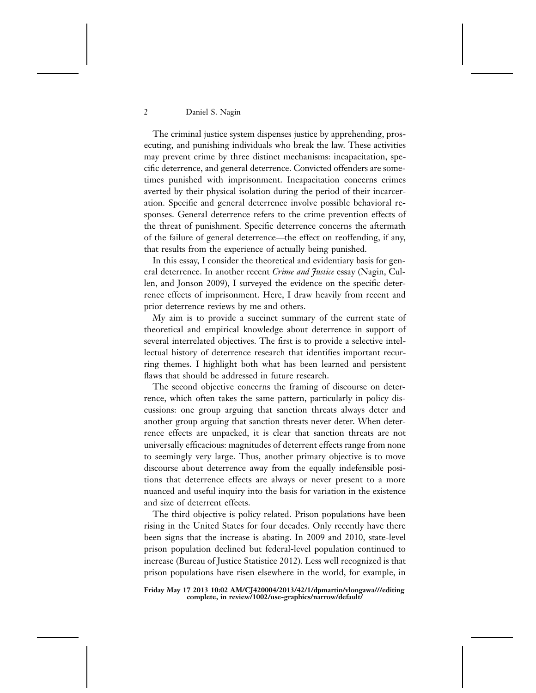The criminal justice system dispenses justice by apprehending, prosecuting, and punishing individuals who break the law. These activities may prevent crime by three distinct mechanisms: incapacitation, specific deterrence, and general deterrence. Convicted offenders are sometimes punished with imprisonment. Incapacitation concerns crimes averted by their physical isolation during the period of their incarceration. Specific and general deterrence involve possible behavioral responses. General deterrence refers to the crime prevention effects of the threat of punishment. Specific deterrence concerns the aftermath of the failure of general deterrence—the effect on reoffending, if any, that results from the experience of actually being punished.

In this essay, I consider the theoretical and evidentiary basis for general deterrence. In another recent *Crime and Justice* essay (Nagin, Cullen, and Jonson 2009), I surveyed the evidence on the specific deterrence effects of imprisonment. Here, I draw heavily from recent and prior deterrence reviews by me and others.

My aim is to provide a succinct summary of the current state of theoretical and empirical knowledge about deterrence in support of several interrelated objectives. The first is to provide a selective intellectual history of deterrence research that identifies important recurring themes. I highlight both what has been learned and persistent flaws that should be addressed in future research.

The second objective concerns the framing of discourse on deterrence, which often takes the same pattern, particularly in policy discussions: one group arguing that sanction threats always deter and another group arguing that sanction threats never deter. When deterrence effects are unpacked, it is clear that sanction threats are not universally efficacious: magnitudes of deterrent effects range from none to seemingly very large. Thus, another primary objective is to move discourse about deterrence away from the equally indefensible positions that deterrence effects are always or never present to a more nuanced and useful inquiry into the basis for variation in the existence and size of deterrent effects.

The third objective is policy related. Prison populations have been rising in the United States for four decades. Only recently have there been signs that the increase is abating. In 2009 and 2010, state-level prison population declined but federal-level population continued to increase (Bureau of Justice Statistice 2012). Less well recognized is that prison populations have risen elsewhere in the world, for example, in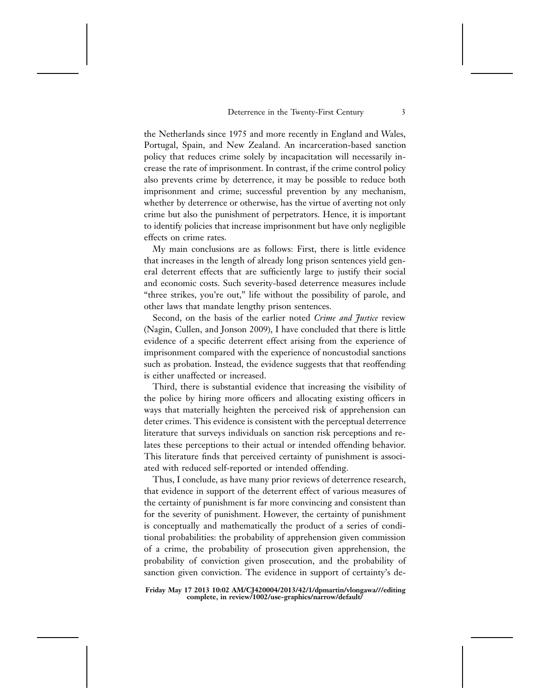the Netherlands since 1975 and more recently in England and Wales, Portugal, Spain, and New Zealand. An incarceration-based sanction policy that reduces crime solely by incapacitation will necessarily increase the rate of imprisonment. In contrast, if the crime control policy also prevents crime by deterrence, it may be possible to reduce both imprisonment and crime; successful prevention by any mechanism, whether by deterrence or otherwise, has the virtue of averting not only crime but also the punishment of perpetrators. Hence, it is important to identify policies that increase imprisonment but have only negligible effects on crime rates.

My main conclusions are as follows: First, there is little evidence that increases in the length of already long prison sentences yield general deterrent effects that are sufficiently large to justify their social and economic costs. Such severity-based deterrence measures include "three strikes, you're out," life without the possibility of parole, and other laws that mandate lengthy prison sentences.

Second, on the basis of the earlier noted *Crime and Justice* review (Nagin, Cullen, and Jonson 2009), I have concluded that there is little evidence of a specific deterrent effect arising from the experience of imprisonment compared with the experience of noncustodial sanctions such as probation. Instead, the evidence suggests that that reoffending is either unaffected or increased.

Third, there is substantial evidence that increasing the visibility of the police by hiring more officers and allocating existing officers in ways that materially heighten the perceived risk of apprehension can deter crimes. This evidence is consistent with the perceptual deterrence literature that surveys individuals on sanction risk perceptions and relates these perceptions to their actual or intended offending behavior. This literature finds that perceived certainty of punishment is associated with reduced self-reported or intended offending.

Thus, I conclude, as have many prior reviews of deterrence research, that evidence in support of the deterrent effect of various measures of the certainty of punishment is far more convincing and consistent than for the severity of punishment. However, the certainty of punishment is conceptually and mathematically the product of a series of conditional probabilities: the probability of apprehension given commission of a crime, the probability of prosecution given apprehension, the probability of conviction given prosecution, and the probability of sanction given conviction. The evidence in support of certainty's de-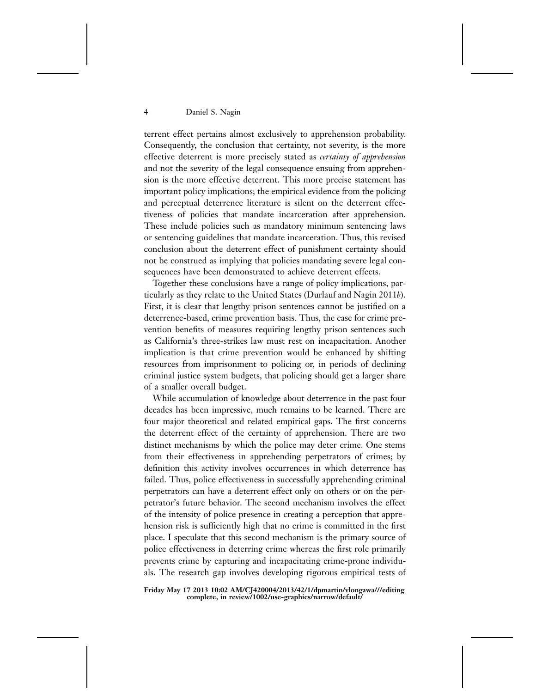terrent effect pertains almost exclusively to apprehension probability. Consequently, the conclusion that certainty, not severity, is the more effective deterrent is more precisely stated as *certainty of apprehension* and not the severity of the legal consequence ensuing from apprehension is the more effective deterrent. This more precise statement has important policy implications; the empirical evidence from the policing and perceptual deterrence literature is silent on the deterrent effectiveness of policies that mandate incarceration after apprehension. These include policies such as mandatory minimum sentencing laws or sentencing guidelines that mandate incarceration. Thus, this revised conclusion about the deterrent effect of punishment certainty should not be construed as implying that policies mandating severe legal consequences have been demonstrated to achieve deterrent effects.

Together these conclusions have a range of policy implications, particularly as they relate to the United States (Durlauf and Nagin 2011*b*). First, it is clear that lengthy prison sentences cannot be justified on a deterrence-based, crime prevention basis. Thus, the case for crime prevention benefits of measures requiring lengthy prison sentences such as California's three-strikes law must rest on incapacitation. Another implication is that crime prevention would be enhanced by shifting resources from imprisonment to policing or, in periods of declining criminal justice system budgets, that policing should get a larger share of a smaller overall budget.

While accumulation of knowledge about deterrence in the past four decades has been impressive, much remains to be learned. There are four major theoretical and related empirical gaps. The first concerns the deterrent effect of the certainty of apprehension. There are two distinct mechanisms by which the police may deter crime. One stems from their effectiveness in apprehending perpetrators of crimes; by definition this activity involves occurrences in which deterrence has failed. Thus, police effectiveness in successfully apprehending criminal perpetrators can have a deterrent effect only on others or on the perpetrator's future behavior. The second mechanism involves the effect of the intensity of police presence in creating a perception that apprehension risk is sufficiently high that no crime is committed in the first place. I speculate that this second mechanism is the primary source of police effectiveness in deterring crime whereas the first role primarily prevents crime by capturing and incapacitating crime-prone individuals. The research gap involves developing rigorous empirical tests of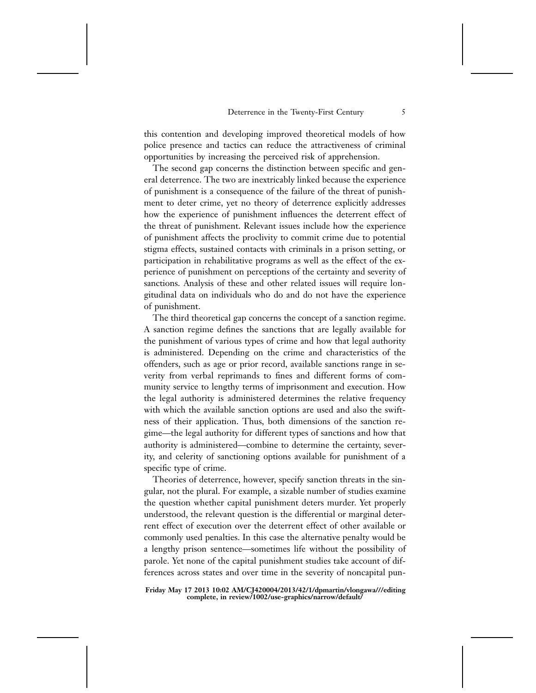this contention and developing improved theoretical models of how police presence and tactics can reduce the attractiveness of criminal opportunities by increasing the perceived risk of apprehension.

The second gap concerns the distinction between specific and general deterrence. The two are inextricably linked because the experience of punishment is a consequence of the failure of the threat of punishment to deter crime, yet no theory of deterrence explicitly addresses how the experience of punishment influences the deterrent effect of the threat of punishment. Relevant issues include how the experience of punishment affects the proclivity to commit crime due to potential stigma effects, sustained contacts with criminals in a prison setting, or participation in rehabilitative programs as well as the effect of the experience of punishment on perceptions of the certainty and severity of sanctions. Analysis of these and other related issues will require longitudinal data on individuals who do and do not have the experience of punishment.

The third theoretical gap concerns the concept of a sanction regime. A sanction regime defines the sanctions that are legally available for the punishment of various types of crime and how that legal authority is administered. Depending on the crime and characteristics of the offenders, such as age or prior record, available sanctions range in severity from verbal reprimands to fines and different forms of community service to lengthy terms of imprisonment and execution. How the legal authority is administered determines the relative frequency with which the available sanction options are used and also the swiftness of their application. Thus, both dimensions of the sanction regime—the legal authority for different types of sanctions and how that authority is administered—combine to determine the certainty, severity, and celerity of sanctioning options available for punishment of a specific type of crime.

Theories of deterrence, however, specify sanction threats in the singular, not the plural. For example, a sizable number of studies examine the question whether capital punishment deters murder. Yet properly understood, the relevant question is the differential or marginal deterrent effect of execution over the deterrent effect of other available or commonly used penalties. In this case the alternative penalty would be a lengthy prison sentence—sometimes life without the possibility of parole. Yet none of the capital punishment studies take account of differences across states and over time in the severity of noncapital pun-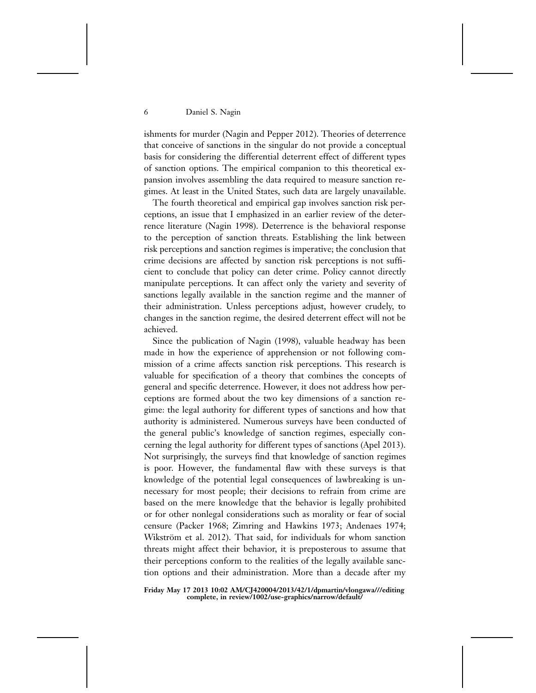ishments for murder (Nagin and Pepper 2012). Theories of deterrence that conceive of sanctions in the singular do not provide a conceptual basis for considering the differential deterrent effect of different types of sanction options. The empirical companion to this theoretical expansion involves assembling the data required to measure sanction regimes. At least in the United States, such data are largely unavailable.

The fourth theoretical and empirical gap involves sanction risk perceptions, an issue that I emphasized in an earlier review of the deterrence literature (Nagin 1998). Deterrence is the behavioral response to the perception of sanction threats. Establishing the link between risk perceptions and sanction regimes is imperative; the conclusion that crime decisions are affected by sanction risk perceptions is not sufficient to conclude that policy can deter crime. Policy cannot directly manipulate perceptions. It can affect only the variety and severity of sanctions legally available in the sanction regime and the manner of their administration. Unless perceptions adjust, however crudely, to changes in the sanction regime, the desired deterrent effect will not be achieved.

Since the publication of Nagin (1998), valuable headway has been made in how the experience of apprehension or not following commission of a crime affects sanction risk perceptions. This research is valuable for specification of a theory that combines the concepts of general and specific deterrence. However, it does not address how perceptions are formed about the two key dimensions of a sanction regime: the legal authority for different types of sanctions and how that authority is administered. Numerous surveys have been conducted of the general public's knowledge of sanction regimes, especially concerning the legal authority for different types of sanctions (Apel 2013). Not surprisingly, the surveys find that knowledge of sanction regimes is poor. However, the fundamental flaw with these surveys is that knowledge of the potential legal consequences of lawbreaking is unnecessary for most people; their decisions to refrain from crime are based on the mere knowledge that the behavior is legally prohibited or for other nonlegal considerations such as morality or fear of social censure (Packer 1968; Zimring and Hawkins 1973; Andenaes 1974; Wikström et al. 2012). That said, for individuals for whom sanction threats might affect their behavior, it is preposterous to assume that their perceptions conform to the realities of the legally available sanction options and their administration. More than a decade after my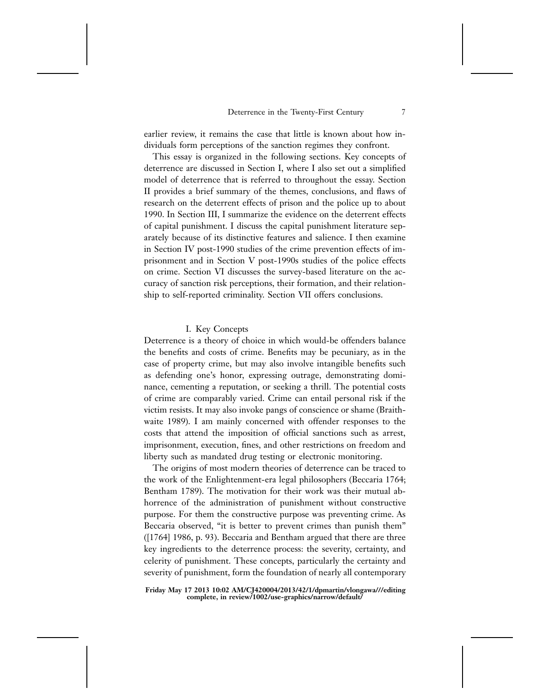earlier review, it remains the case that little is known about how individuals form perceptions of the sanction regimes they confront.

This essay is organized in the following sections. Key concepts of deterrence are discussed in Section I, where I also set out a simplified model of deterrence that is referred to throughout the essay. Section II provides a brief summary of the themes, conclusions, and flaws of research on the deterrent effects of prison and the police up to about 1990. In Section III, I summarize the evidence on the deterrent effects of capital punishment. I discuss the capital punishment literature separately because of its distinctive features and salience. I then examine in Section IV post-1990 studies of the crime prevention effects of imprisonment and in Section V post-1990s studies of the police effects on crime. Section VI discusses the survey-based literature on the accuracy of sanction risk perceptions, their formation, and their relationship to self-reported criminality. Section VII offers conclusions.

# I. Key Concepts

Deterrence is a theory of choice in which would-be offenders balance the benefits and costs of crime. Benefits may be pecuniary, as in the case of property crime, but may also involve intangible benefits such as defending one's honor, expressing outrage, demonstrating dominance, cementing a reputation, or seeking a thrill. The potential costs of crime are comparably varied. Crime can entail personal risk if the victim resists. It may also invoke pangs of conscience or shame (Braithwaite 1989). I am mainly concerned with offender responses to the costs that attend the imposition of official sanctions such as arrest, imprisonment, execution, fines, and other restrictions on freedom and liberty such as mandated drug testing or electronic monitoring.

The origins of most modern theories of deterrence can be traced to the work of the Enlightenment-era legal philosophers (Beccaria 1764; Bentham 1789). The motivation for their work was their mutual abhorrence of the administration of punishment without constructive purpose. For them the constructive purpose was preventing crime. As Beccaria observed, "it is better to prevent crimes than punish them" ([1764] 1986, p. 93). Beccaria and Bentham argued that there are three key ingredients to the deterrence process: the severity, certainty, and celerity of punishment. These concepts, particularly the certainty and severity of punishment, form the foundation of nearly all contemporary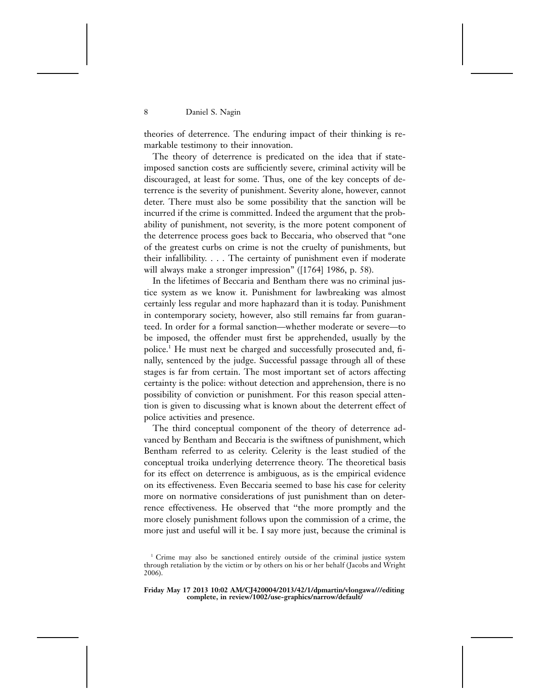theories of deterrence. The enduring impact of their thinking is remarkable testimony to their innovation.

The theory of deterrence is predicated on the idea that if stateimposed sanction costs are sufficiently severe, criminal activity will be discouraged, at least for some. Thus, one of the key concepts of deterrence is the severity of punishment. Severity alone, however, cannot deter. There must also be some possibility that the sanction will be incurred if the crime is committed. Indeed the argument that the probability of punishment, not severity, is the more potent component of the deterrence process goes back to Beccaria, who observed that "one of the greatest curbs on crime is not the cruelty of punishments, but their infallibility. . . . The certainty of punishment even if moderate will always make a stronger impression" ([1764] 1986, p. 58).

In the lifetimes of Beccaria and Bentham there was no criminal justice system as we know it. Punishment for lawbreaking was almost certainly less regular and more haphazard than it is today. Punishment in contemporary society, however, also still remains far from guaranteed. In order for a formal sanction—whether moderate or severe—to be imposed, the offender must first be apprehended, usually by the police.1 He must next be charged and successfully prosecuted and, finally, sentenced by the judge. Successful passage through all of these stages is far from certain. The most important set of actors affecting certainty is the police: without detection and apprehension, there is no possibility of conviction or punishment. For this reason special attention is given to discussing what is known about the deterrent effect of police activities and presence.

The third conceptual component of the theory of deterrence advanced by Bentham and Beccaria is the swiftness of punishment, which Bentham referred to as celerity. Celerity is the least studied of the conceptual troika underlying deterrence theory. The theoretical basis for its effect on deterrence is ambiguous, as is the empirical evidence on its effectiveness. Even Beccaria seemed to base his case for celerity more on normative considerations of just punishment than on deterrence effectiveness. He observed that ''the more promptly and the more closely punishment follows upon the commission of a crime, the more just and useful will it be. I say more just, because the criminal is

<sup>&</sup>lt;sup>1</sup> Crime may also be sanctioned entirely outside of the criminal justice system through retaliation by the victim or by others on his or her behalf ( Jacobs and Wright 2006).

**Friday May 17 2013 10:02 AM/CJ420004/2013/42/1/dpmartin/vlongawa///editing complete, in review/1002/use-graphics/narrow/default/**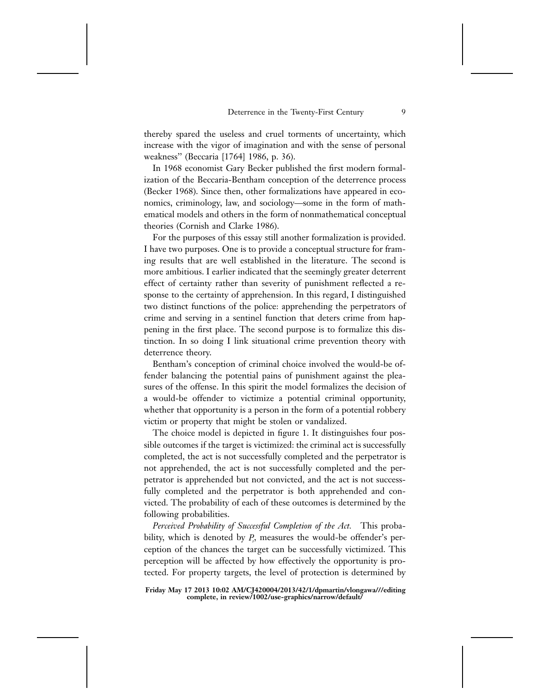thereby spared the useless and cruel torments of uncertainty, which increase with the vigor of imagination and with the sense of personal weakness'' (Beccaria [1764] 1986, p. 36).

In 1968 economist Gary Becker published the first modern formalization of the Beccaria-Bentham conception of the deterrence process (Becker 1968). Since then, other formalizations have appeared in economics, criminology, law, and sociology—some in the form of mathematical models and others in the form of nonmathematical conceptual theories (Cornish and Clarke 1986).

For the purposes of this essay still another formalization is provided. I have two purposes. One is to provide a conceptual structure for framing results that are well established in the literature. The second is more ambitious. I earlier indicated that the seemingly greater deterrent effect of certainty rather than severity of punishment reflected a response to the certainty of apprehension. In this regard, I distinguished two distinct functions of the police: apprehending the perpetrators of crime and serving in a sentinel function that deters crime from happening in the first place. The second purpose is to formalize this distinction. In so doing I link situational crime prevention theory with deterrence theory.

Bentham's conception of criminal choice involved the would-be offender balancing the potential pains of punishment against the pleasures of the offense. In this spirit the model formalizes the decision of a would-be offender to victimize a potential criminal opportunity, whether that opportunity is a person in the form of a potential robbery victim or property that might be stolen or vandalized.

The choice model is depicted in figure 1. It distinguishes four possible outcomes if the target is victimized: the criminal act is successfully completed, the act is not successfully completed and the perpetrator is not apprehended, the act is not successfully completed and the perpetrator is apprehended but not convicted, and the act is not successfully completed and the perpetrator is both apprehended and convicted. The probability of each of these outcomes is determined by the following probabilities.

*Perceived Probability of Successful Completion of the Act.* This probability, which is denoted by  $P_{\sigma}$ , measures the would-be offender's perception of the chances the target can be successfully victimized. This perception will be affected by how effectively the opportunity is protected. For property targets, the level of protection is determined by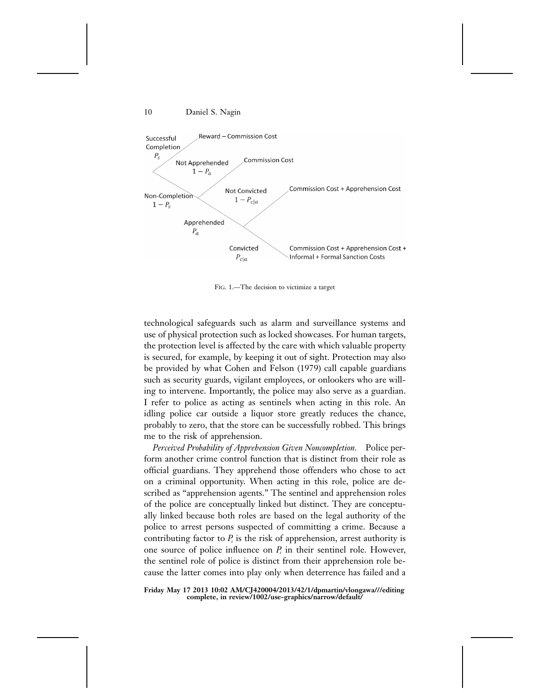

FIG. 1.—The decision to victimize a target

technological safeguards such as alarm and surveillance systems and use of physical protection such as locked showcases. For human targets, the protection level is affected by the care with which valuable property is secured, for example, by keeping it out of sight. Protection may also be provided by what Cohen and Felson (1979) call capable guardians such as security guards, vigilant employees, or onlookers who are willing to intervene. Importantly, the police may also serve as a guardian. I refer to police as acting as sentinels when acting in this role. An idling police car outside a liquor store greatly reduces the chance, probably to zero, that the store can be successfully robbed. This brings me to the risk of apprehension.

*Perceived Probability of Apprehension Given Noncompletion.* Police perform another crime control function that is distinct from their role as official guardians. They apprehend those offenders who chose to act on a criminal opportunity. When acting in this role, police are described as "apprehension agents." The sentinel and apprehension roles of the police are conceptually linked but distinct. They are conceptually linked because both roles are based on the legal authority of the police to arrest persons suspected of committing a crime. Because a contributing factor to  $P<sub>s</sub>$  is the risk of apprehension, arrest authority is one source of police influence on  $P<sub>s</sub>$  in their sentinel role. However, the sentinel role of police is distinct from their apprehension role because the latter comes into play only when deterrence has failed and a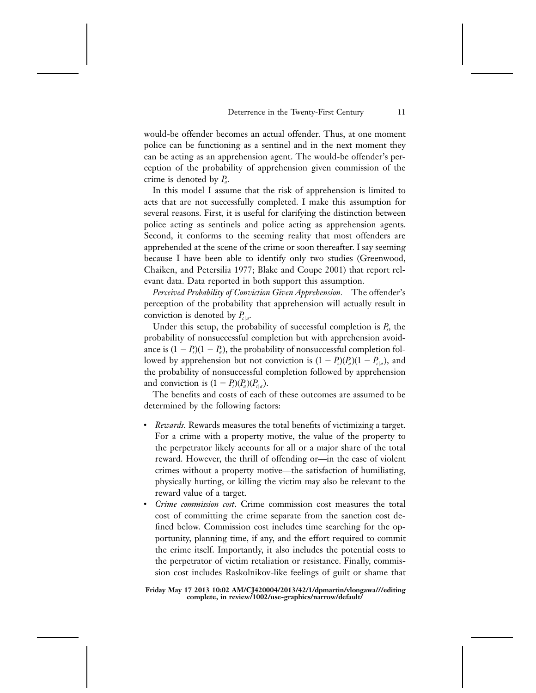would-be offender becomes an actual offender. Thus, at one moment police can be functioning as a sentinel and in the next moment they can be acting as an apprehension agent. The would-be offender's perception of the probability of apprehension given commission of the crime is denoted by  $P_a$ .

In this model I assume that the risk of apprehension is limited to acts that are not successfully completed. I make this assumption for several reasons. First, it is useful for clarifying the distinction between police acting as sentinels and police acting as apprehension agents. Second, it conforms to the seeming reality that most offenders are apprehended at the scene of the crime or soon thereafter. I say seeming because I have been able to identify only two studies (Greenwood, Chaiken, and Petersilia 1977; Blake and Coupe 2001) that report relevant data. Data reported in both support this assumption.

*Perceived Probability of Conviction Given Apprehension.* The offender's perception of the probability that apprehension will actually result in conviction is denoted by  $P_{c/a}$ .

Under this setup, the probability of successful completion is  $P_{s}$ , the probability of nonsuccessful completion but with apprehension avoidance is  $(1 - P_s)(1 - P_a)$ , the probability of nonsuccessful completion followed by apprehension but not conviction is  $(1 - P_s)(P_a)(1 - P_{c/a})$ , and the probability of nonsuccessful completion followed by apprehension and conviction is  $(1 - P_s)(P_a)(P_{c|a})$ .

The benefits and costs of each of these outcomes are assumed to be determined by the following factors:

- *Rewards.* Rewards measures the total benefits of victimizing a target. For a crime with a property motive, the value of the property to the perpetrator likely accounts for all or a major share of the total reward. However, the thrill of offending or—in the case of violent crimes without a property motive—the satisfaction of humiliating, physically hurting, or killing the victim may also be relevant to the reward value of a target.
- *Crime commission cost*. Crime commission cost measures the total cost of committing the crime separate from the sanction cost defined below. Commission cost includes time searching for the opportunity, planning time, if any, and the effort required to commit the crime itself. Importantly, it also includes the potential costs to the perpetrator of victim retaliation or resistance. Finally, commission cost includes Raskolnikov-like feelings of guilt or shame that

**Friday May 17 2013 10:02 AM/CJ420004/2013/42/1/dpmartin/vlongawa///editing complete, in review/1002/use-graphics/narrow/default/**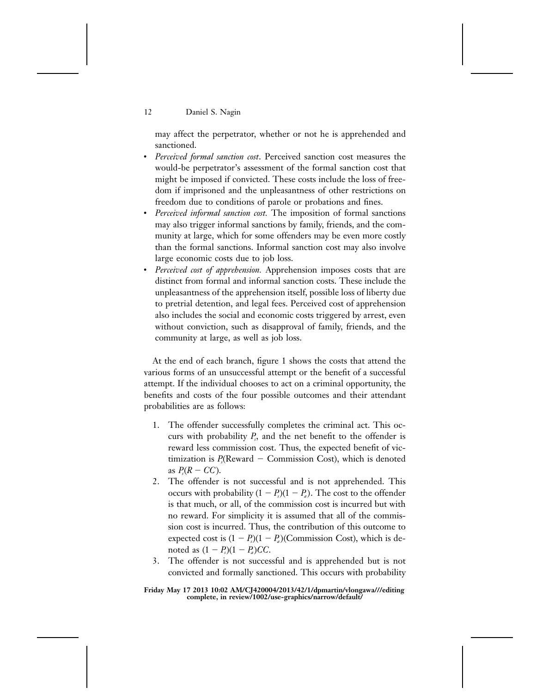may affect the perpetrator, whether or not he is apprehended and sanctioned.

- *Perceived formal sanction cost*. Perceived sanction cost measures the would-be perpetrator's assessment of the formal sanction cost that might be imposed if convicted. These costs include the loss of freedom if imprisoned and the unpleasantness of other restrictions on freedom due to conditions of parole or probations and fines.
- *Perceived informal sanction cost.* The imposition of formal sanctions may also trigger informal sanctions by family, friends, and the community at large, which for some offenders may be even more costly than the formal sanctions. Informal sanction cost may also involve large economic costs due to job loss.
- *Perceived cost of apprehension.* Apprehension imposes costs that are distinct from formal and informal sanction costs. These include the unpleasantness of the apprehension itself, possible loss of liberty due to pretrial detention, and legal fees. Perceived cost of apprehension also includes the social and economic costs triggered by arrest, even without conviction, such as disapproval of family, friends, and the community at large, as well as job loss.

At the end of each branch, figure 1 shows the costs that attend the various forms of an unsuccessful attempt or the benefit of a successful attempt. If the individual chooses to act on a criminal opportunity, the benefits and costs of the four possible outcomes and their attendant probabilities are as follows:

- 1. The offender successfully completes the criminal act. This occurs with probability  $P_{\rm s}$ , and the net benefit to the offender is reward less commission cost. Thus, the expected benefit of victimization is  $P<sub>s</sub>(Reward - Commission Cost)$ , which is denoted as  $P(R - CC)$ .
- 2. The offender is not successful and is not apprehended. This occurs with probability  $(1 - P)(1 - P_a)$ . The cost to the offender is that much, or all, of the commission cost is incurred but with no reward. For simplicity it is assumed that all of the commission cost is incurred. Thus, the contribution of this outcome to expected cost is  $(1 - P_s)(1 - P_a)(\text{Commission Cost})$ , which is denoted as  $(1 - P_s)(1 - P_a)CC$ .
- 3. The offender is not successful and is apprehended but is not convicted and formally sanctioned. This occurs with probability
- **Friday May 17 2013 10:02 AM/CJ420004/2013/42/1/dpmartin/vlongawa///editing complete, in review/1002/use-graphics/narrow/default/**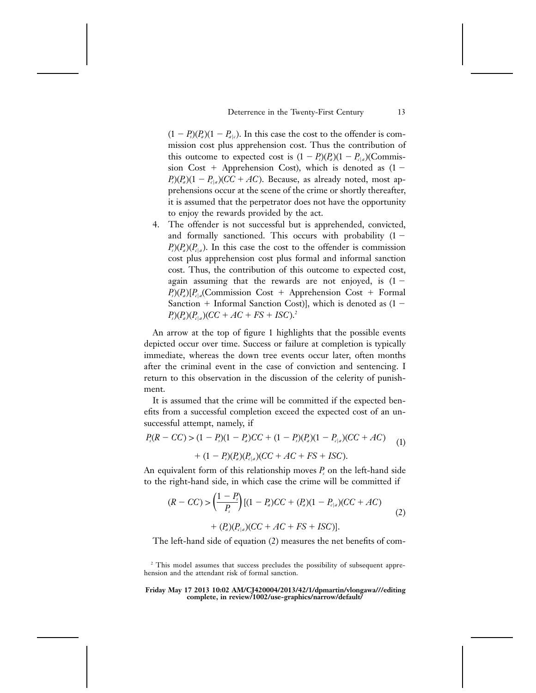$(1 - P_s)(P_a)(1 - P_{a|c})$ . In this case the cost to the offender is commission cost plus apprehension cost. Thus the contribution of this outcome to expected cost is  $(1 - P_s)(P_a)(1 - P_{c|a})(\text{Commis-}$ sion Cost + Apprehension Cost), which is denoted as  $(1 P_{s}(P_{a})(1 - P_{c|a})(CC + AC)$ . Because, as already noted, most apprehensions occur at the scene of the crime or shortly thereafter, it is assumed that the perpetrator does not have the opportunity to enjoy the rewards provided by the act.

4. The offender is not successful but is apprehended, convicted, and formally sanctioned. This occurs with probability  $(1 P_{s}(P_{a})(P_{c})$ . In this case the cost to the offender is commission cost plus apprehension cost plus formal and informal sanction cost. Thus, the contribution of this outcome to expected cost, again assuming that the rewards are not enjoyed, is  $(1 P_{s}(P_{a})[P_{c}|_{a}$  (Commission Cost + Apprehension Cost + Formal Sanction  $+$  Informal Sanction Cost)], which is denoted as  $(1 P_{s}(P_{a})(P_{c|a})(CC + AC + FS + ISC).^{2}$ 

An arrow at the top of figure 1 highlights that the possible events depicted occur over time. Success or failure at completion is typically immediate, whereas the down tree events occur later, often months after the criminal event in the case of conviction and sentencing. I return to this observation in the discussion of the celerity of punishment.

It is assumed that the crime will be committed if the expected benefits from a successful completion exceed the expected cost of an unsuccessful attempt, namely, if

$$
P_{s}(R - CC) > (1 - P_{s})(1 - P_{a})CC + (1 - P_{s})(P_{a})(1 - P_{c|a})(CC + AC) \tag{1}
$$
\n
$$
+ (1 - P_{s})(P_{a})(P_{c|a})(CC + AC + FS + ISC).
$$

An equivalent form of this relationship moves  $P<sub>s</sub>$  on the left-hand side to the right-hand side, in which case the crime will be committed if

$$
(R - CC) > \left(\frac{1 - P_s}{P_s}\right)[(1 - P_a)CC + (P_a)(1 - P_{c|a})(CC + AC) + (P_a)(P_{c|a})(CC + AC + FS + ISC)].
$$
\n(2)

The left-hand side of equation (2) measures the net benefits of com-

<sup>&</sup>lt;sup>2</sup> This model assumes that success precludes the possibility of subsequent apprehension and the attendant risk of formal sanction.

**Friday May 17 2013 10:02 AM/CJ420004/2013/42/1/dpmartin/vlongawa///editing complete, in review/1002/use-graphics/narrow/default/**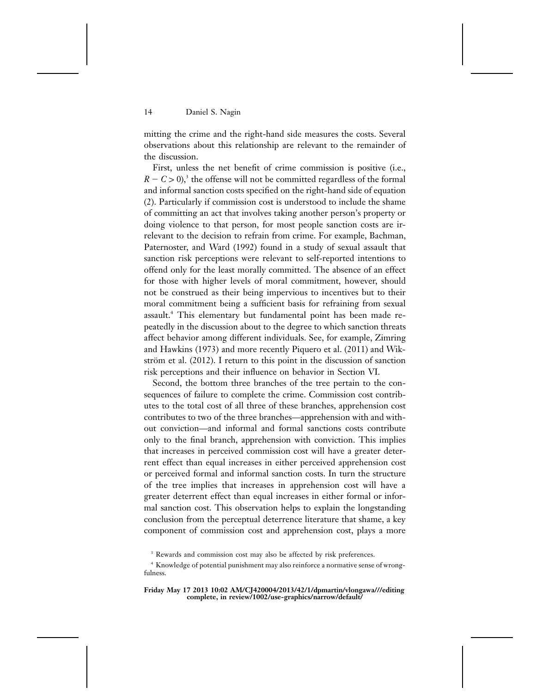mitting the crime and the right-hand side measures the costs. Several observations about this relationship are relevant to the remainder of the discussion.

First, unless the net benefit of crime commission is positive (i.e.,  $R - C > 0$ ,<sup>3</sup> the offense will not be committed regardless of the formal and informal sanction costs specified on the right-hand side of equation (2). Particularly if commission cost is understood to include the shame of committing an act that involves taking another person's property or doing violence to that person, for most people sanction costs are irrelevant to the decision to refrain from crime. For example, Bachman, Paternoster, and Ward (1992) found in a study of sexual assault that sanction risk perceptions were relevant to self-reported intentions to offend only for the least morally committed. The absence of an effect for those with higher levels of moral commitment, however, should not be construed as their being impervious to incentives but to their moral commitment being a sufficient basis for refraining from sexual assault.4 This elementary but fundamental point has been made repeatedly in the discussion about to the degree to which sanction threats affect behavior among different individuals. See, for example, Zimring and Hawkins (1973) and more recently Piquero et al. (2011) and Wikström et al. (2012). I return to this point in the discussion of sanction risk perceptions and their influence on behavior in Section VI.

Second, the bottom three branches of the tree pertain to the consequences of failure to complete the crime. Commission cost contributes to the total cost of all three of these branches, apprehension cost contributes to two of the three branches—apprehension with and without conviction—and informal and formal sanctions costs contribute only to the final branch, apprehension with conviction. This implies that increases in perceived commission cost will have a greater deterrent effect than equal increases in either perceived apprehension cost or perceived formal and informal sanction costs. In turn the structure of the tree implies that increases in apprehension cost will have a greater deterrent effect than equal increases in either formal or informal sanction cost. This observation helps to explain the longstanding conclusion from the perceptual deterrence literature that shame, a key component of commission cost and apprehension cost, plays a more

<sup>&</sup>lt;sup>3</sup> Rewards and commission cost may also be affected by risk preferences.

<sup>4</sup> Knowledge of potential punishment may also reinforce a normative sense of wrongfulness.

**Friday May 17 2013 10:02 AM/CJ420004/2013/42/1/dpmartin/vlongawa///editing complete, in review/1002/use-graphics/narrow/default/**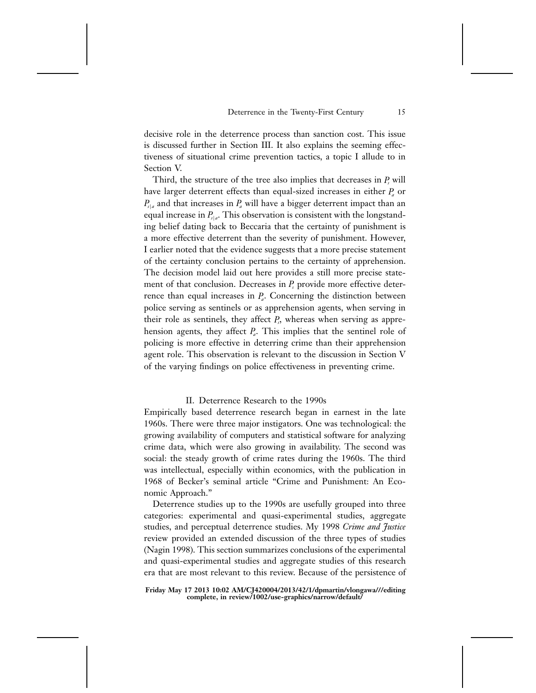decisive role in the deterrence process than sanction cost. This issue is discussed further in Section III. It also explains the seeming effectiveness of situational crime prevention tactics, a topic I allude to in Section V.

Third, the structure of the tree also implies that decreases in  $P_s$  will have larger deterrent effects than equal-sized increases in either  $P_a$  or  $P_{s|a}$  and that increases in  $P_a$  will have a bigger deterrent impact than an equal increase in  $P_{s|a}$ . This observation is consistent with the longstanding belief dating back to Beccaria that the certainty of punishment is a more effective deterrent than the severity of punishment. However, I earlier noted that the evidence suggests that a more precise statement of the certainty conclusion pertains to the certainty of apprehension. The decision model laid out here provides a still more precise statement of that conclusion. Decreases in  $P_s$  provide more effective deterrence than equal increases in  $P_a$ . Concerning the distinction between police serving as sentinels or as apprehension agents, when serving in their role as sentinels, they affect  $P_s$ , whereas when serving as apprehension agents, they affect  $P_a$ . This implies that the sentinel role of policing is more effective in deterring crime than their apprehension agent role. This observation is relevant to the discussion in Section V of the varying findings on police effectiveness in preventing crime.

#### II. Deterrence Research to the 1990s

Empirically based deterrence research began in earnest in the late 1960s. There were three major instigators. One was technological: the growing availability of computers and statistical software for analyzing crime data, which were also growing in availability. The second was social: the steady growth of crime rates during the 1960s. The third was intellectual, especially within economics, with the publication in 1968 of Becker's seminal article "Crime and Punishment: An Economic Approach."

Deterrence studies up to the 1990s are usefully grouped into three categories: experimental and quasi-experimental studies, aggregate studies, and perceptual deterrence studies. My 1998 *Crime and Justice* review provided an extended discussion of the three types of studies (Nagin 1998). This section summarizes conclusions of the experimental and quasi-experimental studies and aggregate studies of this research era that are most relevant to this review. Because of the persistence of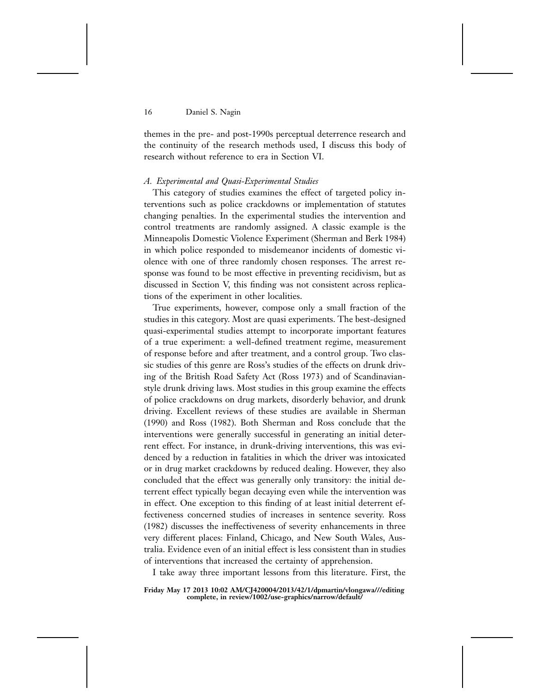themes in the pre- and post-1990s perceptual deterrence research and the continuity of the research methods used, I discuss this body of research without reference to era in Section VI.

# *A. Experimental and Quasi-Experimental Studies*

This category of studies examines the effect of targeted policy interventions such as police crackdowns or implementation of statutes changing penalties. In the experimental studies the intervention and control treatments are randomly assigned. A classic example is the Minneapolis Domestic Violence Experiment (Sherman and Berk 1984) in which police responded to misdemeanor incidents of domestic violence with one of three randomly chosen responses. The arrest response was found to be most effective in preventing recidivism, but as discussed in Section V, this finding was not consistent across replications of the experiment in other localities.

True experiments, however, compose only a small fraction of the studies in this category. Most are quasi experiments. The best-designed quasi-experimental studies attempt to incorporate important features of a true experiment: a well-defined treatment regime, measurement of response before and after treatment, and a control group. Two classic studies of this genre are Ross's studies of the effects on drunk driving of the British Road Safety Act (Ross 1973) and of Scandinavianstyle drunk driving laws. Most studies in this group examine the effects of police crackdowns on drug markets, disorderly behavior, and drunk driving. Excellent reviews of these studies are available in Sherman (1990) and Ross (1982). Both Sherman and Ross conclude that the interventions were generally successful in generating an initial deterrent effect. For instance, in drunk-driving interventions, this was evidenced by a reduction in fatalities in which the driver was intoxicated or in drug market crackdowns by reduced dealing. However, they also concluded that the effect was generally only transitory: the initial deterrent effect typically began decaying even while the intervention was in effect. One exception to this finding of at least initial deterrent effectiveness concerned studies of increases in sentence severity. Ross (1982) discusses the ineffectiveness of severity enhancements in three very different places: Finland, Chicago, and New South Wales, Australia. Evidence even of an initial effect is less consistent than in studies of interventions that increased the certainty of apprehension.

I take away three important lessons from this literature. First, the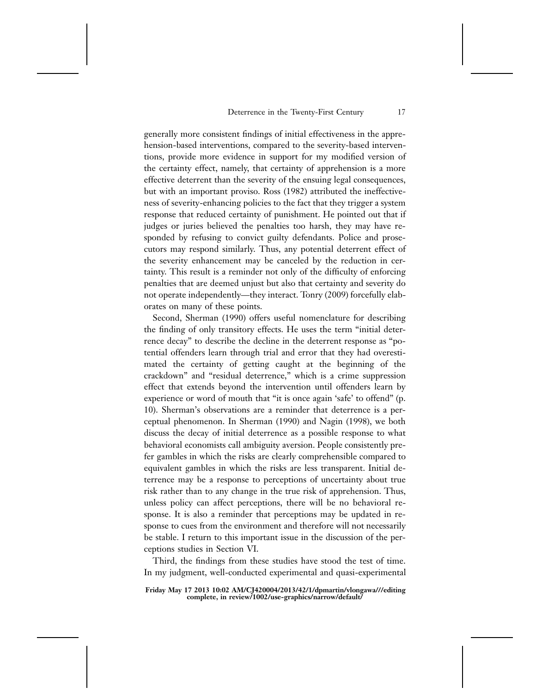generally more consistent findings of initial effectiveness in the apprehension-based interventions, compared to the severity-based interventions, provide more evidence in support for my modified version of the certainty effect, namely, that certainty of apprehension is a more effective deterrent than the severity of the ensuing legal consequences, but with an important proviso. Ross (1982) attributed the ineffectiveness of severity-enhancing policies to the fact that they trigger a system response that reduced certainty of punishment. He pointed out that if judges or juries believed the penalties too harsh, they may have responded by refusing to convict guilty defendants. Police and prosecutors may respond similarly. Thus, any potential deterrent effect of the severity enhancement may be canceled by the reduction in certainty. This result is a reminder not only of the difficulty of enforcing penalties that are deemed unjust but also that certainty and severity do not operate independently—they interact. Tonry (2009) forcefully elaborates on many of these points.

Second, Sherman (1990) offers useful nomenclature for describing the finding of only transitory effects. He uses the term "initial deterrence decay" to describe the decline in the deterrent response as "potential offenders learn through trial and error that they had overestimated the certainty of getting caught at the beginning of the crackdown" and "residual deterrence," which is a crime suppression effect that extends beyond the intervention until offenders learn by experience or word of mouth that "it is once again 'safe' to offend" (p. 10). Sherman's observations are a reminder that deterrence is a perceptual phenomenon. In Sherman (1990) and Nagin (1998), we both discuss the decay of initial deterrence as a possible response to what behavioral economists call ambiguity aversion. People consistently prefer gambles in which the risks are clearly comprehensible compared to equivalent gambles in which the risks are less transparent. Initial deterrence may be a response to perceptions of uncertainty about true risk rather than to any change in the true risk of apprehension. Thus, unless policy can affect perceptions, there will be no behavioral response. It is also a reminder that perceptions may be updated in response to cues from the environment and therefore will not necessarily be stable. I return to this important issue in the discussion of the perceptions studies in Section VI.

Third, the findings from these studies have stood the test of time. In my judgment, well-conducted experimental and quasi-experimental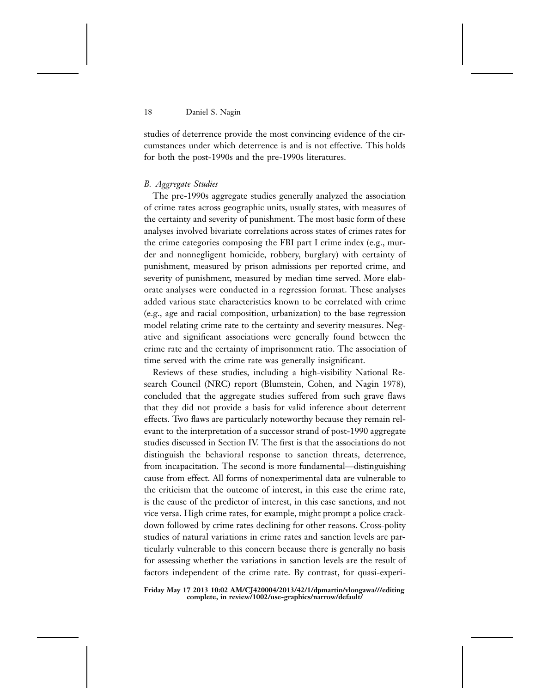studies of deterrence provide the most convincing evidence of the circumstances under which deterrence is and is not effective. This holds for both the post-1990s and the pre-1990s literatures.

#### *B. Aggregate Studies*

The pre-1990s aggregate studies generally analyzed the association of crime rates across geographic units, usually states, with measures of the certainty and severity of punishment. The most basic form of these analyses involved bivariate correlations across states of crimes rates for the crime categories composing the FBI part I crime index (e.g., murder and nonnegligent homicide, robbery, burglary) with certainty of punishment, measured by prison admissions per reported crime, and severity of punishment, measured by median time served. More elaborate analyses were conducted in a regression format. These analyses added various state characteristics known to be correlated with crime (e.g., age and racial composition, urbanization) to the base regression model relating crime rate to the certainty and severity measures. Negative and significant associations were generally found between the crime rate and the certainty of imprisonment ratio. The association of time served with the crime rate was generally insignificant.

Reviews of these studies, including a high-visibility National Research Council (NRC) report (Blumstein, Cohen, and Nagin 1978), concluded that the aggregate studies suffered from such grave flaws that they did not provide a basis for valid inference about deterrent effects. Two flaws are particularly noteworthy because they remain relevant to the interpretation of a successor strand of post-1990 aggregate studies discussed in Section IV. The first is that the associations do not distinguish the behavioral response to sanction threats, deterrence, from incapacitation. The second is more fundamental—distinguishing cause from effect. All forms of nonexperimental data are vulnerable to the criticism that the outcome of interest, in this case the crime rate, is the cause of the predictor of interest, in this case sanctions, and not vice versa. High crime rates, for example, might prompt a police crackdown followed by crime rates declining for other reasons. Cross-polity studies of natural variations in crime rates and sanction levels are particularly vulnerable to this concern because there is generally no basis for assessing whether the variations in sanction levels are the result of factors independent of the crime rate. By contrast, for quasi-experi-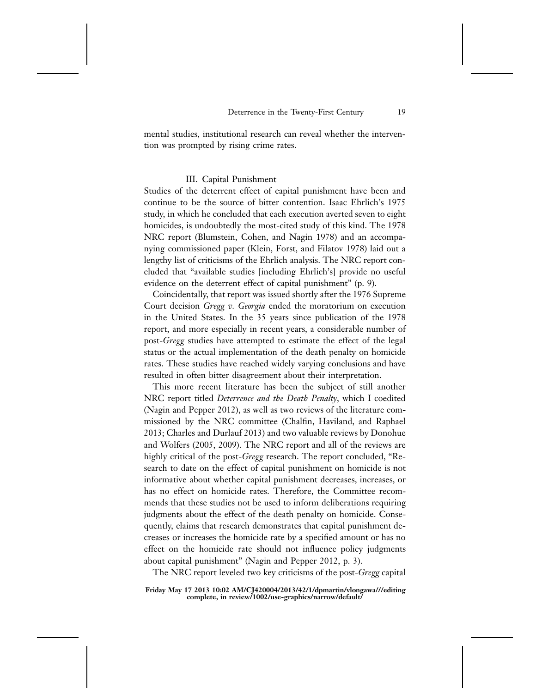mental studies, institutional research can reveal whether the intervention was prompted by rising crime rates.

# III. Capital Punishment

Studies of the deterrent effect of capital punishment have been and continue to be the source of bitter contention. Isaac Ehrlich's 1975 study, in which he concluded that each execution averted seven to eight homicides, is undoubtedly the most-cited study of this kind. The 1978 NRC report (Blumstein, Cohen, and Nagin 1978) and an accompanying commissioned paper (Klein, Forst, and Filatov 1978) laid out a lengthy list of criticisms of the Ehrlich analysis. The NRC report concluded that "available studies [including Ehrlich's] provide no useful evidence on the deterrent effect of capital punishment" (p. 9).

Coincidentally, that report was issued shortly after the 1976 Supreme Court decision *Gregg v. Georgia* ended the moratorium on execution in the United States. In the 35 years since publication of the 1978 report, and more especially in recent years, a considerable number of post-*Gregg* studies have attempted to estimate the effect of the legal status or the actual implementation of the death penalty on homicide rates. These studies have reached widely varying conclusions and have resulted in often bitter disagreement about their interpretation.

This more recent literature has been the subject of still another NRC report titled *Deterrence and the Death Penalty*, which I coedited (Nagin and Pepper 2012), as well as two reviews of the literature commissioned by the NRC committee (Chalfin, Haviland, and Raphael 2013; Charles and Durlauf 2013) and two valuable reviews by Donohue and Wolfers (2005, 2009). The NRC report and all of the reviews are highly critical of the post-*Gregg* research. The report concluded, "Research to date on the effect of capital punishment on homicide is not informative about whether capital punishment decreases, increases, or has no effect on homicide rates. Therefore, the Committee recommends that these studies not be used to inform deliberations requiring judgments about the effect of the death penalty on homicide. Consequently, claims that research demonstrates that capital punishment decreases or increases the homicide rate by a specified amount or has no effect on the homicide rate should not influence policy judgments about capital punishment" (Nagin and Pepper 2012, p. 3).

The NRC report leveled two key criticisms of the post-*Gregg* capital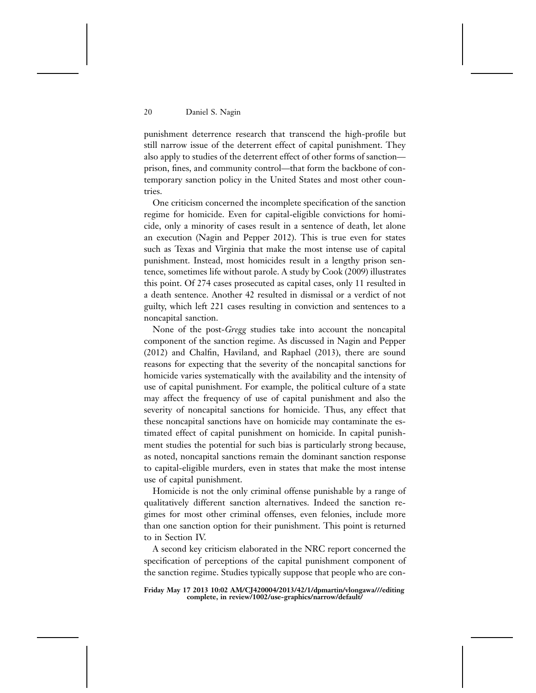punishment deterrence research that transcend the high-profile but still narrow issue of the deterrent effect of capital punishment. They also apply to studies of the deterrent effect of other forms of sanction prison, fines, and community control—that form the backbone of contemporary sanction policy in the United States and most other countries.

One criticism concerned the incomplete specification of the sanction regime for homicide. Even for capital-eligible convictions for homicide, only a minority of cases result in a sentence of death, let alone an execution (Nagin and Pepper 2012). This is true even for states such as Texas and Virginia that make the most intense use of capital punishment. Instead, most homicides result in a lengthy prison sentence, sometimes life without parole. A study by Cook (2009) illustrates this point. Of 274 cases prosecuted as capital cases, only 11 resulted in a death sentence. Another 42 resulted in dismissal or a verdict of not guilty, which left 221 cases resulting in conviction and sentences to a noncapital sanction.

None of the post-*Gregg* studies take into account the noncapital component of the sanction regime. As discussed in Nagin and Pepper (2012) and Chalfin, Haviland, and Raphael (2013), there are sound reasons for expecting that the severity of the noncapital sanctions for homicide varies systematically with the availability and the intensity of use of capital punishment. For example, the political culture of a state may affect the frequency of use of capital punishment and also the severity of noncapital sanctions for homicide. Thus, any effect that these noncapital sanctions have on homicide may contaminate the estimated effect of capital punishment on homicide. In capital punishment studies the potential for such bias is particularly strong because, as noted, noncapital sanctions remain the dominant sanction response to capital-eligible murders, even in states that make the most intense use of capital punishment.

Homicide is not the only criminal offense punishable by a range of qualitatively different sanction alternatives. Indeed the sanction regimes for most other criminal offenses, even felonies, include more than one sanction option for their punishment. This point is returned to in Section IV.

A second key criticism elaborated in the NRC report concerned the specification of perceptions of the capital punishment component of the sanction regime. Studies typically suppose that people who are con-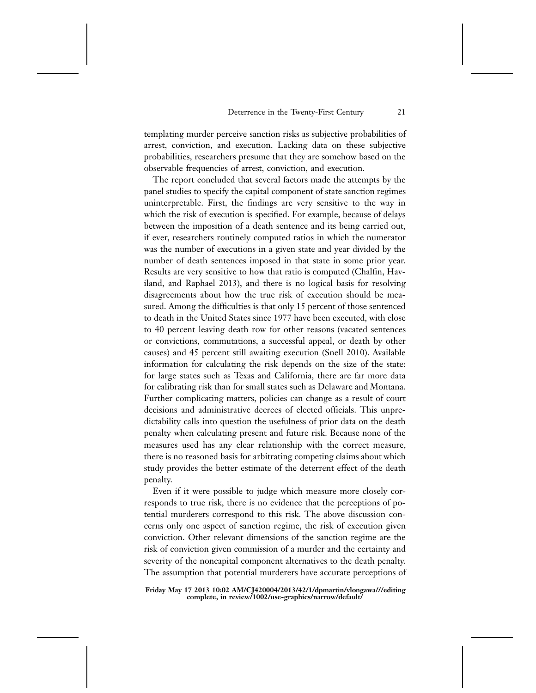templating murder perceive sanction risks as subjective probabilities of arrest, conviction, and execution. Lacking data on these subjective probabilities, researchers presume that they are somehow based on the observable frequencies of arrest, conviction, and execution.

The report concluded that several factors made the attempts by the panel studies to specify the capital component of state sanction regimes uninterpretable. First, the findings are very sensitive to the way in which the risk of execution is specified. For example, because of delays between the imposition of a death sentence and its being carried out, if ever, researchers routinely computed ratios in which the numerator was the number of executions in a given state and year divided by the number of death sentences imposed in that state in some prior year. Results are very sensitive to how that ratio is computed (Chalfin, Haviland, and Raphael 2013), and there is no logical basis for resolving disagreements about how the true risk of execution should be measured. Among the difficulties is that only 15 percent of those sentenced to death in the United States since 1977 have been executed, with close to 40 percent leaving death row for other reasons (vacated sentences or convictions, commutations, a successful appeal, or death by other causes) and 45 percent still awaiting execution (Snell 2010). Available information for calculating the risk depends on the size of the state: for large states such as Texas and California, there are far more data for calibrating risk than for small states such as Delaware and Montana. Further complicating matters, policies can change as a result of court decisions and administrative decrees of elected officials. This unpredictability calls into question the usefulness of prior data on the death penalty when calculating present and future risk. Because none of the measures used has any clear relationship with the correct measure, there is no reasoned basis for arbitrating competing claims about which study provides the better estimate of the deterrent effect of the death penalty.

Even if it were possible to judge which measure more closely corresponds to true risk, there is no evidence that the perceptions of potential murderers correspond to this risk. The above discussion concerns only one aspect of sanction regime, the risk of execution given conviction. Other relevant dimensions of the sanction regime are the risk of conviction given commission of a murder and the certainty and severity of the noncapital component alternatives to the death penalty. The assumption that potential murderers have accurate perceptions of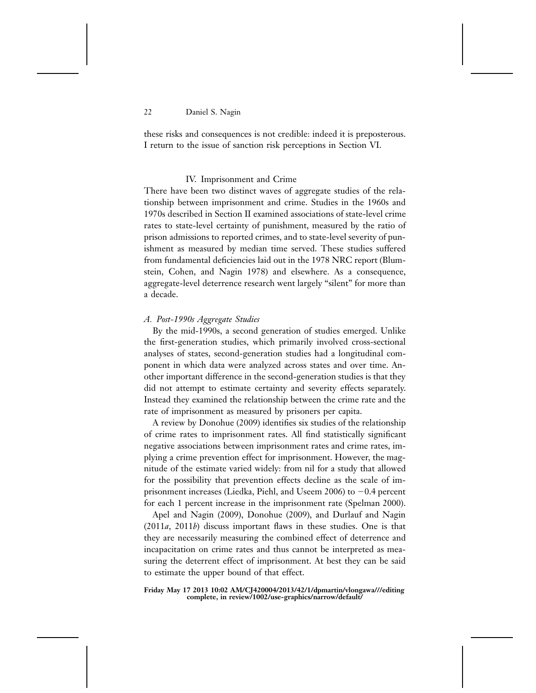these risks and consequences is not credible: indeed it is preposterous. I return to the issue of sanction risk perceptions in Section VI.

#### IV. Imprisonment and Crime

There have been two distinct waves of aggregate studies of the relationship between imprisonment and crime. Studies in the 1960s and 1970s described in Section II examined associations of state-level crime rates to state-level certainty of punishment, measured by the ratio of prison admissions to reported crimes, and to state-level severity of punishment as measured by median time served. These studies suffered from fundamental deficiencies laid out in the 1978 NRC report (Blumstein, Cohen, and Nagin 1978) and elsewhere. As a consequence, aggregate-level deterrence research went largely "silent" for more than a decade.

#### *A. Post-1990s Aggregate Studies*

By the mid-1990s, a second generation of studies emerged. Unlike the first-generation studies, which primarily involved cross-sectional analyses of states, second-generation studies had a longitudinal component in which data were analyzed across states and over time. Another important difference in the second-generation studies is that they did not attempt to estimate certainty and severity effects separately. Instead they examined the relationship between the crime rate and the rate of imprisonment as measured by prisoners per capita.

A review by Donohue (2009) identifies six studies of the relationship of crime rates to imprisonment rates. All find statistically significant negative associations between imprisonment rates and crime rates, implying a crime prevention effect for imprisonment. However, the magnitude of the estimate varied widely: from nil for a study that allowed for the possibility that prevention effects decline as the scale of imprisonment increases (Liedka, Piehl, and Useem 2006) to  $-0.4$  percent for each 1 percent increase in the imprisonment rate (Spelman 2000).

Apel and Nagin (2009), Donohue (2009), and Durlauf and Nagin (2011*a*, 2011*b*) discuss important flaws in these studies. One is that they are necessarily measuring the combined effect of deterrence and incapacitation on crime rates and thus cannot be interpreted as measuring the deterrent effect of imprisonment. At best they can be said to estimate the upper bound of that effect.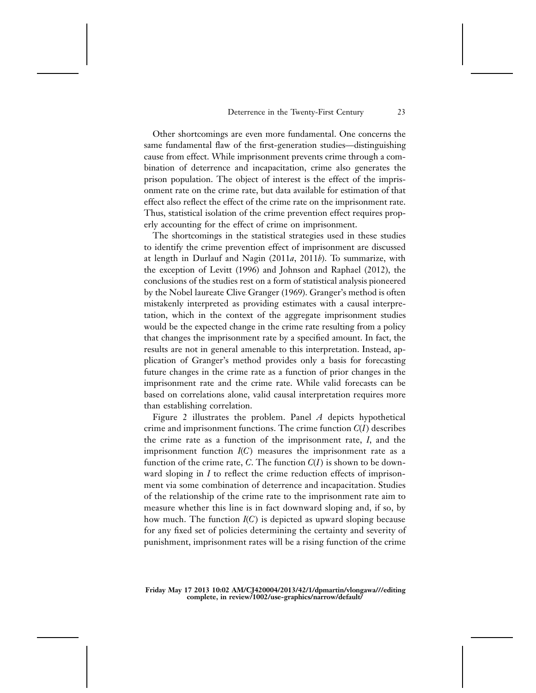#### Deterrence in the Twenty-First Century 23

Other shortcomings are even more fundamental. One concerns the same fundamental flaw of the first-generation studies—distinguishing cause from effect. While imprisonment prevents crime through a combination of deterrence and incapacitation, crime also generates the prison population. The object of interest is the effect of the imprisonment rate on the crime rate, but data available for estimation of that effect also reflect the effect of the crime rate on the imprisonment rate. Thus, statistical isolation of the crime prevention effect requires properly accounting for the effect of crime on imprisonment.

The shortcomings in the statistical strategies used in these studies to identify the crime prevention effect of imprisonment are discussed at length in Durlauf and Nagin (2011*a*, 2011*b*). To summarize, with the exception of Levitt (1996) and Johnson and Raphael (2012), the conclusions of the studies rest on a form of statistical analysis pioneered by the Nobel laureate Clive Granger (1969). Granger's method is often mistakenly interpreted as providing estimates with a causal interpretation, which in the context of the aggregate imprisonment studies would be the expected change in the crime rate resulting from a policy that changes the imprisonment rate by a specified amount. In fact, the results are not in general amenable to this interpretation. Instead, application of Granger's method provides only a basis for forecasting future changes in the crime rate as a function of prior changes in the imprisonment rate and the crime rate. While valid forecasts can be based on correlations alone, valid causal interpretation requires more than establishing correlation.

Figure 2 illustrates the problem. Panel *A* depicts hypothetical crime and imprisonment functions. The crime function  $C(I)$  describes the crime rate as a function of the imprisonment rate, *I*, and the imprisonment function  $I(C)$  measures the imprisonment rate as a function of the crime rate, *C*. The function  $C(I)$  is shown to be downward sloping in *I* to reflect the crime reduction effects of imprisonment via some combination of deterrence and incapacitation. Studies of the relationship of the crime rate to the imprisonment rate aim to measure whether this line is in fact downward sloping and, if so, by how much. The function  $I(C)$  is depicted as upward sloping because for any fixed set of policies determining the certainty and severity of punishment, imprisonment rates will be a rising function of the crime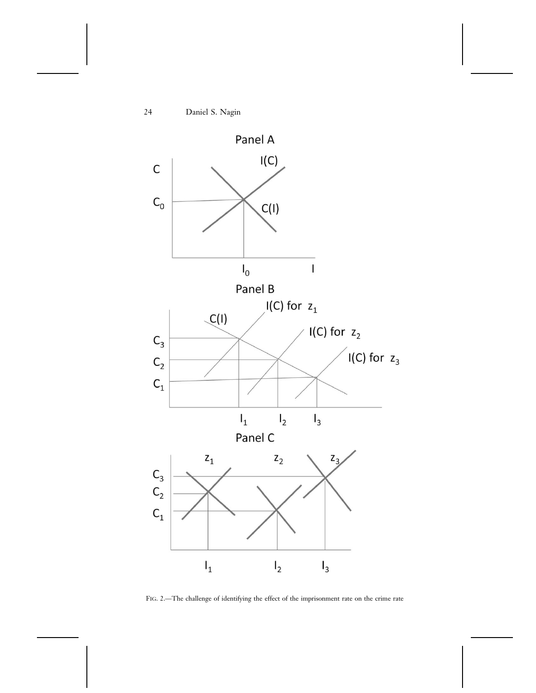



FIG. 2.—The challenge of identifying the effect of the imprisonment rate on the crime rate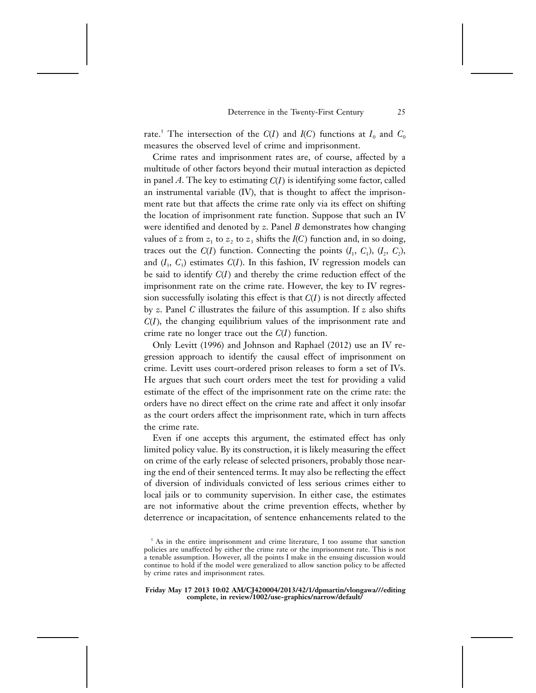rate.<sup>5</sup> The intersection of the  $C(I)$  and  $I(C)$  functions at  $I_0$  and  $C_0$ measures the observed level of crime and imprisonment.

Crime rates and imprisonment rates are, of course, affected by a multitude of other factors beyond their mutual interaction as depicted in panel *A*. The key to estimating  $C(I)$  is identifying some factor, called an instrumental variable (IV), that is thought to affect the imprisonment rate but that affects the crime rate only via its effect on shifting the location of imprisonment rate function. Suppose that such an IV were identified and denoted by *z*. Panel *B* demonstrates how changing values of *z* from  $z_1$  to  $z_2$  to  $z_3$  shifts the  $I(C)$  function and, in so doing, traces out the  $C(I)$  function. Connecting the points  $(I_1, C_1), (I_2, C_2),$ and  $(I_3, C_3)$  estimates  $C(I)$ . In this fashion, IV regression models can be said to identify  $C(I)$  and thereby the crime reduction effect of the imprisonment rate on the crime rate. However, the key to IV regression successfully isolating this effect is that  $C(I)$  is not directly affected by *z*. Panel *C* illustrates the failure of this assumption. If *z* also shifts *C*(*I*), the changing equilibrium values of the imprisonment rate and crime rate no longer trace out the  $C(I)$  function.

Only Levitt (1996) and Johnson and Raphael (2012) use an IV regression approach to identify the causal effect of imprisonment on crime. Levitt uses court-ordered prison releases to form a set of IVs. He argues that such court orders meet the test for providing a valid estimate of the effect of the imprisonment rate on the crime rate: the orders have no direct effect on the crime rate and affect it only insofar as the court orders affect the imprisonment rate, which in turn affects the crime rate.

Even if one accepts this argument, the estimated effect has only limited policy value. By its construction, it is likely measuring the effect on crime of the early release of selected prisoners, probably those nearing the end of their sentenced terms. It may also be reflecting the effect of diversion of individuals convicted of less serious crimes either to local jails or to community supervision. In either case, the estimates are not informative about the crime prevention effects, whether by deterrence or incapacitation, of sentence enhancements related to the

<sup>&</sup>lt;sup>5</sup> As in the entire imprisonment and crime literature, I too assume that sanction policies are unaffected by either the crime rate or the imprisonment rate. This is not a tenable assumption. However, all the points I make in the ensuing discussion would continue to hold if the model were generalized to allow sanction policy to be affected by crime rates and imprisonment rates.

**Friday May 17 2013 10:02 AM/CJ420004/2013/42/1/dpmartin/vlongawa///editing complete, in review/1002/use-graphics/narrow/default/**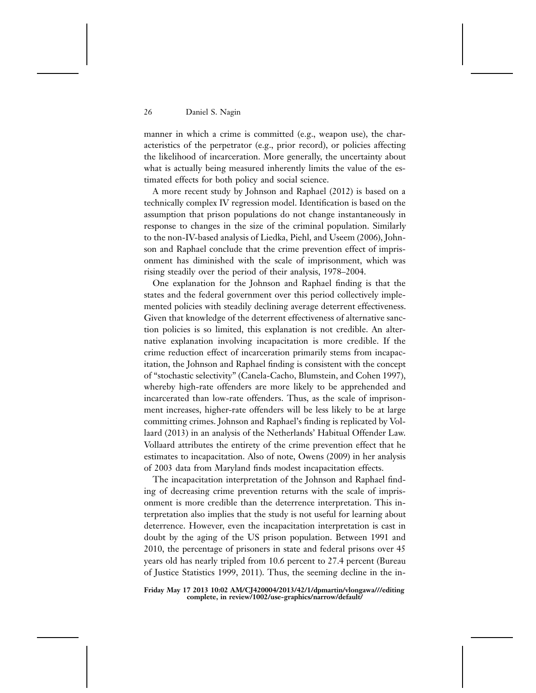manner in which a crime is committed (e.g., weapon use), the characteristics of the perpetrator (e.g., prior record), or policies affecting the likelihood of incarceration. More generally, the uncertainty about what is actually being measured inherently limits the value of the estimated effects for both policy and social science.

A more recent study by Johnson and Raphael (2012) is based on a technically complex IV regression model. Identification is based on the assumption that prison populations do not change instantaneously in response to changes in the size of the criminal population. Similarly to the non-IV-based analysis of Liedka, Piehl, and Useem (2006), Johnson and Raphael conclude that the crime prevention effect of imprisonment has diminished with the scale of imprisonment, which was rising steadily over the period of their analysis, 1978–2004.

One explanation for the Johnson and Raphael finding is that the states and the federal government over this period collectively implemented policies with steadily declining average deterrent effectiveness. Given that knowledge of the deterrent effectiveness of alternative sanction policies is so limited, this explanation is not credible. An alternative explanation involving incapacitation is more credible. If the crime reduction effect of incarceration primarily stems from incapacitation, the Johnson and Raphael finding is consistent with the concept of "stochastic selectivity" (Canela-Cacho, Blumstein, and Cohen 1997), whereby high-rate offenders are more likely to be apprehended and incarcerated than low-rate offenders. Thus, as the scale of imprisonment increases, higher-rate offenders will be less likely to be at large committing crimes. Johnson and Raphael's finding is replicated by Vollaard (2013) in an analysis of the Netherlands' Habitual Offender Law. Vollaard attributes the entirety of the crime prevention effect that he estimates to incapacitation. Also of note, Owens (2009) in her analysis of 2003 data from Maryland finds modest incapacitation effects.

The incapacitation interpretation of the Johnson and Raphael finding of decreasing crime prevention returns with the scale of imprisonment is more credible than the deterrence interpretation. This interpretation also implies that the study is not useful for learning about deterrence. However, even the incapacitation interpretation is cast in doubt by the aging of the US prison population. Between 1991 and 2010, the percentage of prisoners in state and federal prisons over 45 years old has nearly tripled from 10.6 percent to 27.4 percent (Bureau of Justice Statistics 1999, 2011). Thus, the seeming decline in the in-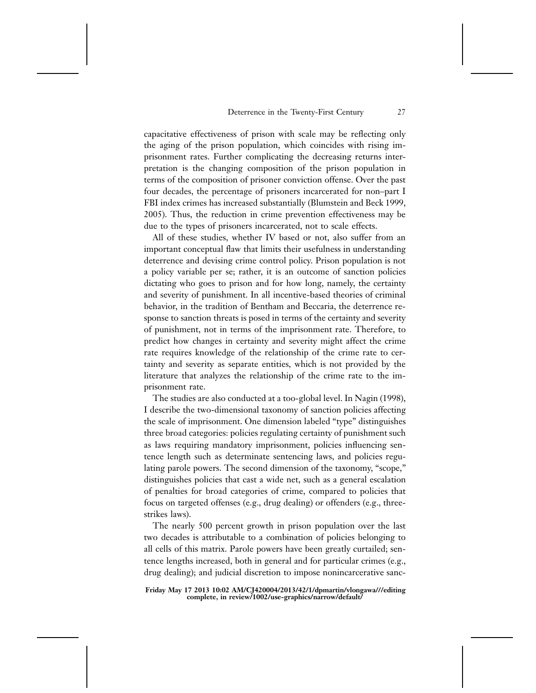capacitative effectiveness of prison with scale may be reflecting only the aging of the prison population, which coincides with rising imprisonment rates. Further complicating the decreasing returns interpretation is the changing composition of the prison population in terms of the composition of prisoner conviction offense. Over the past four decades, the percentage of prisoners incarcerated for non–part I FBI index crimes has increased substantially (Blumstein and Beck 1999, 2005). Thus, the reduction in crime prevention effectiveness may be due to the types of prisoners incarcerated, not to scale effects.

All of these studies, whether IV based or not, also suffer from an important conceptual flaw that limits their usefulness in understanding deterrence and devising crime control policy. Prison population is not a policy variable per se; rather, it is an outcome of sanction policies dictating who goes to prison and for how long, namely, the certainty and severity of punishment. In all incentive-based theories of criminal behavior, in the tradition of Bentham and Beccaria, the deterrence response to sanction threats is posed in terms of the certainty and severity of punishment, not in terms of the imprisonment rate. Therefore, to predict how changes in certainty and severity might affect the crime rate requires knowledge of the relationship of the crime rate to certainty and severity as separate entities, which is not provided by the literature that analyzes the relationship of the crime rate to the imprisonment rate.

The studies are also conducted at a too-global level. In Nagin (1998), I describe the two-dimensional taxonomy of sanction policies affecting the scale of imprisonment. One dimension labeled "type" distinguishes three broad categories: policies regulating certainty of punishment such as laws requiring mandatory imprisonment, policies influencing sentence length such as determinate sentencing laws, and policies regulating parole powers. The second dimension of the taxonomy, "scope," distinguishes policies that cast a wide net, such as a general escalation of penalties for broad categories of crime, compared to policies that focus on targeted offenses (e.g., drug dealing) or offenders (e.g., threestrikes laws).

The nearly 500 percent growth in prison population over the last two decades is attributable to a combination of policies belonging to all cells of this matrix. Parole powers have been greatly curtailed; sentence lengths increased, both in general and for particular crimes (e.g., drug dealing); and judicial discretion to impose nonincarcerative sanc-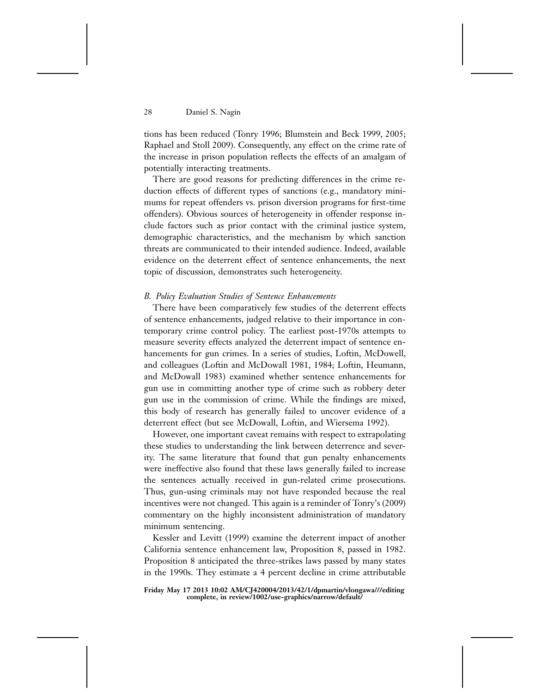tions has been reduced (Tonry 1996; Blumstein and Beck 1999, 2005; Raphael and Stoll 2009). Consequently, any effect on the crime rate of the increase in prison population reflects the effects of an amalgam of potentially interacting treatments.

There are good reasons for predicting differences in the crime reduction effects of different types of sanctions (e.g., mandatory minimums for repeat offenders vs. prison diversion programs for first-time offenders). Obvious sources of heterogeneity in offender response include factors such as prior contact with the criminal justice system, demographic characteristics, and the mechanism by which sanction threats are communicated to their intended audience. Indeed, available evidence on the deterrent effect of sentence enhancements, the next topic of discussion, demonstrates such heterogeneity.

#### *B. Policy Evaluation Studies of Sentence Enhancements*

There have been comparatively few studies of the deterrent effects of sentence enhancements, judged relative to their importance in contemporary crime control policy. The earliest post-1970s attempts to measure severity effects analyzed the deterrent impact of sentence enhancements for gun crimes. In a series of studies, Loftin, McDowell, and colleagues (Loftin and McDowall 1981, 1984; Loftin, Heumann, and McDowall 1983) examined whether sentence enhancements for gun use in committing another type of crime such as robbery deter gun use in the commission of crime. While the findings are mixed, this body of research has generally failed to uncover evidence of a deterrent effect (but see McDowall, Loftin, and Wiersema 1992).

However, one important caveat remains with respect to extrapolating these studies to understanding the link between deterrence and severity. The same literature that found that gun penalty enhancements were ineffective also found that these laws generally failed to increase the sentences actually received in gun-related crime prosecutions. Thus, gun-using criminals may not have responded because the real incentives were not changed. This again is a reminder of Tonry's (2009) commentary on the highly inconsistent administration of mandatory minimum sentencing.

Kessler and Levitt (1999) examine the deterrent impact of another California sentence enhancement law, Proposition 8, passed in 1982. Proposition 8 anticipated the three-strikes laws passed by many states in the 1990s. They estimate a 4 percent decline in crime attributable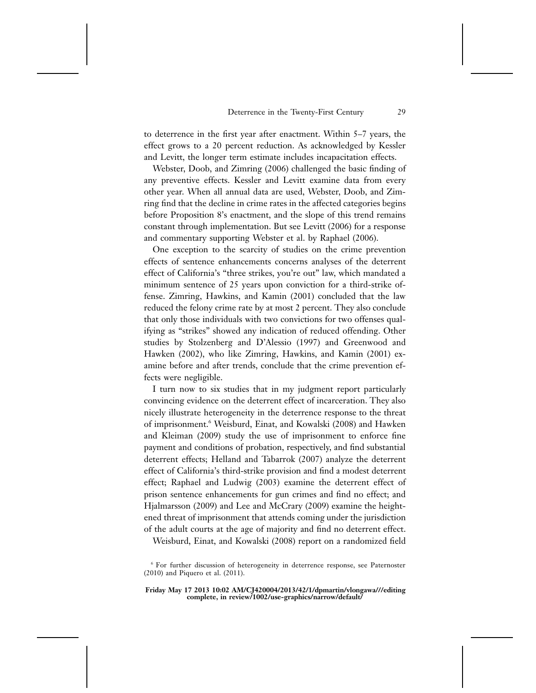to deterrence in the first year after enactment. Within 5–7 years, the effect grows to a 20 percent reduction. As acknowledged by Kessler and Levitt, the longer term estimate includes incapacitation effects.

Webster, Doob, and Zimring (2006) challenged the basic finding of any preventive effects. Kessler and Levitt examine data from every other year. When all annual data are used, Webster, Doob, and Zimring find that the decline in crime rates in the affected categories begins before Proposition 8's enactment, and the slope of this trend remains constant through implementation. But see Levitt (2006) for a response and commentary supporting Webster et al. by Raphael (2006).

One exception to the scarcity of studies on the crime prevention effects of sentence enhancements concerns analyses of the deterrent effect of California's "three strikes, you're out" law, which mandated a minimum sentence of 25 years upon conviction for a third-strike offense. Zimring, Hawkins, and Kamin (2001) concluded that the law reduced the felony crime rate by at most 2 percent. They also conclude that only those individuals with two convictions for two offenses qualifying as "strikes" showed any indication of reduced offending. Other studies by Stolzenberg and D'Alessio (1997) and Greenwood and Hawken (2002), who like Zimring, Hawkins, and Kamin (2001) examine before and after trends, conclude that the crime prevention effects were negligible.

I turn now to six studies that in my judgment report particularly convincing evidence on the deterrent effect of incarceration. They also nicely illustrate heterogeneity in the deterrence response to the threat of imprisonment.6 Weisburd, Einat, and Kowalski (2008) and Hawken and Kleiman (2009) study the use of imprisonment to enforce fine payment and conditions of probation, respectively, and find substantial deterrent effects; Helland and Tabarrok (2007) analyze the deterrent effect of California's third-strike provision and find a modest deterrent effect; Raphael and Ludwig (2003) examine the deterrent effect of prison sentence enhancements for gun crimes and find no effect; and Hjalmarsson (2009) and Lee and McCrary (2009) examine the heightened threat of imprisonment that attends coming under the jurisdiction of the adult courts at the age of majority and find no deterrent effect.

Weisburd, Einat, and Kowalski (2008) report on a randomized field

<sup>6</sup> For further discussion of heterogeneity in deterrence response, see Paternoster (2010) and Piquero et al. (2011).

**Friday May 17 2013 10:02 AM/CJ420004/2013/42/1/dpmartin/vlongawa///editing complete, in review/1002/use-graphics/narrow/default/**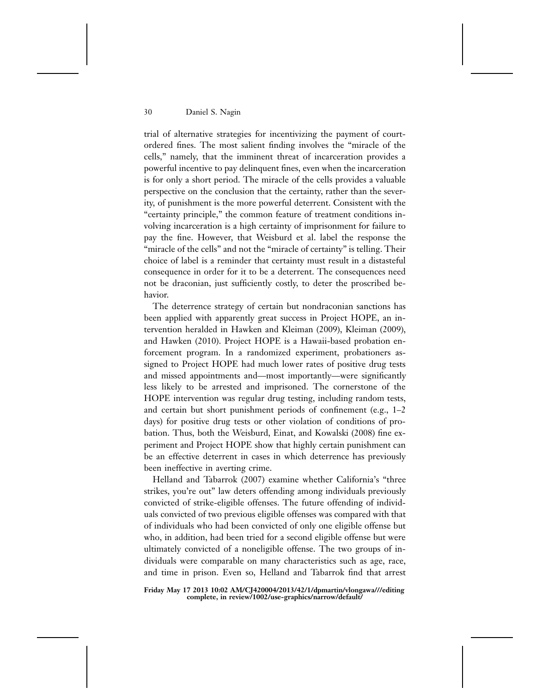trial of alternative strategies for incentivizing the payment of courtordered fines. The most salient finding involves the "miracle of the cells," namely, that the imminent threat of incarceration provides a powerful incentive to pay delinquent fines, even when the incarceration is for only a short period. The miracle of the cells provides a valuable perspective on the conclusion that the certainty, rather than the severity, of punishment is the more powerful deterrent. Consistent with the "certainty principle," the common feature of treatment conditions involving incarceration is a high certainty of imprisonment for failure to pay the fine. However, that Weisburd et al. label the response the "miracle of the cells" and not the "miracle of certainty" is telling. Their choice of label is a reminder that certainty must result in a distasteful consequence in order for it to be a deterrent. The consequences need not be draconian, just sufficiently costly, to deter the proscribed behavior.

The deterrence strategy of certain but nondraconian sanctions has been applied with apparently great success in Project HOPE, an intervention heralded in Hawken and Kleiman (2009), Kleiman (2009), and Hawken (2010). Project HOPE is a Hawaii-based probation enforcement program. In a randomized experiment, probationers assigned to Project HOPE had much lower rates of positive drug tests and missed appointments and—most importantly—were significantly less likely to be arrested and imprisoned. The cornerstone of the HOPE intervention was regular drug testing, including random tests, and certain but short punishment periods of confinement (e.g., 1–2 days) for positive drug tests or other violation of conditions of probation. Thus, both the Weisburd, Einat, and Kowalski (2008) fine experiment and Project HOPE show that highly certain punishment can be an effective deterrent in cases in which deterrence has previously been ineffective in averting crime.

Helland and Tabarrok (2007) examine whether California's "three strikes, you're out" law deters offending among individuals previously convicted of strike-eligible offenses. The future offending of individuals convicted of two previous eligible offenses was compared with that of individuals who had been convicted of only one eligible offense but who, in addition, had been tried for a second eligible offense but were ultimately convicted of a noneligible offense. The two groups of individuals were comparable on many characteristics such as age, race, and time in prison. Even so, Helland and Tabarrok find that arrest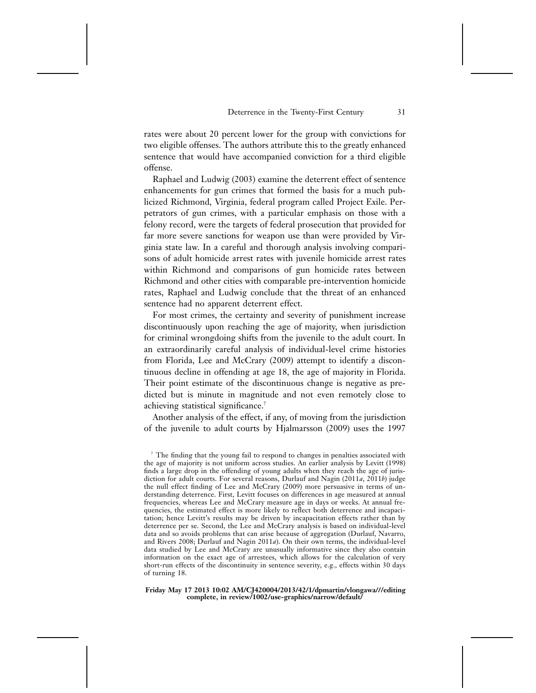rates were about 20 percent lower for the group with convictions for two eligible offenses. The authors attribute this to the greatly enhanced sentence that would have accompanied conviction for a third eligible offense.

Raphael and Ludwig (2003) examine the deterrent effect of sentence enhancements for gun crimes that formed the basis for a much publicized Richmond, Virginia, federal program called Project Exile. Perpetrators of gun crimes, with a particular emphasis on those with a felony record, were the targets of federal prosecution that provided for far more severe sanctions for weapon use than were provided by Virginia state law. In a careful and thorough analysis involving comparisons of adult homicide arrest rates with juvenile homicide arrest rates within Richmond and comparisons of gun homicide rates between Richmond and other cities with comparable pre-intervention homicide rates, Raphael and Ludwig conclude that the threat of an enhanced sentence had no apparent deterrent effect.

For most crimes, the certainty and severity of punishment increase discontinuously upon reaching the age of majority, when jurisdiction for criminal wrongdoing shifts from the juvenile to the adult court. In an extraordinarily careful analysis of individual-level crime histories from Florida, Lee and McCrary (2009) attempt to identify a discontinuous decline in offending at age 18, the age of majority in Florida. Their point estimate of the discontinuous change is negative as predicted but is minute in magnitude and not even remotely close to achieving statistical significance.<sup>7</sup>

Another analysis of the effect, if any, of moving from the jurisdiction of the juvenile to adult courts by Hjalmarsson (2009) uses the 1997

<sup>7</sup> The finding that the young fail to respond to changes in penalties associated with the age of majority is not uniform across studies. An earlier analysis by Levitt (1998) finds a large drop in the offending of young adults when they reach the age of jurisdiction for adult courts. For several reasons, Durlauf and Nagin (2011*a*, 2011*b*) judge the null effect finding of Lee and McCrary (2009) more persuasive in terms of understanding deterrence. First, Levitt focuses on differences in age measured at annual frequencies, whereas Lee and McCrary measure age in days or weeks. At annual frequencies, the estimated effect is more likely to reflect both deterrence and incapacitation; hence Levitt's results may be driven by incapacitation effects rather than by deterrence per se. Second, the Lee and McCrary analysis is based on individual-level data and so avoids problems that can arise because of aggregation (Durlauf, Navarro, and Rivers 2008; Durlauf and Nagin 2011*a*). On their own terms, the individual-level data studied by Lee and McCrary are unusually informative since they also contain information on the exact age of arrestees, which allows for the calculation of very short-run effects of the discontinuity in sentence severity, e.g., effects within 30 days of turning 18.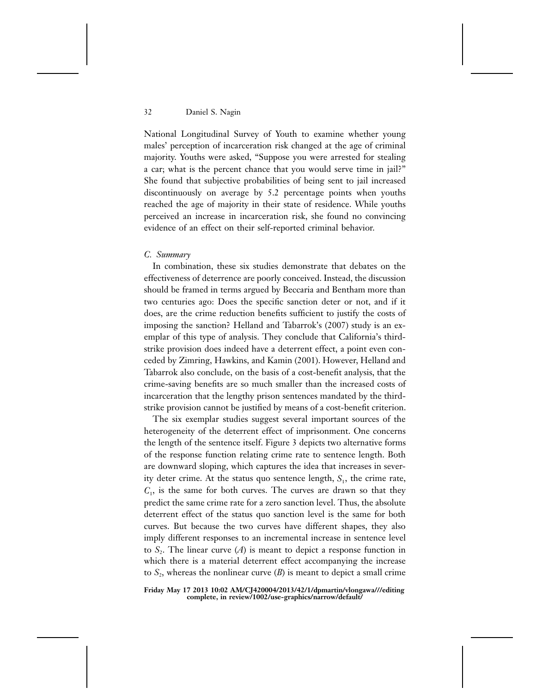National Longitudinal Survey of Youth to examine whether young males' perception of incarceration risk changed at the age of criminal majority. Youths were asked, "Suppose you were arrested for stealing a car; what is the percent chance that you would serve time in jail?" She found that subjective probabilities of being sent to jail increased discontinuously on average by 5.2 percentage points when youths reached the age of majority in their state of residence. While youths perceived an increase in incarceration risk, she found no convincing evidence of an effect on their self-reported criminal behavior.

# *C. Summary*

In combination, these six studies demonstrate that debates on the effectiveness of deterrence are poorly conceived. Instead, the discussion should be framed in terms argued by Beccaria and Bentham more than two centuries ago: Does the specific sanction deter or not, and if it does, are the crime reduction benefits sufficient to justify the costs of imposing the sanction? Helland and Tabarrok's (2007) study is an exemplar of this type of analysis. They conclude that California's thirdstrike provision does indeed have a deterrent effect, a point even conceded by Zimring, Hawkins, and Kamin (2001). However, Helland and Tabarrok also conclude, on the basis of a cost-benefit analysis, that the crime-saving benefits are so much smaller than the increased costs of incarceration that the lengthy prison sentences mandated by the thirdstrike provision cannot be justified by means of a cost-benefit criterion.

The six exemplar studies suggest several important sources of the heterogeneity of the deterrent effect of imprisonment. One concerns the length of the sentence itself. Figure 3 depicts two alternative forms of the response function relating crime rate to sentence length. Both are downward sloping, which captures the idea that increases in severity deter crime. At the status quo sentence length,  $S_1$ , the crime rate,  $C_1$ , is the same for both curves. The curves are drawn so that they predict the same crime rate for a zero sanction level. Thus, the absolute deterrent effect of the status quo sanction level is the same for both curves. But because the two curves have different shapes, they also imply different responses to an incremental increase in sentence level to  $S<sub>2</sub>$ . The linear curve (A) is meant to depict a response function in which there is a material deterrent effect accompanying the increase to  $S_2$ , whereas the nonlinear curve  $(B)$  is meant to depict a small crime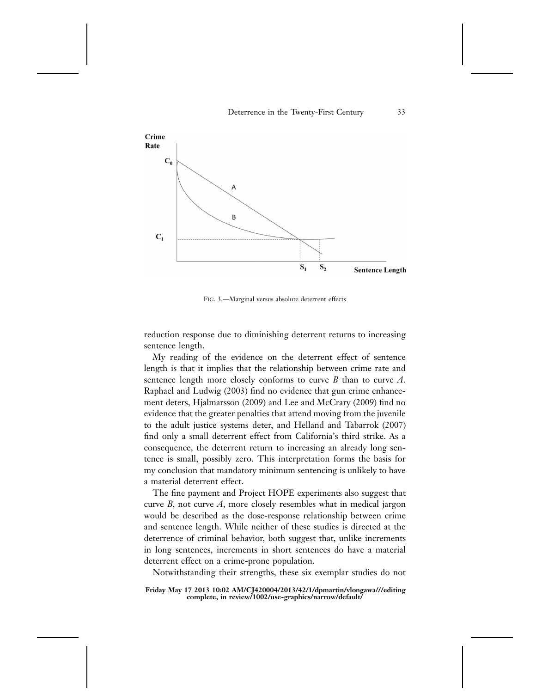

FIG. 3.—Marginal versus absolute deterrent effects

reduction response due to diminishing deterrent returns to increasing sentence length.

My reading of the evidence on the deterrent effect of sentence length is that it implies that the relationship between crime rate and sentence length more closely conforms to curve *B* than to curve *A*. Raphael and Ludwig (2003) find no evidence that gun crime enhancement deters, Hjalmarsson (2009) and Lee and McCrary (2009) find no evidence that the greater penalties that attend moving from the juvenile to the adult justice systems deter, and Helland and Tabarrok (2007) find only a small deterrent effect from California's third strike. As a consequence, the deterrent return to increasing an already long sentence is small, possibly zero. This interpretation forms the basis for my conclusion that mandatory minimum sentencing is unlikely to have a material deterrent effect.

The fine payment and Project HOPE experiments also suggest that curve *B*, not curve *A*, more closely resembles what in medical jargon would be described as the dose-response relationship between crime and sentence length. While neither of these studies is directed at the deterrence of criminal behavior, both suggest that, unlike increments in long sentences, increments in short sentences do have a material deterrent effect on a crime-prone population.

Notwithstanding their strengths, these six exemplar studies do not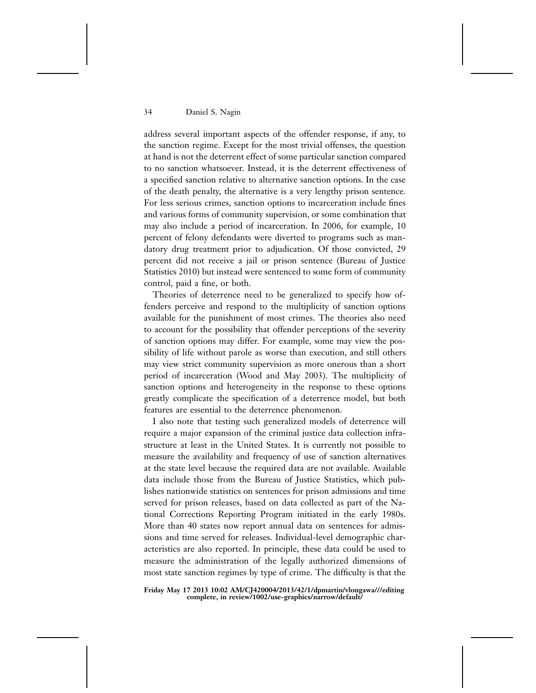address several important aspects of the offender response, if any, to the sanction regime. Except for the most trivial offenses, the question at hand is not the deterrent effect of some particular sanction compared to no sanction whatsoever. Instead, it is the deterrent effectiveness of a specified sanction relative to alternative sanction options. In the case of the death penalty, the alternative is a very lengthy prison sentence. For less serious crimes, sanction options to incarceration include fines and various forms of community supervision, or some combination that may also include a period of incarceration. In 2006, for example, 10 percent of felony defendants were diverted to programs such as mandatory drug treatment prior to adjudication. Of those convicted, 29 percent did not receive a jail or prison sentence (Bureau of Justice Statistics 2010) but instead were sentenced to some form of community control, paid a fine, or both.

Theories of deterrence need to be generalized to specify how offenders perceive and respond to the multiplicity of sanction options available for the punishment of most crimes. The theories also need to account for the possibility that offender perceptions of the severity of sanction options may differ. For example, some may view the possibility of life without parole as worse than execution, and still others may view strict community supervision as more onerous than a short period of incarceration (Wood and May 2003). The multiplicity of sanction options and heterogeneity in the response to these options greatly complicate the specification of a deterrence model, but both features are essential to the deterrence phenomenon.

I also note that testing such generalized models of deterrence will require a major expansion of the criminal justice data collection infrastructure at least in the United States. It is currently not possible to measure the availability and frequency of use of sanction alternatives at the state level because the required data are not available. Available data include those from the Bureau of Justice Statistics, which publishes nationwide statistics on sentences for prison admissions and time served for prison releases, based on data collected as part of the National Corrections Reporting Program initiated in the early 1980s. More than 40 states now report annual data on sentences for admissions and time served for releases. Individual-level demographic characteristics are also reported. In principle, these data could be used to measure the administration of the legally authorized dimensions of most state sanction regimes by type of crime. The difficulty is that the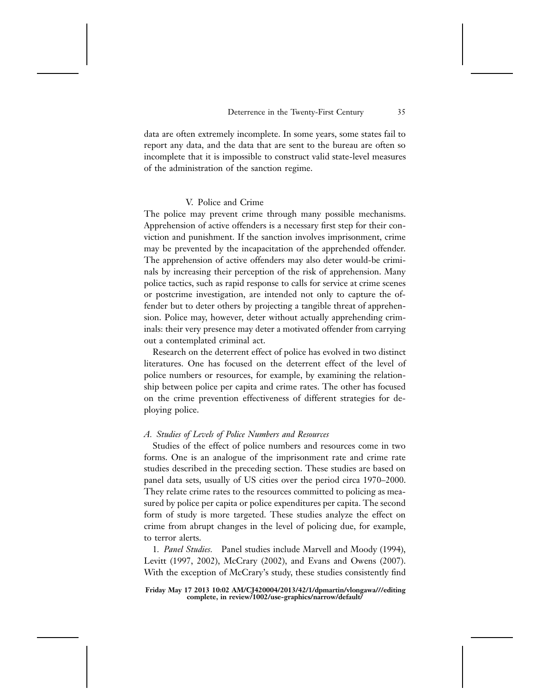data are often extremely incomplete. In some years, some states fail to report any data, and the data that are sent to the bureau are often so incomplete that it is impossible to construct valid state-level measures of the administration of the sanction regime.

# V. Police and Crime

The police may prevent crime through many possible mechanisms. Apprehension of active offenders is a necessary first step for their conviction and punishment. If the sanction involves imprisonment, crime may be prevented by the incapacitation of the apprehended offender. The apprehension of active offenders may also deter would-be criminals by increasing their perception of the risk of apprehension. Many police tactics, such as rapid response to calls for service at crime scenes or postcrime investigation, are intended not only to capture the offender but to deter others by projecting a tangible threat of apprehension. Police may, however, deter without actually apprehending criminals: their very presence may deter a motivated offender from carrying out a contemplated criminal act.

Research on the deterrent effect of police has evolved in two distinct literatures. One has focused on the deterrent effect of the level of police numbers or resources, for example, by examining the relationship between police per capita and crime rates. The other has focused on the crime prevention effectiveness of different strategies for deploying police.

# *A. Studies of Levels of Police Numbers and Resources*

Studies of the effect of police numbers and resources come in two forms. One is an analogue of the imprisonment rate and crime rate studies described in the preceding section. These studies are based on panel data sets, usually of US cities over the period circa 1970–2000. They relate crime rates to the resources committed to policing as measured by police per capita or police expenditures per capita. The second form of study is more targeted. These studies analyze the effect on crime from abrupt changes in the level of policing due, for example, to terror alerts.

1*. Panel Studies.* Panel studies include Marvell and Moody (1994), Levitt (1997, 2002), McCrary (2002), and Evans and Owens (2007). With the exception of McCrary's study, these studies consistently find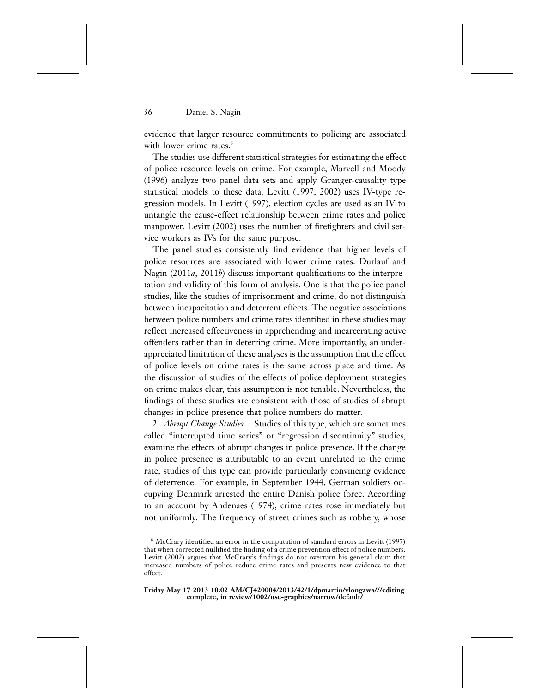evidence that larger resource commitments to policing are associated with lower crime rates.<sup>8</sup>

The studies use different statistical strategies for estimating the effect of police resource levels on crime. For example, Marvell and Moody (1996) analyze two panel data sets and apply Granger-causality type statistical models to these data. Levitt (1997, 2002) uses IV-type regression models. In Levitt (1997), election cycles are used as an IV to untangle the cause-effect relationship between crime rates and police manpower. Levitt (2002) uses the number of firefighters and civil service workers as IVs for the same purpose.

The panel studies consistently find evidence that higher levels of police resources are associated with lower crime rates. Durlauf and Nagin (2011*a*, 2011*b*) discuss important qualifications to the interpretation and validity of this form of analysis. One is that the police panel studies, like the studies of imprisonment and crime, do not distinguish between incapacitation and deterrent effects. The negative associations between police numbers and crime rates identified in these studies may reflect increased effectiveness in apprehending and incarcerating active offenders rather than in deterring crime. More importantly, an underappreciated limitation of these analyses is the assumption that the effect of police levels on crime rates is the same across place and time. As the discussion of studies of the effects of police deployment strategies on crime makes clear, this assumption is not tenable. Nevertheless, the findings of these studies are consistent with those of studies of abrupt changes in police presence that police numbers do matter.

2*. Abrupt Change Studies.* Studies of this type, which are sometimes called "interrupted time series" or "regression discontinuity" studies, examine the effects of abrupt changes in police presence. If the change in police presence is attributable to an event unrelated to the crime rate, studies of this type can provide particularly convincing evidence of deterrence. For example, in September 1944, German soldiers occupying Denmark arrested the entire Danish police force. According to an account by Andenaes (1974), crime rates rose immediately but not uniformly. The frequency of street crimes such as robbery, whose

<sup>&</sup>lt;sup>8</sup> McCrary identified an error in the computation of standard errors in Levitt (1997) that when corrected nullified the finding of a crime prevention effect of police numbers. Levitt (2002) argues that McCrary's findings do not overturn his general claim that increased numbers of police reduce crime rates and presents new evidence to that effect.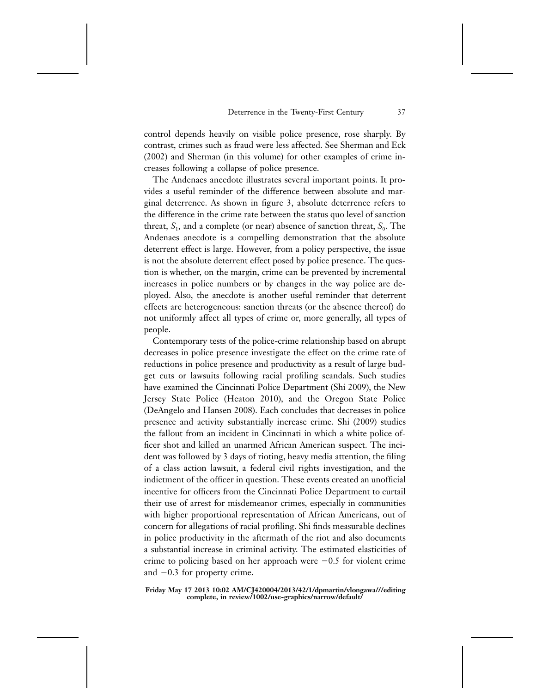control depends heavily on visible police presence, rose sharply. By contrast, crimes such as fraud were less affected. See Sherman and Eck (2002) and Sherman (in this volume) for other examples of crime increases following a collapse of police presence.

The Andenaes anecdote illustrates several important points. It provides a useful reminder of the difference between absolute and marginal deterrence. As shown in figure 3, absolute deterrence refers to the difference in the crime rate between the status quo level of sanction threat,  $S_1$ , and a complete (or near) absence of sanction threat,  $S_0$ . The Andenaes anecdote is a compelling demonstration that the absolute deterrent effect is large. However, from a policy perspective, the issue is not the absolute deterrent effect posed by police presence. The question is whether, on the margin, crime can be prevented by incremental increases in police numbers or by changes in the way police are deployed. Also, the anecdote is another useful reminder that deterrent effects are heterogeneous: sanction threats (or the absence thereof) do not uniformly affect all types of crime or, more generally, all types of people.

Contemporary tests of the police-crime relationship based on abrupt decreases in police presence investigate the effect on the crime rate of reductions in police presence and productivity as a result of large budget cuts or lawsuits following racial profiling scandals. Such studies have examined the Cincinnati Police Department (Shi 2009), the New Jersey State Police (Heaton 2010), and the Oregon State Police (DeAngelo and Hansen 2008). Each concludes that decreases in police presence and activity substantially increase crime. Shi (2009) studies the fallout from an incident in Cincinnati in which a white police officer shot and killed an unarmed African American suspect. The incident was followed by 3 days of rioting, heavy media attention, the filing of a class action lawsuit, a federal civil rights investigation, and the indictment of the officer in question. These events created an unofficial incentive for officers from the Cincinnati Police Department to curtail their use of arrest for misdemeanor crimes, especially in communities with higher proportional representation of African Americans, out of concern for allegations of racial profiling. Shi finds measurable declines in police productivity in the aftermath of the riot and also documents a substantial increase in criminal activity. The estimated elasticities of crime to policing based on her approach were  $-0.5$  for violent crime and  $-0.3$  for property crime.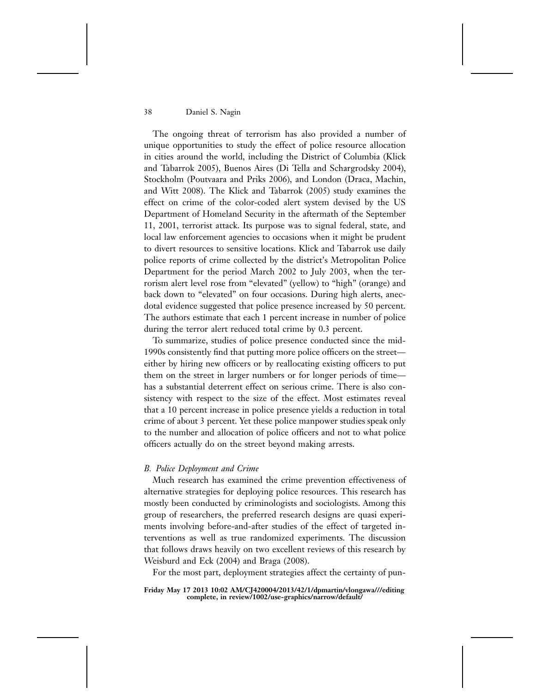The ongoing threat of terrorism has also provided a number of unique opportunities to study the effect of police resource allocation in cities around the world, including the District of Columbia (Klick and Tabarrok 2005), Buenos Aires (Di Tella and Schargrodsky 2004), Stockholm (Poutvaara and Priks 2006), and London (Draca, Machin, and Witt 2008). The Klick and Tabarrok (2005) study examines the effect on crime of the color-coded alert system devised by the US Department of Homeland Security in the aftermath of the September 11, 2001, terrorist attack. Its purpose was to signal federal, state, and local law enforcement agencies to occasions when it might be prudent to divert resources to sensitive locations. Klick and Tabarrok use daily police reports of crime collected by the district's Metropolitan Police Department for the period March 2002 to July 2003, when the terrorism alert level rose from "elevated" (yellow) to "high" (orange) and back down to "elevated" on four occasions. During high alerts, anecdotal evidence suggested that police presence increased by 50 percent. The authors estimate that each 1 percent increase in number of police during the terror alert reduced total crime by 0.3 percent.

To summarize, studies of police presence conducted since the mid-1990s consistently find that putting more police officers on the street either by hiring new officers or by reallocating existing officers to put them on the street in larger numbers or for longer periods of time has a substantial deterrent effect on serious crime. There is also consistency with respect to the size of the effect. Most estimates reveal that a 10 percent increase in police presence yields a reduction in total crime of about 3 percent. Yet these police manpower studies speak only to the number and allocation of police officers and not to what police officers actually do on the street beyond making arrests.

#### *B. Police Deployment and Crime*

Much research has examined the crime prevention effectiveness of alternative strategies for deploying police resources. This research has mostly been conducted by criminologists and sociologists. Among this group of researchers, the preferred research designs are quasi experiments involving before-and-after studies of the effect of targeted interventions as well as true randomized experiments. The discussion that follows draws heavily on two excellent reviews of this research by Weisburd and Eck (2004) and Braga (2008).

For the most part, deployment strategies affect the certainty of pun-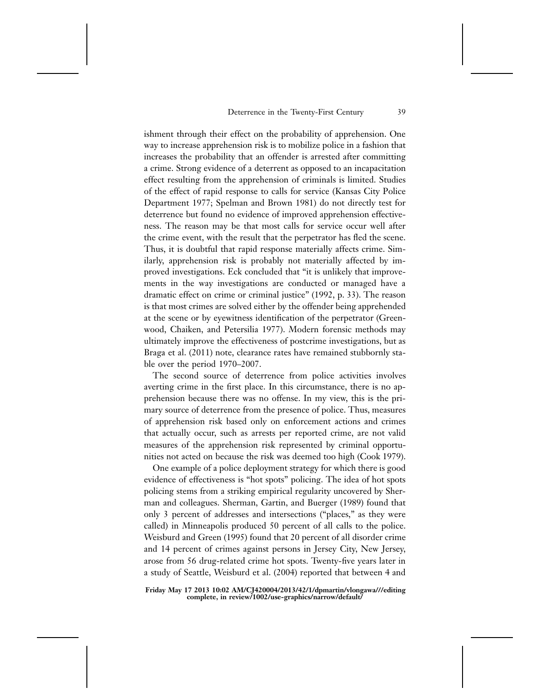ishment through their effect on the probability of apprehension. One way to increase apprehension risk is to mobilize police in a fashion that increases the probability that an offender is arrested after committing a crime. Strong evidence of a deterrent as opposed to an incapacitation effect resulting from the apprehension of criminals is limited. Studies of the effect of rapid response to calls for service (Kansas City Police Department 1977; Spelman and Brown 1981) do not directly test for deterrence but found no evidence of improved apprehension effectiveness. The reason may be that most calls for service occur well after the crime event, with the result that the perpetrator has fled the scene. Thus, it is doubtful that rapid response materially affects crime. Similarly, apprehension risk is probably not materially affected by improved investigations. Eck concluded that "it is unlikely that improvements in the way investigations are conducted or managed have a dramatic effect on crime or criminal justice" (1992, p. 33). The reason is that most crimes are solved either by the offender being apprehended at the scene or by eyewitness identification of the perpetrator (Greenwood, Chaiken, and Petersilia 1977). Modern forensic methods may ultimately improve the effectiveness of postcrime investigations, but as Braga et al. (2011) note, clearance rates have remained stubbornly stable over the period 1970–2007.

The second source of deterrence from police activities involves averting crime in the first place. In this circumstance, there is no apprehension because there was no offense. In my view, this is the primary source of deterrence from the presence of police. Thus, measures of apprehension risk based only on enforcement actions and crimes that actually occur, such as arrests per reported crime, are not valid measures of the apprehension risk represented by criminal opportunities not acted on because the risk was deemed too high (Cook 1979).

One example of a police deployment strategy for which there is good evidence of effectiveness is "hot spots" policing. The idea of hot spots policing stems from a striking empirical regularity uncovered by Sherman and colleagues. Sherman, Gartin, and Buerger (1989) found that only 3 percent of addresses and intersections ("places," as they were called) in Minneapolis produced 50 percent of all calls to the police. Weisburd and Green (1995) found that 20 percent of all disorder crime and 14 percent of crimes against persons in Jersey City, New Jersey, arose from 56 drug-related crime hot spots. Twenty-five years later in a study of Seattle, Weisburd et al. (2004) reported that between 4 and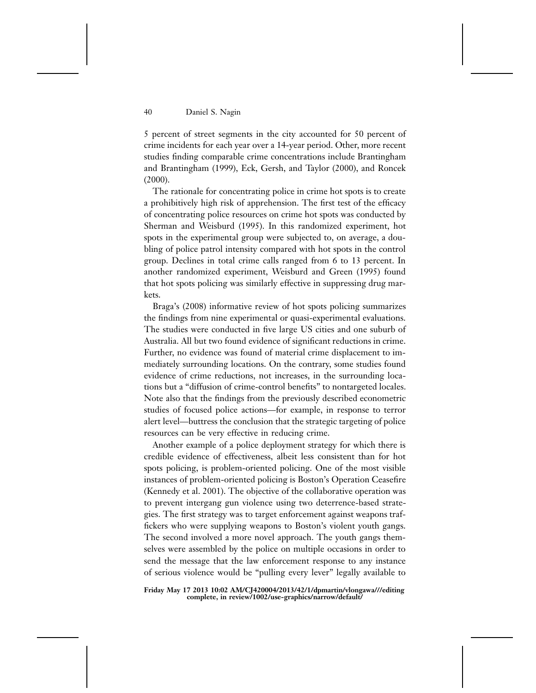5 percent of street segments in the city accounted for 50 percent of crime incidents for each year over a 14-year period. Other, more recent studies finding comparable crime concentrations include Brantingham and Brantingham (1999), Eck, Gersh, and Taylor (2000), and Roncek  $(2000).$ 

The rationale for concentrating police in crime hot spots is to create a prohibitively high risk of apprehension. The first test of the efficacy of concentrating police resources on crime hot spots was conducted by Sherman and Weisburd (1995). In this randomized experiment, hot spots in the experimental group were subjected to, on average, a doubling of police patrol intensity compared with hot spots in the control group. Declines in total crime calls ranged from 6 to 13 percent. In another randomized experiment, Weisburd and Green (1995) found that hot spots policing was similarly effective in suppressing drug markets.

Braga's (2008) informative review of hot spots policing summarizes the findings from nine experimental or quasi-experimental evaluations. The studies were conducted in five large US cities and one suburb of Australia. All but two found evidence of significant reductions in crime. Further, no evidence was found of material crime displacement to immediately surrounding locations. On the contrary, some studies found evidence of crime reductions, not increases, in the surrounding locations but a "diffusion of crime-control benefits" to nontargeted locales. Note also that the findings from the previously described econometric studies of focused police actions—for example, in response to terror alert level—buttress the conclusion that the strategic targeting of police resources can be very effective in reducing crime.

Another example of a police deployment strategy for which there is credible evidence of effectiveness, albeit less consistent than for hot spots policing, is problem-oriented policing. One of the most visible instances of problem-oriented policing is Boston's Operation Ceasefire (Kennedy et al. 2001). The objective of the collaborative operation was to prevent intergang gun violence using two deterrence-based strategies. The first strategy was to target enforcement against weapons traffickers who were supplying weapons to Boston's violent youth gangs. The second involved a more novel approach. The youth gangs themselves were assembled by the police on multiple occasions in order to send the message that the law enforcement response to any instance of serious violence would be "pulling every lever" legally available to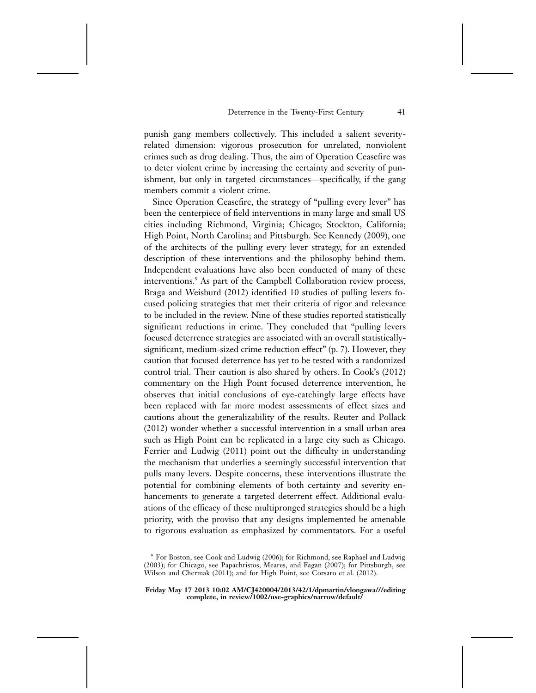punish gang members collectively. This included a salient severityrelated dimension: vigorous prosecution for unrelated, nonviolent crimes such as drug dealing. Thus, the aim of Operation Ceasefire was to deter violent crime by increasing the certainty and severity of punishment, but only in targeted circumstances—specifically, if the gang members commit a violent crime.

Since Operation Ceasefire, the strategy of "pulling every lever" has been the centerpiece of field interventions in many large and small US cities including Richmond, Virginia; Chicago; Stockton, California; High Point, North Carolina; and Pittsburgh. See Kennedy (2009), one of the architects of the pulling every lever strategy, for an extended description of these interventions and the philosophy behind them. Independent evaluations have also been conducted of many of these interventions.<sup>9</sup> As part of the Campbell Collaboration review process, Braga and Weisburd (2012) identified 10 studies of pulling levers focused policing strategies that met their criteria of rigor and relevance to be included in the review. Nine of these studies reported statistically significant reductions in crime. They concluded that "pulling levers focused deterrence strategies are associated with an overall statisticallysignificant, medium-sized crime reduction effect" (p. 7). However, they caution that focused deterrence has yet to be tested with a randomized control trial. Their caution is also shared by others. In Cook's (2012) commentary on the High Point focused deterrence intervention, he observes that initial conclusions of eye-catchingly large effects have been replaced with far more modest assessments of effect sizes and cautions about the generalizability of the results. Reuter and Pollack (2012) wonder whether a successful intervention in a small urban area such as High Point can be replicated in a large city such as Chicago. Ferrier and Ludwig (2011) point out the difficulty in understanding the mechanism that underlies a seemingly successful intervention that pulls many levers. Despite concerns, these interventions illustrate the potential for combining elements of both certainty and severity enhancements to generate a targeted deterrent effect. Additional evaluations of the efficacy of these multipronged strategies should be a high priority, with the proviso that any designs implemented be amenable to rigorous evaluation as emphasized by commentators. For a useful

<sup>9</sup> For Boston, see Cook and Ludwig (2006); for Richmond, see Raphael and Ludwig (2003); for Chicago, see Papachristos, Meares, and Fagan (2007); for Pittsburgh, see Wilson and Chermak (2011); and for High Point, see Corsaro et al. (2012).

**Friday May 17 2013 10:02 AM/CJ420004/2013/42/1/dpmartin/vlongawa///editing complete, in review/1002/use-graphics/narrow/default/**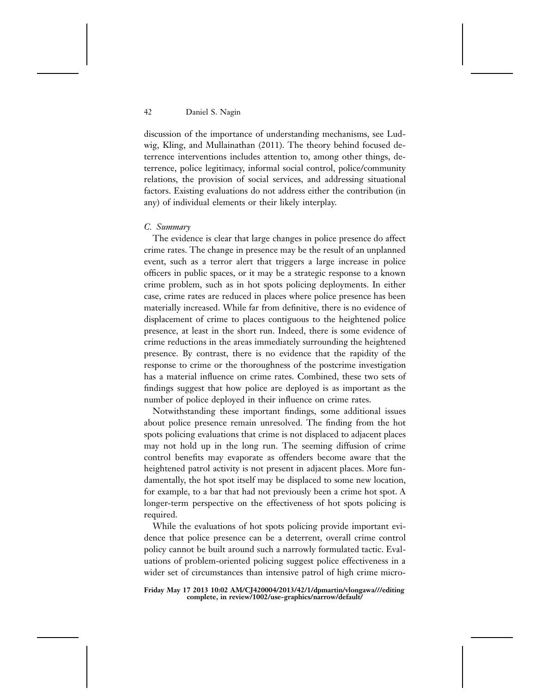discussion of the importance of understanding mechanisms, see Ludwig, Kling, and Mullainathan (2011). The theory behind focused deterrence interventions includes attention to, among other things, deterrence, police legitimacy, informal social control, police/community relations, the provision of social services, and addressing situational factors. Existing evaluations do not address either the contribution (in any) of individual elements or their likely interplay.

#### *C. Summary*

The evidence is clear that large changes in police presence do affect crime rates. The change in presence may be the result of an unplanned event, such as a terror alert that triggers a large increase in police officers in public spaces, or it may be a strategic response to a known crime problem, such as in hot spots policing deployments. In either case, crime rates are reduced in places where police presence has been materially increased. While far from definitive, there is no evidence of displacement of crime to places contiguous to the heightened police presence, at least in the short run. Indeed, there is some evidence of crime reductions in the areas immediately surrounding the heightened presence. By contrast, there is no evidence that the rapidity of the response to crime or the thoroughness of the postcrime investigation has a material influence on crime rates. Combined, these two sets of findings suggest that how police are deployed is as important as the number of police deployed in their influence on crime rates.

Notwithstanding these important findings, some additional issues about police presence remain unresolved. The finding from the hot spots policing evaluations that crime is not displaced to adjacent places may not hold up in the long run. The seeming diffusion of crime control benefits may evaporate as offenders become aware that the heightened patrol activity is not present in adjacent places. More fundamentally, the hot spot itself may be displaced to some new location, for example, to a bar that had not previously been a crime hot spot. A longer-term perspective on the effectiveness of hot spots policing is required.

While the evaluations of hot spots policing provide important evidence that police presence can be a deterrent, overall crime control policy cannot be built around such a narrowly formulated tactic. Evaluations of problem-oriented policing suggest police effectiveness in a wider set of circumstances than intensive patrol of high crime micro-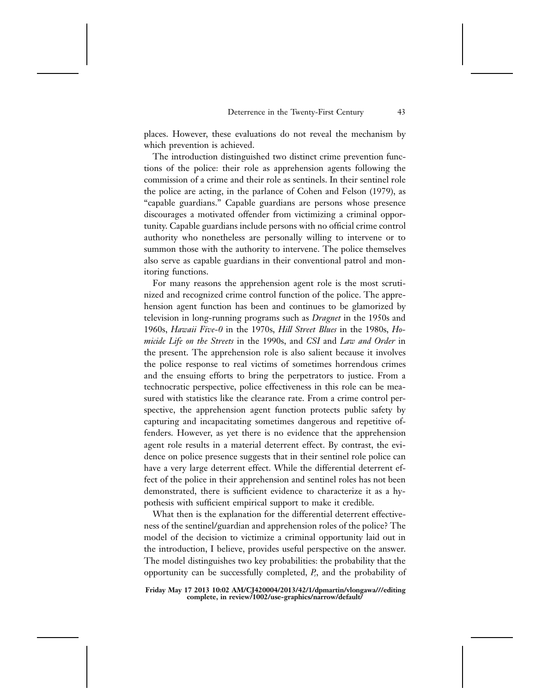places. However, these evaluations do not reveal the mechanism by which prevention is achieved.

The introduction distinguished two distinct crime prevention functions of the police: their role as apprehension agents following the commission of a crime and their role as sentinels. In their sentinel role the police are acting, in the parlance of Cohen and Felson (1979), as "capable guardians." Capable guardians are persons whose presence discourages a motivated offender from victimizing a criminal opportunity. Capable guardians include persons with no official crime control authority who nonetheless are personally willing to intervene or to summon those with the authority to intervene. The police themselves also serve as capable guardians in their conventional patrol and monitoring functions.

For many reasons the apprehension agent role is the most scrutinized and recognized crime control function of the police. The apprehension agent function has been and continues to be glamorized by television in long-running programs such as *Dragnet* in the 1950s and 1960s, *Hawaii Five-0* in the 1970s, *Hill Street Blues* in the 1980s, *Homicide Life on the Streets* in the 1990s, and *CSI* and *Law and Order* in the present. The apprehension role is also salient because it involves the police response to real victims of sometimes horrendous crimes and the ensuing efforts to bring the perpetrators to justice. From a technocratic perspective, police effectiveness in this role can be measured with statistics like the clearance rate. From a crime control perspective, the apprehension agent function protects public safety by capturing and incapacitating sometimes dangerous and repetitive offenders. However, as yet there is no evidence that the apprehension agent role results in a material deterrent effect. By contrast, the evidence on police presence suggests that in their sentinel role police can have a very large deterrent effect. While the differential deterrent effect of the police in their apprehension and sentinel roles has not been demonstrated, there is sufficient evidence to characterize it as a hypothesis with sufficient empirical support to make it credible.

What then is the explanation for the differential deterrent effectiveness of the sentinel/guardian and apprehension roles of the police? The model of the decision to victimize a criminal opportunity laid out in the introduction, I believe, provides useful perspective on the answer. The model distinguishes two key probabilities: the probability that the opportunity can be successfully completed, P<sub>s</sub>, and the probability of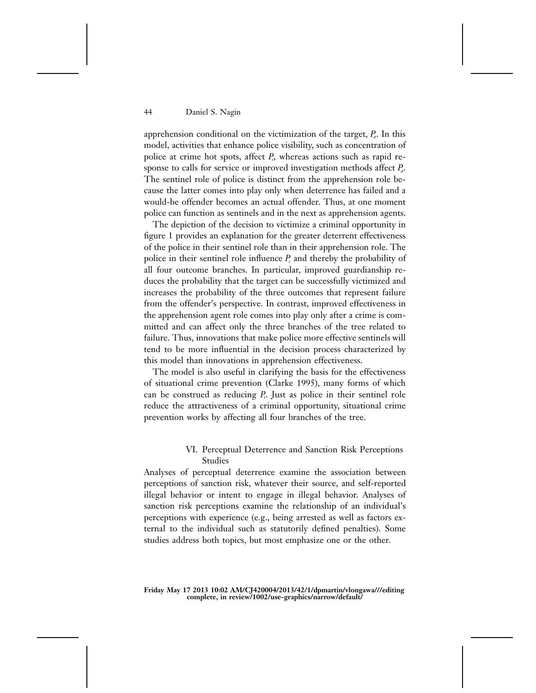apprehension conditional on the victimization of the target,  $P_a$ . In this model, activities that enhance police visibility, such as concentration of police at crime hot spots, affect  $P<sub>s</sub>$ , whereas actions such as rapid response to calls for service or improved investigation methods affect  $P_a$ . The sentinel role of police is distinct from the apprehension role because the latter comes into play only when deterrence has failed and a would-be offender becomes an actual offender. Thus, at one moment police can function as sentinels and in the next as apprehension agents.

The depiction of the decision to victimize a criminal opportunity in figure 1 provides an explanation for the greater deterrent effectiveness of the police in their sentinel role than in their apprehension role. The police in their sentinel role influence  $P_s$  and thereby the probability of all four outcome branches. In particular, improved guardianship reduces the probability that the target can be successfully victimized and increases the probability of the three outcomes that represent failure from the offender's perspective. In contrast, improved effectiveness in the apprehension agent role comes into play only after a crime is committed and can affect only the three branches of the tree related to failure. Thus, innovations that make police more effective sentinels will tend to be more influential in the decision process characterized by this model than innovations in apprehension effectiveness.

The model is also useful in clarifying the basis for the effectiveness of situational crime prevention (Clarke 1995), many forms of which can be construed as reducing  $P<sub>s</sub>$ . Just as police in their sentinel role reduce the attractiveness of a criminal opportunity, situational crime prevention works by affecting all four branches of the tree.

# VI. Perceptual Deterrence and Sanction Risk Perceptions Studies

Analyses of perceptual deterrence examine the association between perceptions of sanction risk, whatever their source, and self-reported illegal behavior or intent to engage in illegal behavior. Analyses of sanction risk perceptions examine the relationship of an individual's perceptions with experience (e.g., being arrested as well as factors external to the individual such as statutorily defined penalties). Some studies address both topics, but most emphasize one or the other.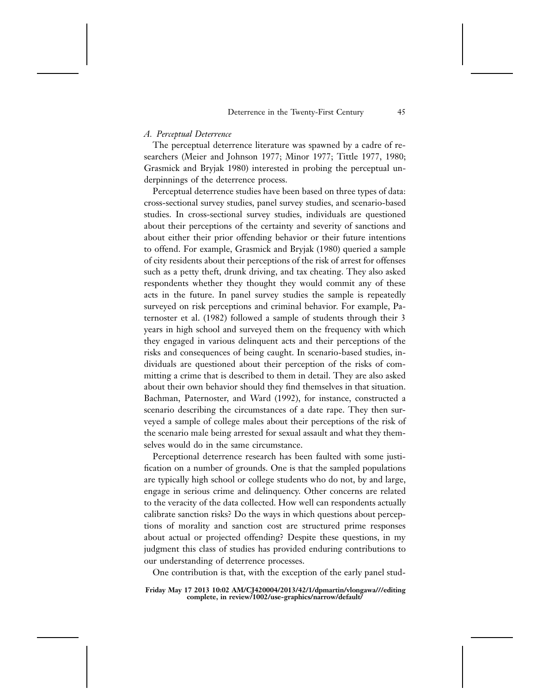#### *A. Perceptual Deterrence*

The perceptual deterrence literature was spawned by a cadre of researchers (Meier and Johnson 1977; Minor 1977; Tittle 1977, 1980; Grasmick and Bryjak 1980) interested in probing the perceptual underpinnings of the deterrence process.

Perceptual deterrence studies have been based on three types of data: cross-sectional survey studies, panel survey studies, and scenario-based studies. In cross-sectional survey studies, individuals are questioned about their perceptions of the certainty and severity of sanctions and about either their prior offending behavior or their future intentions to offend. For example, Grasmick and Bryjak (1980) queried a sample of city residents about their perceptions of the risk of arrest for offenses such as a petty theft, drunk driving, and tax cheating. They also asked respondents whether they thought they would commit any of these acts in the future. In panel survey studies the sample is repeatedly surveyed on risk perceptions and criminal behavior. For example, Paternoster et al. (1982) followed a sample of students through their 3 years in high school and surveyed them on the frequency with which they engaged in various delinquent acts and their perceptions of the risks and consequences of being caught. In scenario-based studies, individuals are questioned about their perception of the risks of committing a crime that is described to them in detail. They are also asked about their own behavior should they find themselves in that situation. Bachman, Paternoster, and Ward (1992), for instance, constructed a scenario describing the circumstances of a date rape. They then surveyed a sample of college males about their perceptions of the risk of the scenario male being arrested for sexual assault and what they themselves would do in the same circumstance.

Perceptional deterrence research has been faulted with some justification on a number of grounds. One is that the sampled populations are typically high school or college students who do not, by and large, engage in serious crime and delinquency. Other concerns are related to the veracity of the data collected. How well can respondents actually calibrate sanction risks? Do the ways in which questions about perceptions of morality and sanction cost are structured prime responses about actual or projected offending? Despite these questions, in my judgment this class of studies has provided enduring contributions to our understanding of deterrence processes.

One contribution is that, with the exception of the early panel stud-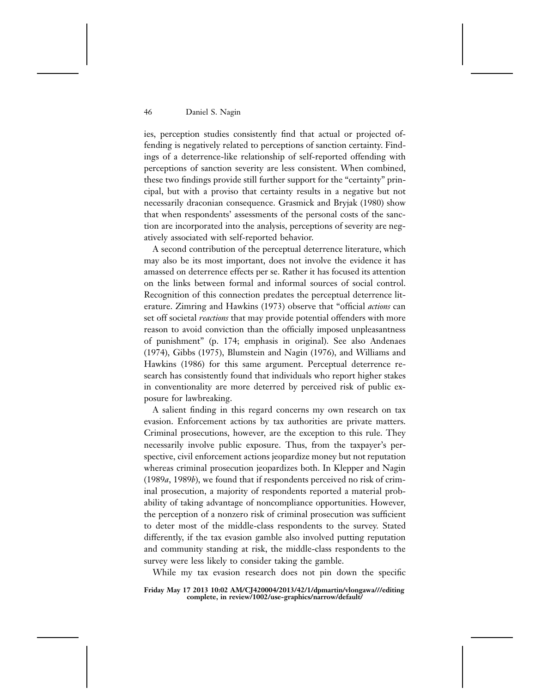ies, perception studies consistently find that actual or projected offending is negatively related to perceptions of sanction certainty. Findings of a deterrence-like relationship of self-reported offending with perceptions of sanction severity are less consistent. When combined, these two findings provide still further support for the "certainty" principal, but with a proviso that certainty results in a negative but not necessarily draconian consequence. Grasmick and Bryjak (1980) show that when respondents' assessments of the personal costs of the sanction are incorporated into the analysis, perceptions of severity are negatively associated with self-reported behavior.

A second contribution of the perceptual deterrence literature, which may also be its most important, does not involve the evidence it has amassed on deterrence effects per se. Rather it has focused its attention on the links between formal and informal sources of social control. Recognition of this connection predates the perceptual deterrence literature. Zimring and Hawkins (1973) observe that "official *actions* can set off societal *reactions* that may provide potential offenders with more reason to avoid conviction than the officially imposed unpleasantness of punishment" (p. 174; emphasis in original). See also Andenaes (1974), Gibbs (1975), Blumstein and Nagin (1976), and Williams and Hawkins (1986) for this same argument. Perceptual deterrence research has consistently found that individuals who report higher stakes in conventionality are more deterred by perceived risk of public exposure for lawbreaking.

A salient finding in this regard concerns my own research on tax evasion. Enforcement actions by tax authorities are private matters. Criminal prosecutions, however, are the exception to this rule. They necessarily involve public exposure. Thus, from the taxpayer's perspective, civil enforcement actions jeopardize money but not reputation whereas criminal prosecution jeopardizes both. In Klepper and Nagin (1989*a*, 1989*b*), we found that if respondents perceived no risk of criminal prosecution, a majority of respondents reported a material probability of taking advantage of noncompliance opportunities. However, the perception of a nonzero risk of criminal prosecution was sufficient to deter most of the middle-class respondents to the survey. Stated differently, if the tax evasion gamble also involved putting reputation and community standing at risk, the middle-class respondents to the survey were less likely to consider taking the gamble.

While my tax evasion research does not pin down the specific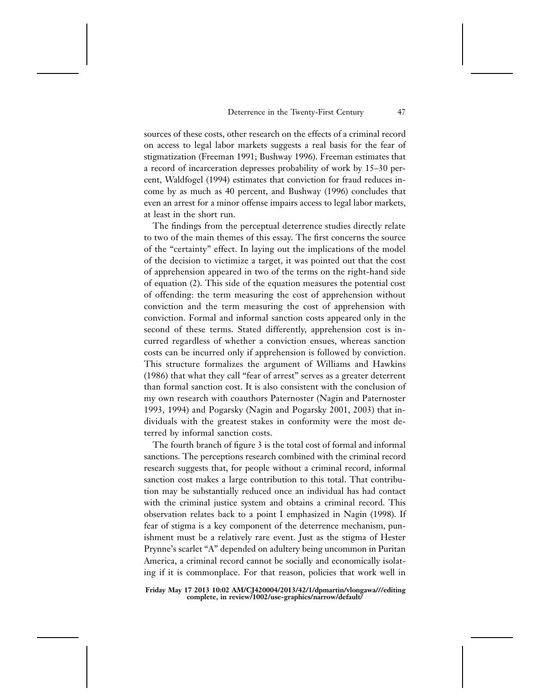sources of these costs, other research on the effects of a criminal record on access to legal labor markets suggests a real basis for the fear of stigmatization (Freeman 1991; Bushway 1996). Freeman estimates that a record of incarceration depresses probability of work by 15–30 percent, Waldfogel (1994) estimates that conviction for fraud reduces income by as much as 40 percent, and Bushway (1996) concludes that even an arrest for a minor offense impairs access to legal labor markets, at least in the short run.

The findings from the perceptual deterrence studies directly relate to two of the main themes of this essay. The first concerns the source of the "certainty" effect. In laying out the implications of the model of the decision to victimize a target, it was pointed out that the cost of apprehension appeared in two of the terms on the right-hand side of equation (2). This side of the equation measures the potential cost of offending: the term measuring the cost of apprehension without conviction and the term measuring the cost of apprehension with conviction. Formal and informal sanction costs appeared only in the second of these terms. Stated differently, apprehension cost is incurred regardless of whether a conviction ensues, whereas sanction costs can be incurred only if apprehension is followed by conviction. This structure formalizes the argument of Williams and Hawkins (1986) that what they call "fear of arrest" serves as a greater deterrent than formal sanction cost. It is also consistent with the conclusion of my own research with coauthors Paternoster (Nagin and Paternoster 1993, 1994) and Pogarsky (Nagin and Pogarsky 2001, 2003) that individuals with the greatest stakes in conformity were the most deterred by informal sanction costs.

The fourth branch of figure 3 is the total cost of formal and informal sanctions. The perceptions research combined with the criminal record research suggests that, for people without a criminal record, informal sanction cost makes a large contribution to this total. That contribution may be substantially reduced once an individual has had contact with the criminal justice system and obtains a criminal record. This observation relates back to a point I emphasized in Nagin (1998). If fear of stigma is a key component of the deterrence mechanism, punishment must be a relatively rare event. Just as the stigma of Hester Prynne's scarlet "A" depended on adultery being uncommon in Puritan America, a criminal record cannot be socially and economically isolating if it is commonplace. For that reason, policies that work well in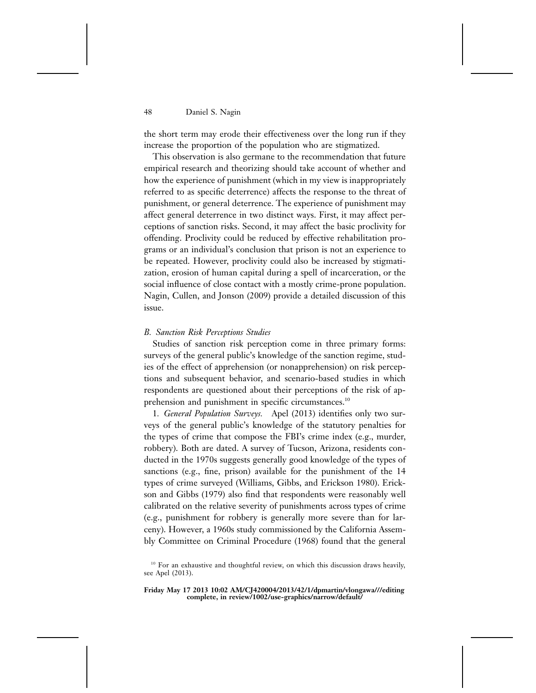the short term may erode their effectiveness over the long run if they increase the proportion of the population who are stigmatized.

This observation is also germane to the recommendation that future empirical research and theorizing should take account of whether and how the experience of punishment (which in my view is inappropriately referred to as specific deterrence) affects the response to the threat of punishment, or general deterrence. The experience of punishment may affect general deterrence in two distinct ways. First, it may affect perceptions of sanction risks. Second, it may affect the basic proclivity for offending. Proclivity could be reduced by effective rehabilitation programs or an individual's conclusion that prison is not an experience to be repeated. However, proclivity could also be increased by stigmatization, erosion of human capital during a spell of incarceration, or the social influence of close contact with a mostly crime-prone population. Nagin, Cullen, and Jonson (2009) provide a detailed discussion of this issue.

#### *B. Sanction Risk Perceptions Studies*

Studies of sanction risk perception come in three primary forms: surveys of the general public's knowledge of the sanction regime, studies of the effect of apprehension (or nonapprehension) on risk perceptions and subsequent behavior, and scenario-based studies in which respondents are questioned about their perceptions of the risk of apprehension and punishment in specific circumstances.<sup>10</sup>

1*. General Population Surveys.* Apel (2013) identifies only two surveys of the general public's knowledge of the statutory penalties for the types of crime that compose the FBI's crime index (e.g., murder, robbery). Both are dated. A survey of Tucson, Arizona, residents conducted in the 1970s suggests generally good knowledge of the types of sanctions (e.g., fine, prison) available for the punishment of the 14 types of crime surveyed (Williams, Gibbs, and Erickson 1980). Erickson and Gibbs (1979) also find that respondents were reasonably well calibrated on the relative severity of punishments across types of crime (e.g., punishment for robbery is generally more severe than for larceny). However, a 1960s study commissioned by the California Assembly Committee on Criminal Procedure (1968) found that the general

<sup>&</sup>lt;sup>10</sup> For an exhaustive and thoughtful review, on which this discussion draws heavily, see Apel (2013).

**Friday May 17 2013 10:02 AM/CJ420004/2013/42/1/dpmartin/vlongawa///editing complete, in review/1002/use-graphics/narrow/default/**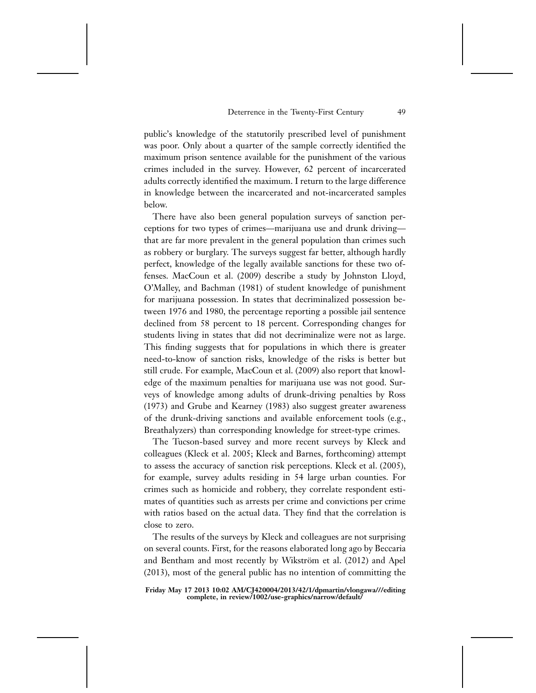public's knowledge of the statutorily prescribed level of punishment was poor. Only about a quarter of the sample correctly identified the maximum prison sentence available for the punishment of the various crimes included in the survey. However, 62 percent of incarcerated adults correctly identified the maximum. I return to the large difference in knowledge between the incarcerated and not-incarcerated samples below.

There have also been general population surveys of sanction perceptions for two types of crimes—marijuana use and drunk driving that are far more prevalent in the general population than crimes such as robbery or burglary. The surveys suggest far better, although hardly perfect, knowledge of the legally available sanctions for these two offenses. MacCoun et al. (2009) describe a study by Johnston Lloyd, O'Malley, and Bachman (1981) of student knowledge of punishment for marijuana possession. In states that decriminalized possession between 1976 and 1980, the percentage reporting a possible jail sentence declined from 58 percent to 18 percent. Corresponding changes for students living in states that did not decriminalize were not as large. This finding suggests that for populations in which there is greater need-to-know of sanction risks, knowledge of the risks is better but still crude. For example, MacCoun et al. (2009) also report that knowledge of the maximum penalties for marijuana use was not good. Surveys of knowledge among adults of drunk-driving penalties by Ross (1973) and Grube and Kearney (1983) also suggest greater awareness of the drunk-driving sanctions and available enforcement tools (e.g., Breathalyzers) than corresponding knowledge for street-type crimes.

The Tucson-based survey and more recent surveys by Kleck and colleagues (Kleck et al. 2005; Kleck and Barnes, forthcoming) attempt to assess the accuracy of sanction risk perceptions. Kleck et al. (2005), for example, survey adults residing in 54 large urban counties. For crimes such as homicide and robbery, they correlate respondent estimates of quantities such as arrests per crime and convictions per crime with ratios based on the actual data. They find that the correlation is close to zero.

The results of the surveys by Kleck and colleagues are not surprising on several counts. First, for the reasons elaborated long ago by Beccaria and Bentham and most recently by Wikström et al. (2012) and Apel (2013), most of the general public has no intention of committing the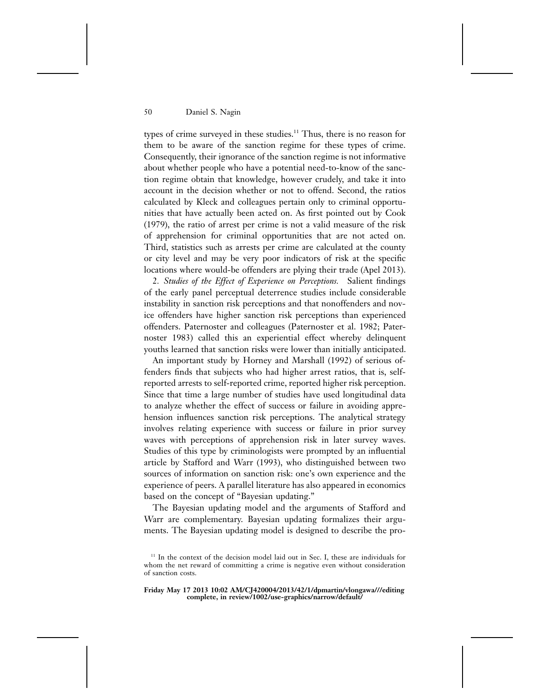types of crime surveyed in these studies.<sup>11</sup> Thus, there is no reason for them to be aware of the sanction regime for these types of crime. Consequently, their ignorance of the sanction regime is not informative about whether people who have a potential need-to-know of the sanction regime obtain that knowledge, however crudely, and take it into account in the decision whether or not to offend. Second, the ratios calculated by Kleck and colleagues pertain only to criminal opportunities that have actually been acted on. As first pointed out by Cook (1979), the ratio of arrest per crime is not a valid measure of the risk of apprehension for criminal opportunities that are not acted on. Third, statistics such as arrests per crime are calculated at the county or city level and may be very poor indicators of risk at the specific locations where would-be offenders are plying their trade (Apel 2013).

2*. Studies of the Effect of Experience on Perceptions.* Salient findings of the early panel perceptual deterrence studies include considerable instability in sanction risk perceptions and that nonoffenders and novice offenders have higher sanction risk perceptions than experienced offenders. Paternoster and colleagues (Paternoster et al. 1982; Paternoster 1983) called this an experiential effect whereby delinquent youths learned that sanction risks were lower than initially anticipated.

An important study by Horney and Marshall (1992) of serious offenders finds that subjects who had higher arrest ratios, that is, selfreported arrests to self-reported crime, reported higher risk perception. Since that time a large number of studies have used longitudinal data to analyze whether the effect of success or failure in avoiding apprehension influences sanction risk perceptions. The analytical strategy involves relating experience with success or failure in prior survey waves with perceptions of apprehension risk in later survey waves. Studies of this type by criminologists were prompted by an influential article by Stafford and Warr (1993), who distinguished between two sources of information on sanction risk: one's own experience and the experience of peers. A parallel literature has also appeared in economics based on the concept of "Bayesian updating."

The Bayesian updating model and the arguments of Stafford and Warr are complementary. Bayesian updating formalizes their arguments. The Bayesian updating model is designed to describe the pro-

<sup>&</sup>lt;sup>11</sup> In the context of the decision model laid out in Sec. I, these are individuals for whom the net reward of committing a crime is negative even without consideration of sanction costs.

**Friday May 17 2013 10:02 AM/CJ420004/2013/42/1/dpmartin/vlongawa///editing complete, in review/1002/use-graphics/narrow/default/**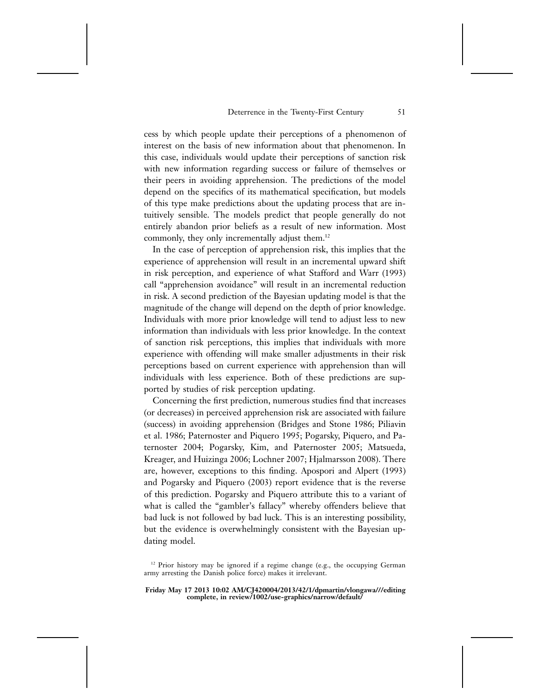cess by which people update their perceptions of a phenomenon of interest on the basis of new information about that phenomenon. In this case, individuals would update their perceptions of sanction risk with new information regarding success or failure of themselves or their peers in avoiding apprehension. The predictions of the model depend on the specifics of its mathematical specification, but models of this type make predictions about the updating process that are intuitively sensible. The models predict that people generally do not entirely abandon prior beliefs as a result of new information. Most commonly, they only incrementally adjust them.<sup>12</sup>

In the case of perception of apprehension risk, this implies that the experience of apprehension will result in an incremental upward shift in risk perception, and experience of what Stafford and Warr (1993) call "apprehension avoidance" will result in an incremental reduction in risk. A second prediction of the Bayesian updating model is that the magnitude of the change will depend on the depth of prior knowledge. Individuals with more prior knowledge will tend to adjust less to new information than individuals with less prior knowledge. In the context of sanction risk perceptions, this implies that individuals with more experience with offending will make smaller adjustments in their risk perceptions based on current experience with apprehension than will individuals with less experience. Both of these predictions are supported by studies of risk perception updating.

Concerning the first prediction, numerous studies find that increases (or decreases) in perceived apprehension risk are associated with failure (success) in avoiding apprehension (Bridges and Stone 1986; Piliavin et al. 1986; Paternoster and Piquero 1995; Pogarsky, Piquero, and Paternoster 2004; Pogarsky, Kim, and Paternoster 2005; Matsueda, Kreager, and Huizinga 2006; Lochner 2007; Hjalmarsson 2008). There are, however, exceptions to this finding. Apospori and Alpert (1993) and Pogarsky and Piquero (2003) report evidence that is the reverse of this prediction. Pogarsky and Piquero attribute this to a variant of what is called the "gambler's fallacy" whereby offenders believe that bad luck is not followed by bad luck. This is an interesting possibility, but the evidence is overwhelmingly consistent with the Bayesian updating model.

<sup>12</sup> Prior history may be ignored if a regime change (e.g., the occupying German army arresting the Danish police force) makes it irrelevant.

**Friday May 17 2013 10:02 AM/CJ420004/2013/42/1/dpmartin/vlongawa///editing complete, in review/1002/use-graphics/narrow/default/**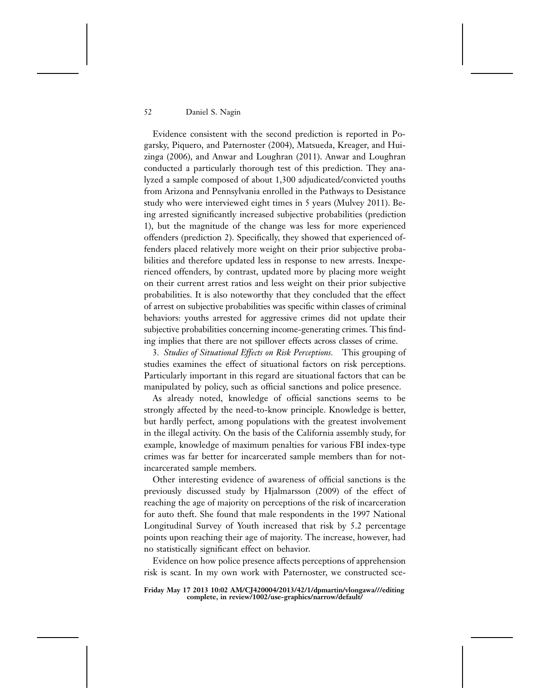Evidence consistent with the second prediction is reported in Pogarsky, Piquero, and Paternoster (2004), Matsueda, Kreager, and Huizinga (2006), and Anwar and Loughran (2011). Anwar and Loughran conducted a particularly thorough test of this prediction. They analyzed a sample composed of about 1,300 adjudicated/convicted youths from Arizona and Pennsylvania enrolled in the Pathways to Desistance study who were interviewed eight times in 5 years (Mulvey 2011). Being arrested significantly increased subjective probabilities (prediction 1), but the magnitude of the change was less for more experienced offenders (prediction 2). Specifically, they showed that experienced offenders placed relatively more weight on their prior subjective probabilities and therefore updated less in response to new arrests. Inexperienced offenders, by contrast, updated more by placing more weight on their current arrest ratios and less weight on their prior subjective probabilities. It is also noteworthy that they concluded that the effect of arrest on subjective probabilities was specific within classes of criminal behaviors: youths arrested for aggressive crimes did not update their subjective probabilities concerning income-generating crimes. This finding implies that there are not spillover effects across classes of crime.

3*. Studies of Situational Effects on Risk Perceptions.* This grouping of studies examines the effect of situational factors on risk perceptions. Particularly important in this regard are situational factors that can be manipulated by policy, such as official sanctions and police presence.

As already noted, knowledge of official sanctions seems to be strongly affected by the need-to-know principle. Knowledge is better, but hardly perfect, among populations with the greatest involvement in the illegal activity. On the basis of the California assembly study, for example, knowledge of maximum penalties for various FBI index-type crimes was far better for incarcerated sample members than for notincarcerated sample members.

Other interesting evidence of awareness of official sanctions is the previously discussed study by Hjalmarsson (2009) of the effect of reaching the age of majority on perceptions of the risk of incarceration for auto theft. She found that male respondents in the 1997 National Longitudinal Survey of Youth increased that risk by 5.2 percentage points upon reaching their age of majority. The increase, however, had no statistically significant effect on behavior.

Evidence on how police presence affects perceptions of apprehension risk is scant. In my own work with Paternoster, we constructed sce-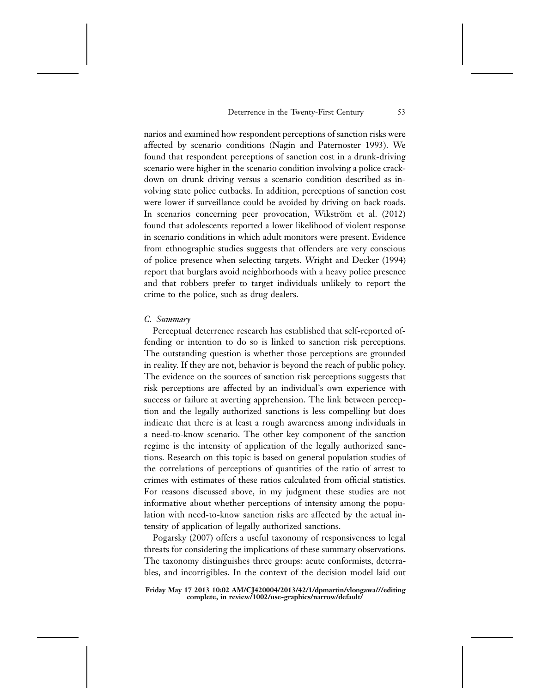narios and examined how respondent perceptions of sanction risks were affected by scenario conditions (Nagin and Paternoster 1993). We found that respondent perceptions of sanction cost in a drunk-driving scenario were higher in the scenario condition involving a police crackdown on drunk driving versus a scenario condition described as involving state police cutbacks. In addition, perceptions of sanction cost were lower if surveillance could be avoided by driving on back roads. In scenarios concerning peer provocation, Wikström et al. (2012) found that adolescents reported a lower likelihood of violent response in scenario conditions in which adult monitors were present. Evidence from ethnographic studies suggests that offenders are very conscious of police presence when selecting targets. Wright and Decker (1994) report that burglars avoid neighborhoods with a heavy police presence and that robbers prefer to target individuals unlikely to report the crime to the police, such as drug dealers.

#### *C. Summary*

Perceptual deterrence research has established that self-reported offending or intention to do so is linked to sanction risk perceptions. The outstanding question is whether those perceptions are grounded in reality. If they are not, behavior is beyond the reach of public policy. The evidence on the sources of sanction risk perceptions suggests that risk perceptions are affected by an individual's own experience with success or failure at averting apprehension. The link between perception and the legally authorized sanctions is less compelling but does indicate that there is at least a rough awareness among individuals in a need-to-know scenario. The other key component of the sanction regime is the intensity of application of the legally authorized sanctions. Research on this topic is based on general population studies of the correlations of perceptions of quantities of the ratio of arrest to crimes with estimates of these ratios calculated from official statistics. For reasons discussed above, in my judgment these studies are not informative about whether perceptions of intensity among the population with need-to-know sanction risks are affected by the actual intensity of application of legally authorized sanctions.

Pogarsky (2007) offers a useful taxonomy of responsiveness to legal threats for considering the implications of these summary observations. The taxonomy distinguishes three groups: acute conformists, deterrables, and incorrigibles. In the context of the decision model laid out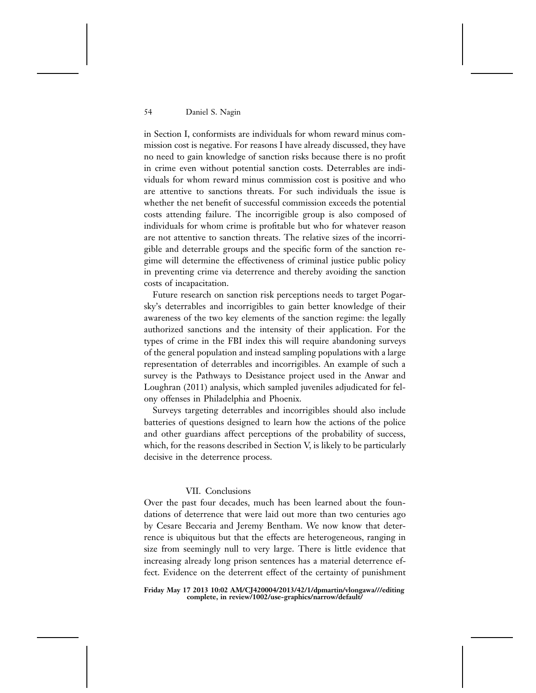in Section I, conformists are individuals for whom reward minus commission cost is negative. For reasons I have already discussed, they have no need to gain knowledge of sanction risks because there is no profit in crime even without potential sanction costs. Deterrables are individuals for whom reward minus commission cost is positive and who are attentive to sanctions threats. For such individuals the issue is whether the net benefit of successful commission exceeds the potential costs attending failure. The incorrigible group is also composed of individuals for whom crime is profitable but who for whatever reason are not attentive to sanction threats. The relative sizes of the incorrigible and deterrable groups and the specific form of the sanction regime will determine the effectiveness of criminal justice public policy in preventing crime via deterrence and thereby avoiding the sanction costs of incapacitation.

Future research on sanction risk perceptions needs to target Pogarsky's deterrables and incorrigibles to gain better knowledge of their awareness of the two key elements of the sanction regime: the legally authorized sanctions and the intensity of their application. For the types of crime in the FBI index this will require abandoning surveys of the general population and instead sampling populations with a large representation of deterrables and incorrigibles. An example of such a survey is the Pathways to Desistance project used in the Anwar and Loughran (2011) analysis, which sampled juveniles adjudicated for felony offenses in Philadelphia and Phoenix.

Surveys targeting deterrables and incorrigibles should also include batteries of questions designed to learn how the actions of the police and other guardians affect perceptions of the probability of success, which, for the reasons described in Section V, is likely to be particularly decisive in the deterrence process.

#### VII. Conclusions

Over the past four decades, much has been learned about the foundations of deterrence that were laid out more than two centuries ago by Cesare Beccaria and Jeremy Bentham. We now know that deterrence is ubiquitous but that the effects are heterogeneous, ranging in size from seemingly null to very large. There is little evidence that increasing already long prison sentences has a material deterrence effect. Evidence on the deterrent effect of the certainty of punishment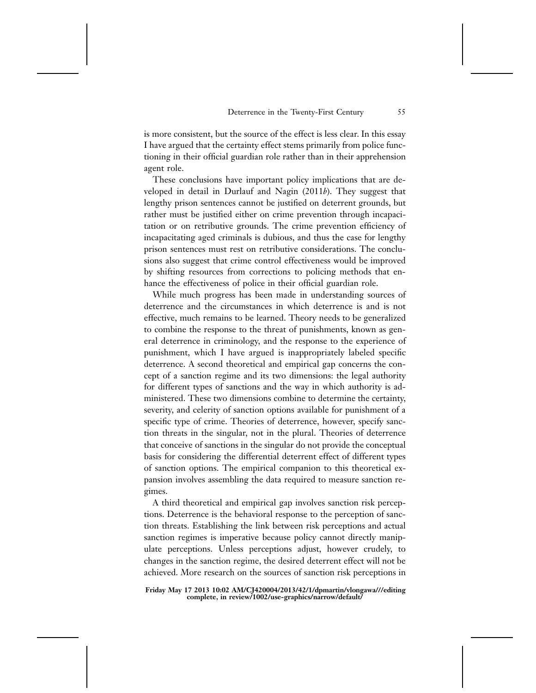is more consistent, but the source of the effect is less clear. In this essay I have argued that the certainty effect stems primarily from police functioning in their official guardian role rather than in their apprehension agent role.

These conclusions have important policy implications that are developed in detail in Durlauf and Nagin (2011*b*). They suggest that lengthy prison sentences cannot be justified on deterrent grounds, but rather must be justified either on crime prevention through incapacitation or on retributive grounds. The crime prevention efficiency of incapacitating aged criminals is dubious, and thus the case for lengthy prison sentences must rest on retributive considerations. The conclusions also suggest that crime control effectiveness would be improved by shifting resources from corrections to policing methods that enhance the effectiveness of police in their official guardian role.

While much progress has been made in understanding sources of deterrence and the circumstances in which deterrence is and is not effective, much remains to be learned. Theory needs to be generalized to combine the response to the threat of punishments, known as general deterrence in criminology, and the response to the experience of punishment, which I have argued is inappropriately labeled specific deterrence. A second theoretical and empirical gap concerns the concept of a sanction regime and its two dimensions: the legal authority for different types of sanctions and the way in which authority is administered. These two dimensions combine to determine the certainty, severity, and celerity of sanction options available for punishment of a specific type of crime. Theories of deterrence, however, specify sanction threats in the singular, not in the plural. Theories of deterrence that conceive of sanctions in the singular do not provide the conceptual basis for considering the differential deterrent effect of different types of sanction options. The empirical companion to this theoretical expansion involves assembling the data required to measure sanction regimes.

A third theoretical and empirical gap involves sanction risk perceptions. Deterrence is the behavioral response to the perception of sanction threats. Establishing the link between risk perceptions and actual sanction regimes is imperative because policy cannot directly manipulate perceptions. Unless perceptions adjust, however crudely, to changes in the sanction regime, the desired deterrent effect will not be achieved. More research on the sources of sanction risk perceptions in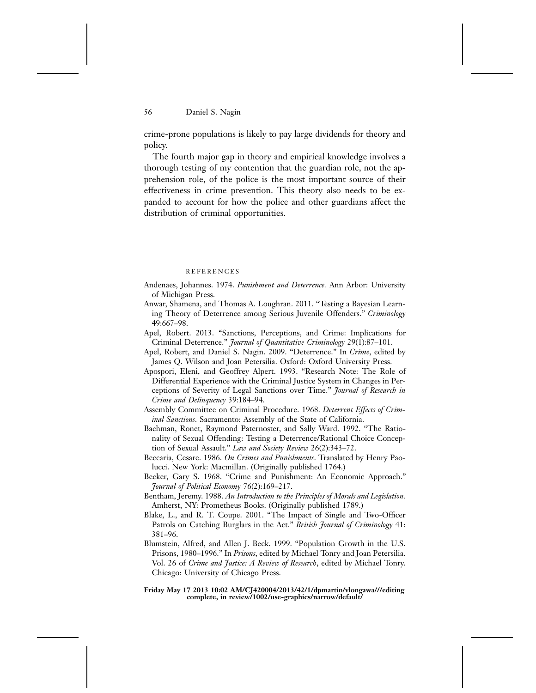crime-prone populations is likely to pay large dividends for theory and policy.

The fourth major gap in theory and empirical knowledge involves a thorough testing of my contention that the guardian role, not the apprehension role, of the police is the most important source of their effectiveness in crime prevention. This theory also needs to be expanded to account for how the police and other guardians affect the distribution of criminal opportunities.

#### **REFERENCES**

- Andenaes, Johannes. 1974. *Punishment and Deterrence.* Ann Arbor: University of Michigan Press.
- Anwar, Shamena, and Thomas A. Loughran. 2011. "Testing a Bayesian Learning Theory of Deterrence among Serious Juvenile Offenders." *Criminology* 49:667–98.
- Apel, Robert. 2013. "Sanctions, Perceptions, and Crime: Implications for Criminal Deterrence." *Journal of Quantitative Criminology* 29(1):87–101.
- Apel, Robert, and Daniel S. Nagin. 2009. "Deterrence." In *Crime*, edited by James Q. Wilson and Joan Petersilia. Oxford: Oxford University Press.
- Apospori, Eleni, and Geoffrey Alpert. 1993. "Research Note: The Role of Differential Experience with the Criminal Justice System in Changes in Perceptions of Severity of Legal Sanctions over Time." *Journal of Research in Crime and Delinquency* 39:184–94.
- Assembly Committee on Criminal Procedure. 1968. *Deterrent Effects of Criminal Sanctions*. Sacramento: Assembly of the State of California.
- Bachman, Ronet, Raymond Paternoster, and Sally Ward. 1992. "The Rationality of Sexual Offending: Testing a Deterrence/Rational Choice Conception of Sexual Assault." *Law and Society Review* 26(2):343–72.
- Beccaria, Cesare. 1986. *On Crimes and Punishments*. Translated by Henry Paolucci. New York: Macmillan. (Originally published 1764.)
- Becker, Gary S. 1968. "Crime and Punishment: An Economic Approach." *Journal of Political Economy* 76(2):169–217.
- Bentham, Jeremy. 1988. *An Introduction to the Principles of Morals and Legislation.* Amherst, NY: Prometheus Books. (Originally published 1789.)
- Blake, L., and R. T. Coupe. 2001. "The Impact of Single and Two-Officer Patrols on Catching Burglars in the Act." *British Journal of Criminology* 41: 381–96.
- Blumstein, Alfred, and Allen J. Beck. 1999. "Population Growth in the U.S. Prisons, 1980–1996." In *Prisons*, edited by Michael Tonry and Joan Petersilia. Vol. 26 of *Crime and Justice: A Review of Research*, edited by Michael Tonry. Chicago: University of Chicago Press.
- **Friday May 17 2013 10:02 AM/CJ420004/2013/42/1/dpmartin/vlongawa///editing complete, in review/1002/use-graphics/narrow/default/**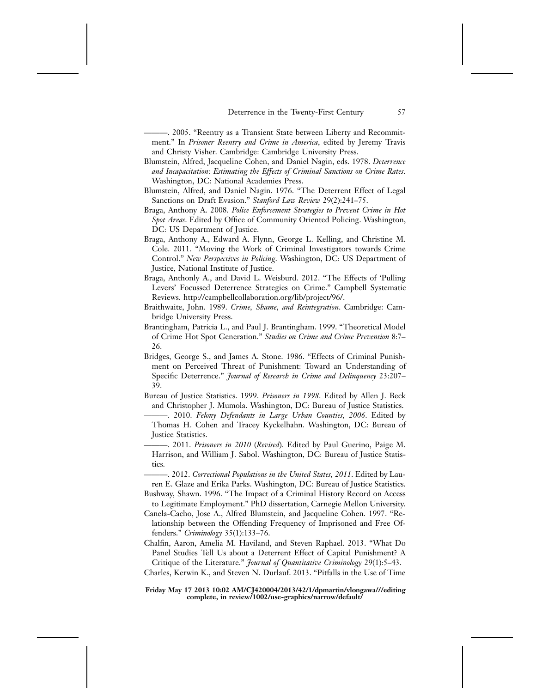-. 2005. "Reentry as a Transient State between Liberty and Recommitment." In *Prisoner Reentry and Crime in America*, edited by Jeremy Travis and Christy Visher. Cambridge: Cambridge University Press.

- Blumstein, Alfred, Jacqueline Cohen, and Daniel Nagin, eds. 1978. *Deterrence and Incapacitation: Estimating the Effects of Criminal Sanctions on Crime Rates*. Washington, DC: National Academies Press.
- Blumstein, Alfred, and Daniel Nagin. 1976. "The Deterrent Effect of Legal Sanctions on Draft Evasion." *Stanford Law Review* 29(2):241–75.
- Braga, Anthony A. 2008. *Police Enforcement Strategies to Prevent Crime in Hot Spot Areas*. Edited by Office of Community Oriented Policing. Washington, DC: US Department of Justice.
- Braga, Anthony A., Edward A. Flynn, George L. Kelling, and Christine M. Cole. 2011. "Moving the Work of Criminal Investigators towards Crime Control." *New Perspectives in Policing*. Washington, DC: US Department of Justice, National Institute of Justice.
- Braga, Anthonly A., and David L. Weisburd. 2012. "The Effects of 'Pulling Levers' Focussed Deterrence Strategies on Crime." Campbell Systematic Reviews. [http://campbellcollaboration.org/lib/project/96/.](http://campbellcollaboration.org/lib/project/96/)
- Braithwaite, John. 1989. *Crime, Shame, and Reintegration*. Cambridge: Cambridge University Press.
- Brantingham, Patricia L., and Paul J. Brantingham. 1999. "Theoretical Model of Crime Hot Spot Generation." *Studies on Crime and Crime Prevention* 8:7– 26.
- Bridges, George S., and James A. Stone. 1986. "Effects of Criminal Punishment on Perceived Threat of Punishment: Toward an Understanding of Specific Deterrence." *Journal of Research in Crime and Delinquency* 23:207– 39.

Bureau of Justice Statistics. 1999. *Prisoners in 1998*. Edited by Allen J. Beck and Christopher J. Mumola. Washington, DC: Bureau of Justice Statistics.

———. 2010. *Felony Defendants in Large Urban Counties, 2006*. Edited by Thomas H. Cohen and Tracey Kyckelhahn. Washington, DC: Bureau of Justice Statistics.

———. 2011. *Prisoners in 2010* (*Revised*). Edited by Paul Guerino, Paige M. Harrison, and William J. Sabol. Washington, DC: Bureau of Justice Statistics.

———. 2012. *Correctional Populations in the United States, 2011*. Edited by Lauren E. Glaze and Erika Parks. Washington, DC: Bureau of Justice Statistics.

Bushway, Shawn. 1996. "The Impact of a Criminal History Record on Access to Legitimate Employment." PhD dissertation, Carnegie Mellon University.

Canela-Cacho, Jose A., Alfred Blumstein, and Jacqueline Cohen. 1997. "Relationship between the Offending Frequency of Imprisoned and Free Offenders." *Criminology* 35(1):133–76.

Chalfin, Aaron, Amelia M. Haviland, and Steven Raphael. 2013. "What Do Panel Studies Tell Us about a Deterrent Effect of Capital Punishment? A Critique of the Literature." *Journal of Quantitative Criminology* 29(1):5–43.

Charles, Kerwin K., and Steven N. Durlauf. 2013. "Pitfalls in the Use of Time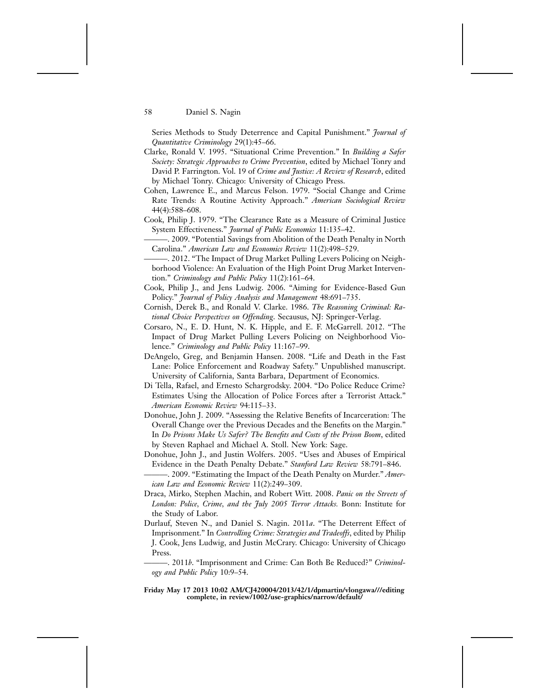Series Methods to Study Deterrence and Capital Punishment." *Journal of Quantitative Criminology* 29(1):45–66.

- Clarke, Ronald V. 1995. "Situational Crime Prevention." In *Building a Safer Society: Strategic Approaches to Crime Prevention*, edited by Michael Tonry and David P. Farrington. Vol. 19 of *Crime and Justice: A Review of Research*, edited by Michael Tonry. Chicago: University of Chicago Press.
- Cohen, Lawrence E., and Marcus Felson. 1979. "Social Change and Crime Rate Trends: A Routine Activity Approach." *American Sociological Review* 44(4):588–608.
- Cook, Philip J. 1979. "The Clearance Rate as a Measure of Criminal Justice System Effectiveness." *Journal of Public Economics* 11:135–42.
- . 2009. "Potential Savings from Abolition of the Death Penalty in North Carolina." *American Law and Economics Review* 11(2):498–529.
- -. 2012. "The Impact of Drug Market Pulling Levers Policing on Neighborhood Violence: An Evaluation of the High Point Drug Market Intervention." *Criminology and Public Policy* 11(2):161–64.
- Cook, Philip J., and Jens Ludwig. 2006. "Aiming for Evidence-Based Gun Policy." *Journal of Policy Analysis and Management* 48:691–735.
- Cornish, Derek B., and Ronald V. Clarke. 1986. *The Reasoning Criminal: Rational Choice Perspectives on Offending*. Secausus, NJ: Springer-Verlag.
- Corsaro, N., E. D. Hunt, N. K. Hipple, and E. F. McGarrell. 2012. "The Impact of Drug Market Pulling Levers Policing on Neighborhood Violence." *Criminology and Public Policy* 11:167–99.
- DeAngelo, Greg, and Benjamin Hansen. 2008. "Life and Death in the Fast Lane: Police Enforcement and Roadway Safety." Unpublished manuscript. University of California, Santa Barbara, Department of Economics.
- Di Tella, Rafael, and Ernesto Schargrodsky. 2004. "Do Police Reduce Crime? Estimates Using the Allocation of Police Forces after a Terrorist Attack." *American Economic Review* 94:115–33.
- Donohue, John J. 2009. "Assessing the Relative Benefits of Incarceration: The Overall Change over the Previous Decades and the Benefits on the Margin." In *Do Prisons Make Us Safer? The Benefits and Costs of the Prison Boom*, edited by Steven Raphael and Michael A. Stoll. New York: Sage.
- Donohue, John J., and Justin Wolfers. 2005. "Uses and Abuses of Empirical Evidence in the Death Penalty Debate." *Stanford Law Review* 58:791–846.

-. 2009. "Estimating the Impact of the Death Penalty on Murder." *American Law and Economic Review* 11(2):249–309.

- Draca, Mirko, Stephen Machin, and Robert Witt. 2008. *Panic on the Streets of London: Police, Crime, and the July 2005 Terror Attacks.* Bonn: Institute for the Study of Labor.
- Durlauf, Steven N., and Daniel S. Nagin. 2011*a*. "The Deterrent Effect of Imprisonment." In *Controlling Crime: Strategies and Tradeoffs*, edited by Philip J. Cook, Jens Ludwig, and Justin McCrary. Chicago: University of Chicago Press.

———. 2011*b*. "Imprisonment and Crime: Can Both Be Reduced?" *Criminology and Public Policy* 10:9–54.

**Friday May 17 2013 10:02 AM/CJ420004/2013/42/1/dpmartin/vlongawa///editing complete, in review/1002/use-graphics/narrow/default/**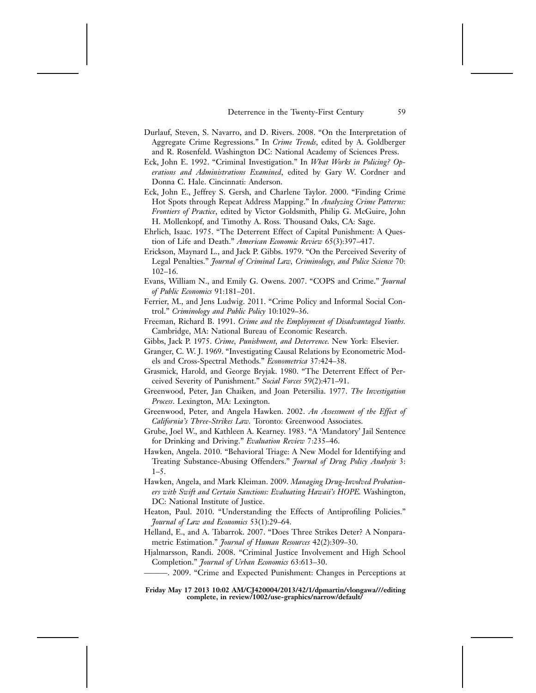- Durlauf, Steven, S. Navarro, and D. Rivers. 2008. "On the Interpretation of Aggregate Crime Regressions." In *Crime Trends*, edited by A. Goldberger and R. Rosenfeld. Washington DC: National Academy of Sciences Press.
- Eck, John E. 1992. "Criminal Investigation." In *What Works in Policing? Operations and Administrations Examined*, edited by Gary W. Cordner and Donna C. Hale. Cincinnati: Anderson.
- Eck, John E., Jeffrey S. Gersh, and Charlene Taylor. 2000. "Finding Crime Hot Spots through Repeat Address Mapping." In *Analyzing Crime Patterns: Frontiers of Practice*, edited by Victor Goldsmith, Philip G. McGuire, John H. Mollenkopf, and Timothy A. Ross. Thousand Oaks, CA: Sage.
- Ehrlich, Isaac. 1975. "The Deterrent Effect of Capital Punishment: A Question of Life and Death." *American Economic Review* 65(3):397–417.
- Erickson, Maynard L., and Jack P. Gibbs. 1979. "On the Perceived Severity of Legal Penalties." *Journal of Criminal Law, Criminology, and Police Science* 70: 102–16.
- Evans, William N., and Emily G. Owens. 2007. "COPS and Crime." *Journal of Public Economics* 91:181–201.
- Ferrier, M., and Jens Ludwig. 2011. "Crime Policy and Informal Social Control." *Criminology and Public Policy* 10:1029–36.
- Freeman, Richard B. 1991. *Crime and the Employment of Disadvantaged Youths.* Cambridge, MA: National Bureau of Economic Research.
- Gibbs, Jack P. 1975. *Crime, Punishment, and Deterrence*. New York: Elsevier.

Granger, C. W. J. 1969. "Investigating Causal Relations by Econometric Models and Cross-Spectral Methods." *Econometrica* 37:424–38.

- Grasmick, Harold, and George Bryjak. 1980. "The Deterrent Effect of Perceived Severity of Punishment." *Social Forces* 59(2):471–91.
- Greenwood, Peter, Jan Chaiken, and Joan Petersilia. 1977. *The Investigation Process*. Lexington, MA: Lexington.
- Greenwood, Peter, and Angela Hawken. 2002. *An Assessment of the Effect of California's Three-Strikes Law.* Toronto: Greenwood Associates.
- Grube, Joel W., and Kathleen A. Kearney. 1983. "A 'Mandatory' Jail Sentence for Drinking and Driving." *Evaluation Review* 7:235–46.
- Hawken, Angela. 2010. "Behavioral Triage: A New Model for Identifying and Treating Substance-Abusing Offenders." *Journal of Drug Policy Analysis* 3:  $1 - 5$
- Hawken, Angela, and Mark Kleiman. 2009. *Managing Drug-Involved Probationers with Swift and Certain Sanctions: Evaluating Hawaii's HOPE.* Washington, DC: National Institute of Justice.
- Heaton, Paul. 2010. "Understanding the Effects of Antiprofiling Policies." *Journal of Law and Economics* 53(1):29–64.
- Helland, E., and A. Tabarrok. 2007. "Does Three Strikes Deter? A Nonparametric Estimation." *Journal of Human Resources* 42(2):309–30.
- Hjalmarsson, Randi. 2008. "Criminal Justice Involvement and High School Completion." *Journal of Urban Economics* 63:613–30.
	- ———. 2009. "Crime and Expected Punishment: Changes in Perceptions at
- **Friday May 17 2013 10:02 AM/CJ420004/2013/42/1/dpmartin/vlongawa///editing complete, in review/1002/use-graphics/narrow/default/**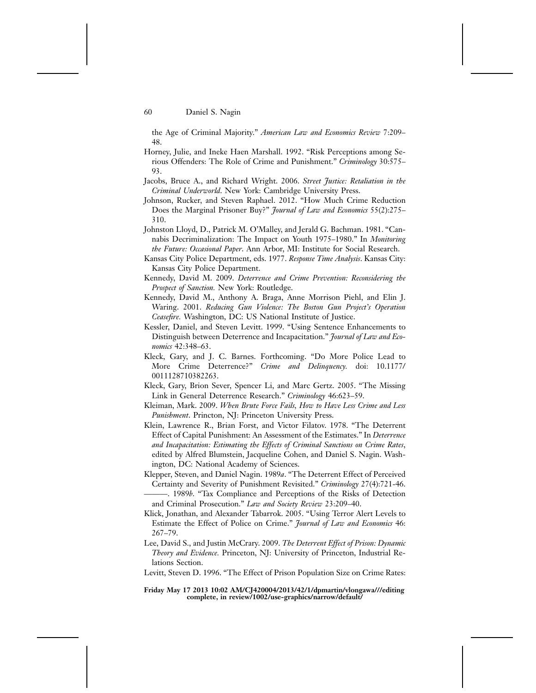the Age of Criminal Majority." *American Law and Economics Review* 7:209– 48.

- Horney, Julie, and Ineke Haen Marshall. 1992. "Risk Perceptions among Serious Offenders: The Role of Crime and Punishment." *Criminology* 30:575– 93.
- Jacobs, Bruce A., and Richard Wright. 2006. *Street Justice: Retaliation in the Criminal Underworld*. New York: Cambridge University Press.
- Johnson, Rucker, and Steven Raphael. 2012. "How Much Crime Reduction Does the Marginal Prisoner Buy?" *Journal of Law and Economics* 55(2):275– 310.
- Johnston Lloyd, D., Patrick M. O'Malley, and Jerald G. Bachman. 1981. "Cannabis Decriminalization: The Impact on Youth 1975–1980." In *Monitoring the Future: Occasional Paper*. Ann Arbor, MI: Institute for Social Research.
- Kansas City Police Department, eds. 1977. *Response Time Analysis*. Kansas City: Kansas City Police Department.
- Kennedy, David M. 2009. *Deterrence and Crime Prevention: Reconsidering the Prospect of Sanction.* New York: Routledge.
- Kennedy, David M., Anthony A. Braga, Anne Morrison Piehl, and Elin J. Waring. 2001. *Reducing Gun Violence: The Boston Gun Project's Operation Ceasefire.* Washington, DC: US National Institute of Justice.
- Kessler, Daniel, and Steven Levitt. 1999. "Using Sentence Enhancements to Distinguish between Deterrence and Incapacitation." *Journal of Law and Economics* 42:348–63.
- Kleck, Gary, and J. C. Barnes. Forthcoming. "Do More Police Lead to More Crime Deterrence?" *Crime and Delinquency.* doi: 10.1177/ 0011128710382263.
- Kleck, Gary, Brion Sever, Spencer Li, and Marc Gertz. 2005. "The Missing Link in General Deterrence Research." *Criminology* 46:623–59.
- Kleiman, Mark. 2009. *When Brute Force Fails, How to Have Less Crime and Less Punishment*. Princton, NJ: Princeton University Press.
- Klein, Lawrence R., Brian Forst, and Victor Filatov. 1978. "The Deterrent Effect of Capital Punishment: An Assessment of the Estimates." In *Deterrence and Incapacitation: Estimating the Effects of Criminal Sanctions on Crime Rates*, edited by Alfred Blumstein, Jacqueline Cohen, and Daniel S. Nagin. Washington, DC: National Academy of Sciences.
- Klepper, Steven, and Daniel Nagin. 1989*a*. "The Deterrent Effect of Perceived Certainty and Severity of Punishment Revisited." *Criminology* 27(4):721-46. ———. 1989*b*. "Tax Compliance and Perceptions of the Risks of Detection and Criminal Prosecution." *Law and Society Review* 23:209–40.
- Klick, Jonathan, and Alexander Tabarrok. 2005. "Using Terror Alert Levels to Estimate the Effect of Police on Crime." *Journal of Law and Economics* 46: 267–79.
- Lee, David S., and Justin McCrary. 2009. *The Deterrent Effect of Prison: Dynamic Theory and Evidence.* Princeton, NJ: University of Princeton, Industrial Relations Section.
- Levitt, Steven D. 1996. "The Effect of Prison Population Size on Crime Rates:
- **Friday May 17 2013 10:02 AM/CJ420004/2013/42/1/dpmartin/vlongawa///editing complete, in review/1002/use-graphics/narrow/default/**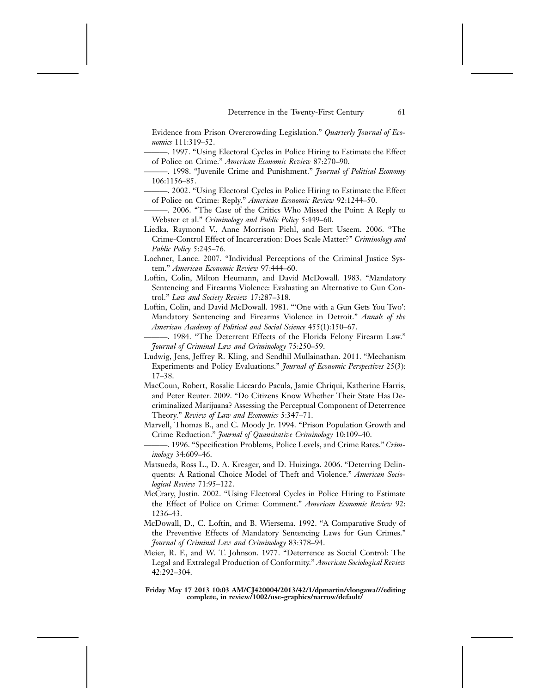Evidence from Prison Overcrowding Legislation." *Quarterly Journal of Economics* 111:319–52.

- -. 1997. "Using Electoral Cycles in Police Hiring to Estimate the Effect of Police on Crime." *American Economic Review* 87:270–90.
- ———. 1998. "Juvenile Crime and Punishment." *Journal of Political Economy* 106:1156–85.
- ———. 2002. "Using Electoral Cycles in Police Hiring to Estimate the Effect of Police on Crime: Reply." *American Economic Review* 92:1244–50.
- ———. 2006. "The Case of the Critics Who Missed the Point: A Reply to Webster et al." *Criminology and Public Policy* 5:449–60.
- Liedka, Raymond V., Anne Morrison Piehl, and Bert Useem. 2006. "The Crime-Control Effect of Incarceration: Does Scale Matter?" *Criminology and Public Policy* 5:245–76.
- Lochner, Lance. 2007. "Individual Perceptions of the Criminal Justice System." *American Economic Review* 97:444–60.
- Loftin, Colin, Milton Heumann, and David McDowall. 1983. "Mandatory Sentencing and Firearms Violence: Evaluating an Alternative to Gun Control." *Law and Society Review* 17:287–318.
- Loftin, Colin, and David McDowall. 1981. "'One with a Gun Gets You Two': Mandatory Sentencing and Firearms Violence in Detroit." *Annals of the American Academy of Political and Social Science* 455(1):150–67.
- -. 1984. "The Deterrent Effects of the Florida Felony Firearm Law." *Journal of Criminal Law and Criminology* 75:250–59.
- Ludwig, Jens, Jeffrey R. Kling, and Sendhil Mullainathan. 2011. "Mechanism Experiments and Policy Evaluations." *Journal of Economic Perspectives* 25(3): 17–38.
- MacCoun, Robert, Rosalie Liccardo Pacula, Jamie Chriqui, Katherine Harris, and Peter Reuter. 2009. "Do Citizens Know Whether Their State Has Decriminalized Marijuana? Assessing the Perceptual Component of Deterrence Theory." *Review of Law and Economics* 5:347–71.
- Marvell, Thomas B., and C. Moody Jr. 1994. "Prison Population Growth and Crime Reduction." *Journal of Quantitative Criminology* 10:109–40.
- ———. 1996. "Specification Problems, Police Levels, and Crime Rates." *Criminology* 34:609–46.
- Matsueda, Ross L., D. A. Kreager, and D. Huizinga. 2006. "Deterring Delinquents: A Rational Choice Model of Theft and Violence." *American Sociological Review* 71:95–122.
- McCrary, Justin. 2002. "Using Electoral Cycles in Police Hiring to Estimate the Effect of Police on Crime: Comment." *American Economic Review* 92: 1236–43.
- McDowall, D., C. Loftin, and B. Wiersema. 1992. "A Comparative Study of the Preventive Effects of Mandatory Sentencing Laws for Gun Crimes." *Journal of Criminal Law and Criminology* 83:378–94.
- Meier, R. F., and W. T. Johnson. 1977. "Deterrence as Social Control: The Legal and Extralegal Production of Conformity." *American Sociological Review* 42:292–304.
- **Friday May 17 2013 10:03 AM/CJ420004/2013/42/1/dpmartin/vlongawa///editing complete, in review/1002/use-graphics/narrow/default/**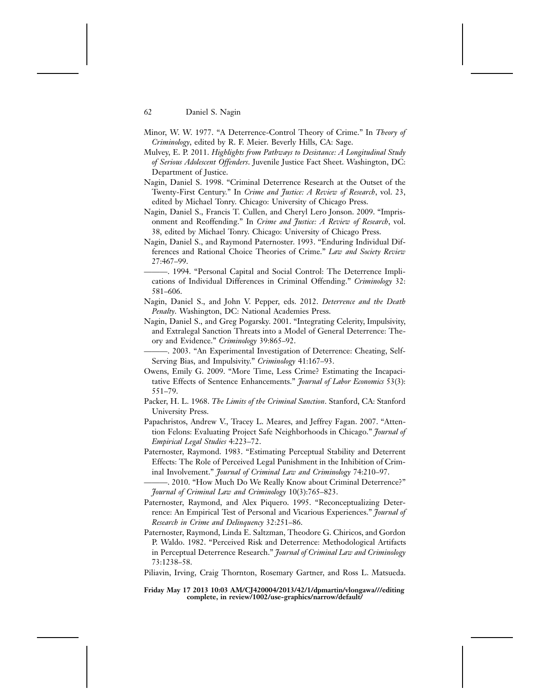- Minor, W. W. 1977. "A Deterrence-Control Theory of Crime." In *Theory of Criminology*, edited by R. F. Meier. Beverly Hills, CA: Sage.
- Mulvey, E. P. 2011. *Highlights from Pathways to Desistance: A Longitudinal Study of Serious Adolescent Offenders*. Juvenile Justice Fact Sheet. Washington, DC: Department of Justice.
- Nagin, Daniel S. 1998. "Criminal Deterrence Research at the Outset of the Twenty-First Century." In *Crime and Justice: A Review of Research*, vol. 23, edited by Michael Tonry. Chicago: University of Chicago Press.
- Nagin, Daniel S., Francis T. Cullen, and Cheryl Lero Jonson. 2009. "Imprisonment and Reoffending." In *Crime and Justice: A Review of Research*, vol. 38, edited by Michael Tonry. Chicago: University of Chicago Press.
- Nagin, Daniel S., and Raymond Paternoster. 1993. "Enduring Individual Differences and Rational Choice Theories of Crime." *Law and Society Review* 27:467–99.
- ———. 1994. "Personal Capital and Social Control: The Deterrence Implications of Individual Differences in Criminal Offending." *Criminology* 32: 581–606.
- Nagin, Daniel S., and John V. Pepper, eds. 2012. *Deterrence and the Death Penalty*. Washington, DC: National Academies Press.
- Nagin, Daniel S., and Greg Pogarsky. 2001. "Integrating Celerity, Impulsivity, and Extralegal Sanction Threats into a Model of General Deterrence: Theory and Evidence." *Criminology* 39:865–92.
- -. 2003. "An Experimental Investigation of Deterrence: Cheating, Self-Serving Bias, and Impulsivity." *Criminology* 41:167–93.
- Owens, Emily G. 2009. "More Time, Less Crime? Estimating the Incapacitative Effects of Sentence Enhancements." *Journal of Labor Economics* 53(3): 551–79.
- Packer, H. L. 1968. *The Limits of the Criminal Sanction*. Stanford, CA: Stanford University Press.
- Papachristos, Andrew V., Tracey L. Meares, and Jeffrey Fagan. 2007. "Attention Felons: Evaluating Project Safe Neighborhoods in Chicago." *Journal of Empirical Legal Studies* 4:223–72.
- Paternoster, Raymond. 1983. "Estimating Perceptual Stability and Deterrent Effects: The Role of Perceived Legal Punishment in the Inhibition of Criminal Involvement." *Journal of Criminal Law and Criminology* 74:210–97.
- ———. 2010. "How Much Do We Really Know about Criminal Deterrence?" *Journal of Criminal Law and Criminology* 10(3):765–823.
- Paternoster, Raymond, and Alex Piquero. 1995. "Reconceptualizing Deterrence: An Empirical Test of Personal and Vicarious Experiences." *Journal of Research in Crime and Delinquency* 32:251–86.
- Paternoster, Raymond, Linda E. Saltzman, Theodore G. Chiricos, and Gordon P. Waldo. 1982. "Perceived Risk and Deterrence: Methodological Artifacts in Perceptual Deterrence Research." *Journal of Criminal Law and Criminology* 73:1238–58.
- Piliavin, Irving, Craig Thornton, Rosemary Gartner, and Ross L. Matsueda.
- **Friday May 17 2013 10:03 AM/CJ420004/2013/42/1/dpmartin/vlongawa///editing complete, in review/1002/use-graphics/narrow/default/**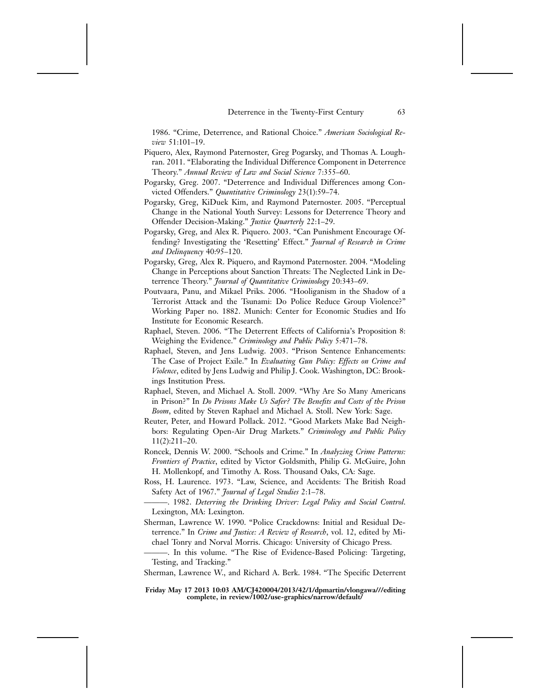1986. "Crime, Deterrence, and Rational Choice." *American Sociological Review* 51:101–19.

- Piquero, Alex, Raymond Paternoster, Greg Pogarsky, and Thomas A. Loughran. 2011. "Elaborating the Individual Difference Component in Deterrence Theory." *Annual Review of Law and Social Science* 7:355–60.
- Pogarsky, Greg. 2007. "Deterrence and Individual Differences among Convicted Offenders." *Quantitative Criminology* 23(1):59–74.
- Pogarsky, Greg, KiDuek Kim, and Raymond Paternoster. 2005. "Perceptual Change in the National Youth Survey: Lessons for Deterrence Theory and Offender Decision-Making." *Justice Quarterly* 22:1–29.
- Pogarsky, Greg, and Alex R. Piquero. 2003. "Can Punishment Encourage Offending? Investigating the 'Resetting' Effect." *Journal of Research in Crime and Delinquency* 40:95–120.
- Pogarsky, Greg, Alex R. Piquero, and Raymond Paternoster. 2004. "Modeling Change in Perceptions about Sanction Threats: The Neglected Link in Deterrence Theory." *Journal of Quantitative Criminology* 20:343–69.
- Poutvaara, Panu, and Mikael Priks. 2006. "Hooliganism in the Shadow of a Terrorist Attack and the Tsunami: Do Police Reduce Group Violence?" Working Paper no. 1882. Munich: Center for Economic Studies and Ifo Institute for Economic Research.
- Raphael, Steven. 2006. "The Deterrent Effects of California's Proposition 8: Weighing the Evidence." *Criminology and Public Policy* 5:471–78.
- Raphael, Steven, and Jens Ludwig. 2003. "Prison Sentence Enhancements: The Case of Project Exile." In *Evaluating Gun Policy: Effects on Crime and Violence*, edited by Jens Ludwig and Philip J. Cook. Washington, DC: Brookings Institution Press.
- Raphael, Steven, and Michael A. Stoll. 2009. "Why Are So Many Americans in Prison?" In *Do Prisons Make Us Safer? The Benefits and Costs of the Prison Boom*, edited by Steven Raphael and Michael A. Stoll. New York: Sage.
- Reuter, Peter, and Howard Pollack. 2012. "Good Markets Make Bad Neighbors: Regulating Open-Air Drug Markets." *Criminology and Public Policy* 11(2):211–20.
- Roncek, Dennis W. 2000. "Schools and Crime." In *Analyzing Crime Patterns: Frontiers of Practice*, edited by Victor Goldsmith, Philip G. McGuire, John H. Mollenkopf, and Timothy A. Ross. Thousand Oaks, CA: Sage.
- Ross, H. Laurence. 1973. "Law, Science, and Accidents: The British Road Safety Act of 1967." *Journal of Legal Studies* 2:1–78.

———. 1982. *Deterring the Drinking Driver: Legal Policy and Social Control*. Lexington, MA: Lexington.

- Sherman, Lawrence W. 1990. "Police Crackdowns: Initial and Residual Deterrence." In *Crime and Justice: A Review of Research*, vol. 12, edited by Michael Tonry and Norval Morris. Chicago: University of Chicago Press.
- -. In this volume. "The Rise of Evidence-Based Policing: Targeting, Testing, and Tracking."
- Sherman, Lawrence W., and Richard A. Berk. 1984. "The Specific Deterrent
- **Friday May 17 2013 10:03 AM/CJ420004/2013/42/1/dpmartin/vlongawa///editing complete, in review/1002/use-graphics/narrow/default/**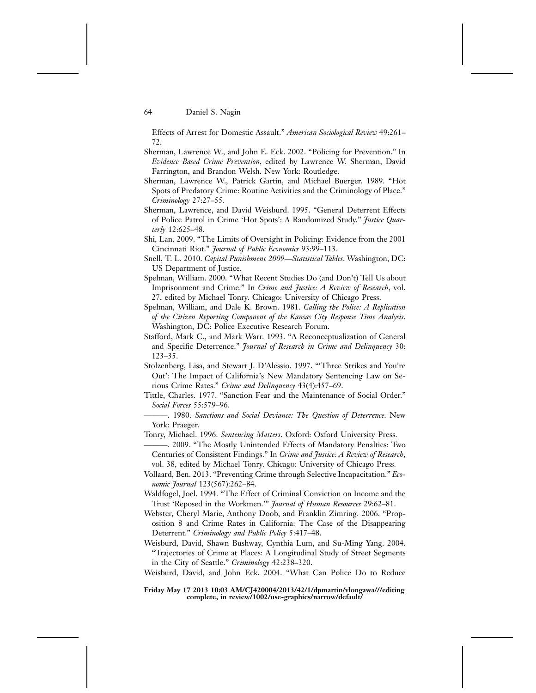Effects of Arrest for Domestic Assault." *American Sociological Review* 49:261– 72.

- Sherman, Lawrence W., and John E. Eck. 2002. "Policing for Prevention." In *Evidence Based Crime Prevention*, edited by Lawrence W. Sherman, David Farrington, and Brandon Welsh. New York: Routledge.
- Sherman, Lawrence W., Patrick Gartin, and Michael Buerger. 1989. "Hot Spots of Predatory Crime: Routine Activities and the Criminology of Place." *Criminology* 27:27–55.
- Sherman, Lawrence, and David Weisburd. 1995. "General Deterrent Effects of Police Patrol in Crime 'Hot Spots': A Randomized Study." *Justice Quarterly* 12:625–48.
- Shi, Lan. 2009. "The Limits of Oversight in Policing: Evidence from the 2001 Cincinnati Riot." *Journal of Public Economics* 93:99–113.
- Snell, T. L. 2010. *Capital Punishment 2009—Statistical Tables*. Washington, DC: US Department of Justice.
- Spelman, William. 2000. "What Recent Studies Do (and Don't) Tell Us about Imprisonment and Crime." In *Crime and Justice: A Review of Research*, vol. 27, edited by Michael Tonry. Chicago: University of Chicago Press.
- Spelman, William, and Dale K. Brown. 1981. *Calling the Police: A Replication of the Citizen Reporting Component of the Kansas City Response Time Analysis*. Washington, DC: Police Executive Research Forum.
- Stafford, Mark C., and Mark Warr. 1993. "A Reconceptualization of General and Specific Deterrence." *Journal of Research in Crime and Delinquency* 30: 123–35.
- Stolzenberg, Lisa, and Stewart J. D'Alessio. 1997. "'Three Strikes and You're Out': The Impact of California's New Mandatory Sentencing Law on Serious Crime Rates." *Crime and Delinquency* 43(4):457–69.
- Tittle, Charles. 1977. "Sanction Fear and the Maintenance of Social Order." *Social Forces* 55:579–96.
- ———. 1980. *Sanctions and Social Deviance: The Question of Deterrence*. New York: Praeger.
- Tonry, Michael. 1996. *Sentencing Matters*. Oxford: Oxford University Press.
- ———. 2009. "The Mostly Unintended Effects of Mandatory Penalties: Two Centuries of Consistent Findings." In *Crime and Justice: A Review of Research*, vol. 38, edited by Michael Tonry. Chicago: University of Chicago Press.
- Vollaard, Ben. 2013. "Preventing Crime through Selective Incapacitation." *Economic Journal* 123(567):262–84.
- Waldfogel, Joel. 1994. "The Effect of Criminal Conviction on Income and the Trust 'Reposed in the Workmen.'" *Journal of Human Resources* 29:62–81.
- Webster, Cheryl Marie, Anthony Doob, and Franklin Zimring. 2006. "Proposition 8 and Crime Rates in California: The Case of the Disappearing Deterrent." *Criminology and Public Policy* 5:417–48.
- Weisburd, David, Shawn Bushway, Cynthia Lum, and Su-Ming Yang. 2004. "Trajectories of Crime at Places: A Longitudinal Study of Street Segments in the City of Seattle." *Criminology* 42:238–320.
- Weisburd, David, and John Eck. 2004. "What Can Police Do to Reduce
- **Friday May 17 2013 10:03 AM/CJ420004/2013/42/1/dpmartin/vlongawa///editing complete, in review/1002/use-graphics/narrow/default/**